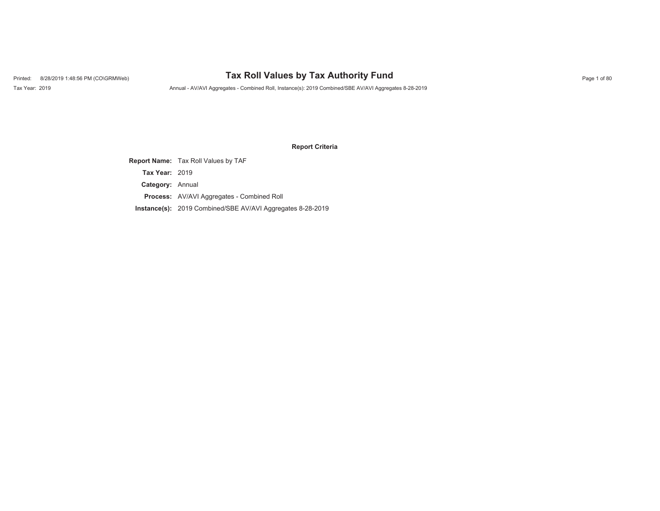# Printed: 8/28/2019 1:48:56 PM (CO\GRMWeb) **Tax Roll Values by Tax Authority Fund** Page 1 of 80

Tax Year: 2019 Annual - AV/AVI Aggregates - Combined Roll, Instance(s): 2019 Combined/SBE AV/AVI Aggregates 8-28-2019

#### **Report Criteria**

**Report Name:** Tax Roll Values by TAF **Category:** Annual **Process:** AV/AVI Aggregates - Combined Roll **Instance(s):** 2019 Combined/SBE AV/AVI Aggregates 8-28-2019 **Tax Year:** 2019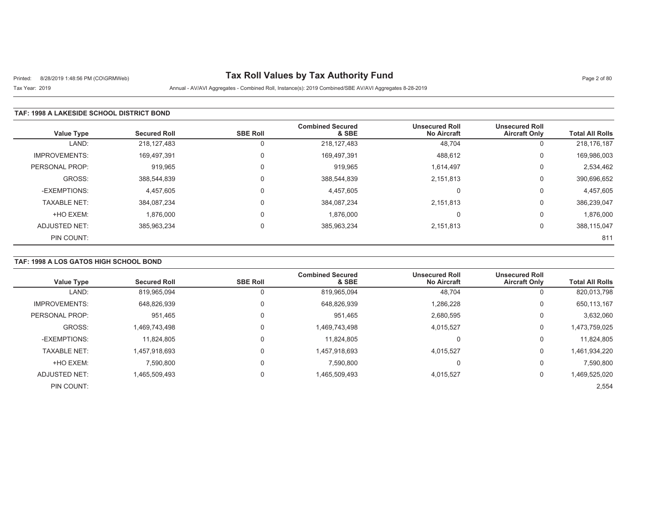# Printed: 8/28/2019 1:48:56 PM (CO\GRMWeb) **Tax Roll Values by Tax Authority Fund** Page 2 of 80

## Tax Year: 2019 Annual - AV/AVI Aggregates - Combined Roll, Instance(s): 2019 Combined/SBE AV/AVI Aggregates 8-28-2019

#### **TAF: 1998 A LAKESIDE SCHOOL DISTRICT BOND**

| <b>Value Type</b>    | <b>Secured Roll</b> | <b>SBE Roll</b> | <b>Combined Secured</b><br>& SBE | <b>Unsecured Roll</b><br><b>No Aircraft</b> | <b>Unsecured Roll</b><br><b>Aircraft Only</b> | <b>Total All Rolls</b> |
|----------------------|---------------------|-----------------|----------------------------------|---------------------------------------------|-----------------------------------------------|------------------------|
| LAND:                | 218,127,483         | 0               | 218, 127, 483                    | 48,704                                      | 0                                             | 218,176,187            |
| <b>IMPROVEMENTS:</b> | 169,497,391         | $\Omega$        | 169,497,391                      | 488,612                                     | 0                                             | 169,986,003            |
| PERSONAL PROP:       | 919,965             |                 | 919,965                          | 1,614,497                                   | 0                                             | 2,534,462              |
| GROSS:               | 388,544,839         | $\mathbf{0}$    | 388,544,839                      | 2,151,813                                   | 0                                             | 390,696,652            |
| -EXEMPTIONS:         | 4,457,605           | $\mathbf{0}$    | 4,457,605                        |                                             | $\Omega$                                      | 4,457,605              |
| <b>TAXABLE NET:</b>  | 384,087,234         |                 | 384,087,234                      | 2,151,813                                   | 0                                             | 386,239,047            |
| +HO EXEM:            | 1,876,000           | $\mathbf{0}$    | 1,876,000                        |                                             | 0                                             | 1,876,000              |
| ADJUSTED NET:        | 385,963,234         | $\Omega$        | 385,963,234                      | 2,151,813                                   | 0                                             | 388,115,047            |
| PIN COUNT:           |                     |                 |                                  |                                             |                                               | 811                    |

#### **TAF: 1998 A LOS GATOS HIGH SCHOOL BOND**

| <b>Value Type</b>    | <b>Secured Roll</b> | <b>SBE Roll</b> | <b>Combined Secured</b><br>& SBE | <b>Unsecured Roll</b><br><b>No Aircraft</b> | <b>Unsecured Roll</b><br><b>Aircraft Only</b> | <b>Total All Rolls</b> |
|----------------------|---------------------|-----------------|----------------------------------|---------------------------------------------|-----------------------------------------------|------------------------|
| LAND:                | 819,965,094         |                 | 819,965,094                      | 48,704                                      | 0                                             | 820,013,798            |
| <b>IMPROVEMENTS:</b> | 648,826,939         | 0               | 648,826,939                      | 1,286,228                                   | 0                                             | 650,113,167            |
| PERSONAL PROP:       | 951.465             | 0               | 951,465                          | 2,680,595                                   | 0                                             | 3,632,060              |
| GROSS:               | 1,469,743,498       |                 | 1,469,743,498                    | 4,015,527                                   | 0                                             | 1,473,759,025          |
| -EXEMPTIONS:         | 11,824,805          | 0               | 11.824.805                       |                                             | 0                                             | 11,824,805             |
| <b>TAXABLE NET:</b>  | 1,457,918,693       | 0               | 1,457,918,693                    | 4,015,527                                   | 0                                             | 1,461,934,220          |
| +HO EXEM:            | 7,590,800           | 0               | 7,590,800                        |                                             | 0                                             | 7,590,800              |
| ADJUSTED NET:        | 1,465,509,493       | 0               | 1,465,509,493                    | 4,015,527                                   | 0                                             | 1,469,525,020          |
| PIN COUNT:           |                     |                 |                                  |                                             |                                               | 2,554                  |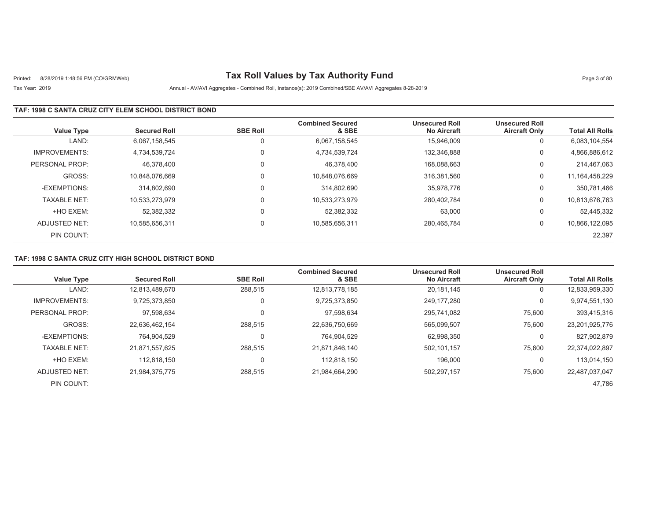# Printed: 8/28/2019 1:48:56 PM (CO\GRMWeb) **Tax Roll Values by Tax Authority Fund** Page 3 of 80

## Tax Year: 2019 Annual - AV/AVI Aggregates - Combined Roll, Instance(s): 2019 Combined/SBE AV/AVI Aggregates 8-28-2019

### **TAF: 1998 C SANTA CRUZ CITY ELEM SCHOOL DISTRICT BOND**

| <b>Value Type</b>    | <b>Secured Roll</b> | <b>SBE Roll</b> | <b>Combined Secured</b><br>& SBE | <b>Unsecured Roll</b><br><b>No Aircraft</b> | <b>Unsecured Roll</b><br><b>Aircraft Only</b> | <b>Total All Rolls</b> |
|----------------------|---------------------|-----------------|----------------------------------|---------------------------------------------|-----------------------------------------------|------------------------|
| LAND:                | 6.067.158.545       | 0               | 6.067.158.545                    | 15.946.009                                  | 0                                             | 6,083,104,554          |
| <b>IMPROVEMENTS:</b> | 4.734.539.724       | $\Omega$        | 4,734,539,724                    | 132,346,888                                 | 0                                             | 4,866,886,612          |
| PERSONAL PROP:       | 46.378.400          | $\Omega$        | 46.378.400                       | 168.088.663                                 | 0                                             | 214,467,063            |
| GROSS:               | 10.848.076.669      | $\Omega$        | 10,848,076,669                   | 316.381.560                                 | 0                                             | 11, 164, 458, 229      |
| -EXEMPTIONS:         | 314.802.690         | $\Omega$        | 314,802,690                      | 35,978,776                                  | 0                                             | 350,781,466            |
| <b>TAXABLE NET:</b>  | 10,533,273,979      | $\Omega$        | 10,533,273,979                   | 280.402.784                                 | 0                                             | 10,813,676,763         |
| +HO EXEM:            | 52,382,332          | $\mathbf 0$     | 52,382,332                       | 63,000                                      | 0                                             | 52,445,332             |
| ADJUSTED NET:        | 10.585.656.311      | $\mathbf 0$     | 10,585,656,311                   | 280.465.784                                 | 0                                             | 10,866,122,095         |
| PIN COUNT:           |                     |                 |                                  |                                             |                                               | 22,397                 |

### **TAF: 1998 C SANTA CRUZ CITY HIGH SCHOOL DISTRICT BOND**

| <b>Value Type</b>    | <b>Secured Roll</b> | <b>SBE Roll</b> | <b>Combined Secured</b><br>& SBE | <b>Unsecured Roll</b><br><b>No Aircraft</b> | <b>Unsecured Roll</b><br><b>Aircraft Only</b> | <b>Total All Rolls</b> |
|----------------------|---------------------|-----------------|----------------------------------|---------------------------------------------|-----------------------------------------------|------------------------|
| LAND:                | 12,813,489,670      | 288,515         | 12,813,778,185                   | 20,181,145                                  | 0                                             | 12,833,959,330         |
| <b>IMPROVEMENTS:</b> | 9,725,373,850       | 0               | 9,725,373,850                    | 249.177.280                                 | 0                                             | 9,974,551,130          |
| PERSONAL PROP:       | 97,598,634          | 0               | 97,598,634                       | 295.741.082                                 | 75,600                                        | 393,415,316            |
| GROSS:               | 22,636,462,154      | 288,515         | 22,636,750,669                   | 565,099,507                                 | 75,600                                        | 23,201,925,776         |
| -EXEMPTIONS:         | 764,904,529         | 0               | 764,904,529                      | 62,998,350                                  | 0                                             | 827,902,879            |
| <b>TAXABLE NET:</b>  | 21.871.557.625      | 288.515         | 21,871,846,140                   | 502.101.157                                 | 75,600                                        | 22,374,022,897         |
| +HO EXEM:            | 112.818.150         | 0               | 112.818.150                      | 196.000                                     | 0                                             | 113,014,150            |
| ADJUSTED NET:        | 21,984,375,775      | 288,515         | 21,984,664,290                   | 502,297,157                                 | 75,600                                        | 22,487,037,047         |
| PIN COUNT:           |                     |                 |                                  |                                             |                                               | 47.786                 |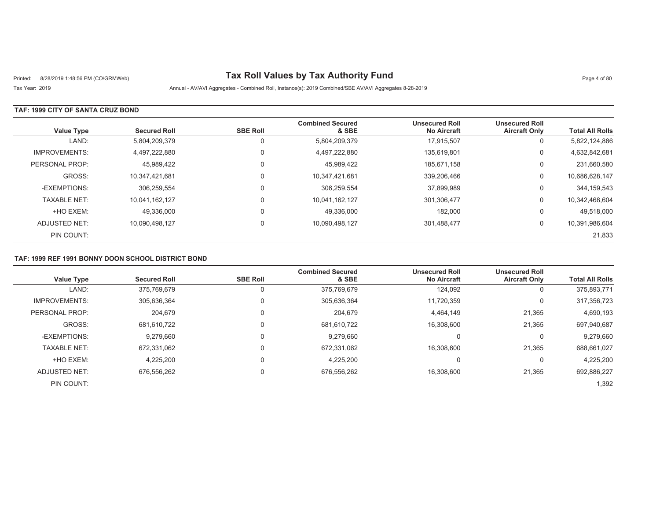# Printed: 8/28/2019 1:48:56 PM (CO\GRMWeb) **Tax Roll Values by Tax Authority Fund** Page 4 of 80

Tax Year: 2019 Annual - AV/AVI Aggregates - Combined Roll, Instance(s): 2019 Combined/SBE AV/AVI Aggregates 8-28-2019

### **TAF: 1999 CITY OF SANTA CRUZ BOND**

| <b>Value Type</b>    | <b>Secured Roll</b> | <b>SBE Roll</b> | <b>Combined Secured</b><br>& SBE | <b>Unsecured Roll</b><br><b>No Aircraft</b> | <b>Unsecured Roll</b><br><b>Aircraft Only</b> | <b>Total All Rolls</b> |
|----------------------|---------------------|-----------------|----------------------------------|---------------------------------------------|-----------------------------------------------|------------------------|
| LAND:                | 5,804,209,379       | 0               | 5,804,209,379                    | 17,915,507                                  | 0                                             | 5,822,124,886          |
| <b>IMPROVEMENTS:</b> | 4,497,222,880       | 0               | 4,497,222,880                    | 135.619.801                                 | 0                                             | 4,632,842,681          |
| PERSONAL PROP:       | 45,989,422          |                 | 45,989,422                       | 185.671.158                                 | 0                                             | 231,660,580            |
| GROSS:               | 10.347.421.681      | 0               | 10,347,421,681                   | 339.206.466                                 | 0                                             | 10,686,628,147         |
| -EXEMPTIONS:         | 306.259.554         |                 | 306,259,554                      | 37,899,989                                  | 0                                             | 344, 159, 543          |
| <b>TAXABLE NET:</b>  | 10,041,162,127      | 0               | 10,041,162,127                   | 301,306,477                                 | 0                                             | 10,342,468,604         |
| +HO EXEM:            | 49.336.000          | 0               | 49,336,000                       | 182,000                                     | 0                                             | 49,518,000             |
| ADJUSTED NET:        | 10,090,498,127      | $\Omega$        | 10,090,498,127                   | 301,488,477                                 | 0                                             | 10,391,986,604         |
| PIN COUNT:           |                     |                 |                                  |                                             |                                               | 21,833                 |

### **TAF: 1999 REF 1991 BONNY DOON SCHOOL DISTRICT BOND**

| <b>Value Type</b>    | <b>Secured Roll</b> | <b>SBE Roll</b> | <b>Combined Secured</b><br>& SBE | <b>Unsecured Roll</b><br><b>No Aircraft</b> | <b>Unsecured Roll</b><br><b>Aircraft Only</b> | <b>Total All Rolls</b> |
|----------------------|---------------------|-----------------|----------------------------------|---------------------------------------------|-----------------------------------------------|------------------------|
|                      |                     |                 |                                  |                                             |                                               |                        |
| LAND:                | 375,769,679         |                 | 375,769,679                      | 124,092                                     | 0                                             | 375,893,771            |
| <b>IMPROVEMENTS:</b> | 305,636,364         |                 | 305,636,364                      | 11,720,359                                  | 0                                             | 317,356,723            |
| PERSONAL PROP:       | 204.679             | $\Omega$        | 204.679                          | 4,464,149                                   | 21,365                                        | 4,690,193              |
| GROSS:               | 681,610,722         |                 | 681,610,722                      | 16.308.600                                  | 21,365                                        | 697,940,687            |
| -EXEMPTIONS:         | 9,279,660           |                 | 9,279,660                        |                                             | 0                                             | 9,279,660              |
| <b>TAXABLE NET:</b>  | 672,331,062         |                 | 672,331,062                      | 16,308,600                                  | 21,365                                        | 688,661,027            |
| +HO EXEM:            | 4.225.200           |                 | 4,225,200                        |                                             | $\Omega$                                      | 4,225,200              |
| ADJUSTED NET:        | 676,556,262         | $\Omega$        | 676,556,262                      | 16,308,600                                  | 21,365                                        | 692,886,227            |
| PIN COUNT:           |                     |                 |                                  |                                             |                                               | 1,392                  |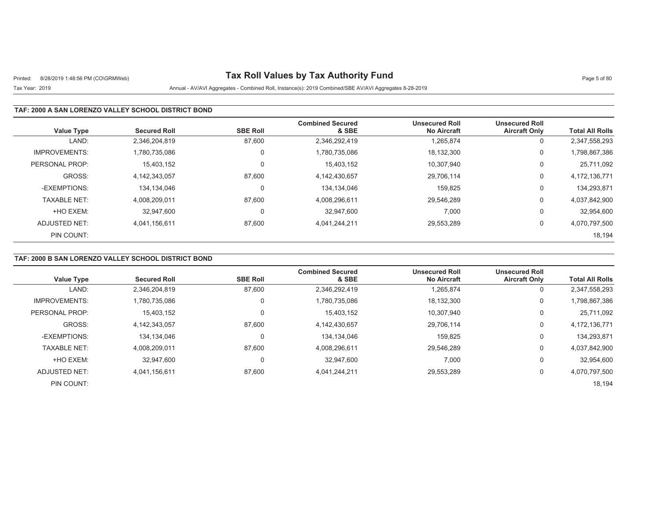# Printed: 8/28/2019 1:48:56 PM (CO\GRMWeb) **Tax Roll Values by Tax Authority Fund** Page 5 of 80

## Tax Year: 2019 Annual - AV/AVI Aggregates - Combined Roll, Instance(s): 2019 Combined/SBE AV/AVI Aggregates 8-28-2019

### **TAF: 2000 A SAN LORENZO VALLEY SCHOOL DISTRICT BOND**

| <b>Value Type</b>    | <b>Secured Roll</b> | <b>SBE Roll</b> | <b>Combined Secured</b><br>& SBE | <b>Unsecured Roll</b><br><b>No Aircraft</b> | <b>Unsecured Roll</b><br><b>Aircraft Only</b> | <b>Total All Rolls</b> |
|----------------------|---------------------|-----------------|----------------------------------|---------------------------------------------|-----------------------------------------------|------------------------|
| LAND:                | 2,346,204,819       | 87,600          | 2,346,292,419                    | 1,265,874                                   | 0                                             | 2,347,558,293          |
| <b>IMPROVEMENTS:</b> | 1,780,735,086       | 0               | 1,780,735,086                    | 18,132,300                                  | 0                                             | 1,798,867,386          |
| PERSONAL PROP:       | 15,403,152          | 0               | 15,403,152                       | 10.307.940                                  | 0                                             | 25,711,092             |
| GROSS:               | 4,142,343,057       | 87,600          | 4,142,430,657                    | 29,706,114                                  | 0                                             | 4,172,136,771          |
| -EXEMPTIONS:         | 134.134.046         | 0               | 134,134,046                      | 159.825                                     | 0                                             | 134,293,871            |
| <b>TAXABLE NET:</b>  | 4,008,209,011       | 87,600          | 4,008,296,611                    | 29,546,289                                  | 0                                             | 4,037,842,900          |
| +HO EXEM:            | 32.947.600          | 0               | 32.947.600                       | 7,000                                       | 0                                             | 32,954,600             |
| ADJUSTED NET:        | 4.041.156.611       | 87,600          | 4,041,244,211                    | 29,553,289                                  | 0                                             | 4,070,797,500          |
| PIN COUNT:           |                     |                 |                                  |                                             |                                               | 18,194                 |

### **TAF: 2000 B SAN LORENZO VALLEY SCHOOL DISTRICT BOND**

| <b>Value Type</b>    | <b>Secured Roll</b> | <b>SBE Roll</b> | <b>Combined Secured</b><br>& SBE | <b>Unsecured Roll</b><br><b>No Aircraft</b> | <b>Unsecured Roll</b><br><b>Aircraft Only</b> | <b>Total All Rolls</b> |
|----------------------|---------------------|-----------------|----------------------------------|---------------------------------------------|-----------------------------------------------|------------------------|
| LAND:                | 2,346,204,819       | 87,600          | 2,346,292,419                    | 1,265,874                                   | 0                                             | 2,347,558,293          |
| <b>IMPROVEMENTS:</b> | 1.780.735.086       | $\mathbf 0$     | 1,780,735,086                    | 18,132,300                                  | 0                                             | 1,798,867,386          |
| PERSONAL PROP:       | 15,403,152          | $\mathbf 0$     | 15,403,152                       | 10,307,940                                  | 0                                             | 25,711,092             |
| GROSS:               | 4.142.343.057       | 87.600          | 4,142,430,657                    | 29,706,114                                  | 0                                             | 4,172,136,771          |
| -EXEMPTIONS:         | 134.134.046         | 0               | 134.134.046                      | 159.825                                     | 0                                             | 134,293,871            |
| <b>TAXABLE NET:</b>  | 4.008.209.011       | 87,600          | 4,008,296,611                    | 29,546,289                                  | 0                                             | 4,037,842,900          |
| +HO EXEM:            | 32.947.600          | $\Omega$        | 32,947,600                       | 7,000                                       | 0                                             | 32,954,600             |
| ADJUSTED NET:        | 4.041.156.611       | 87,600          | 4,041,244,211                    | 29,553,289                                  | 0                                             | 4,070,797,500          |
| PIN COUNT:           |                     |                 |                                  |                                             |                                               | 18,194                 |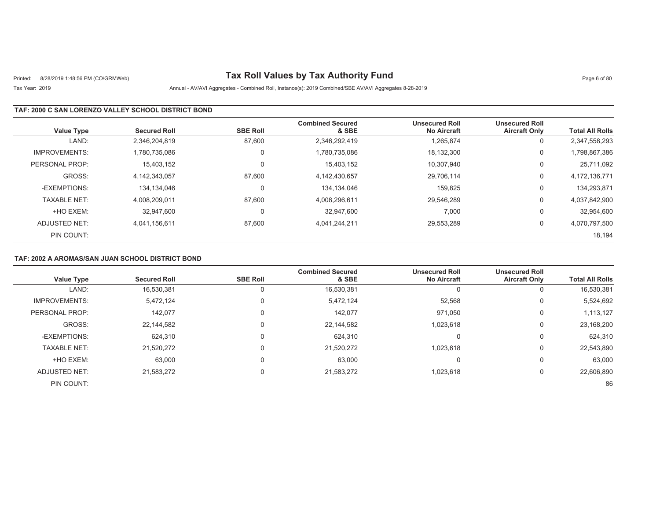# Printed: 8/28/2019 1:48:56 PM (CO\GRMWeb) **Tax Roll Values by Tax Authority Fund** Page 6 of 80

## Tax Year: 2019 Annual - AV/AVI Aggregates - Combined Roll, Instance(s): 2019 Combined/SBE AV/AVI Aggregates 8-28-2019

### **TAF: 2000 C SAN LORENZO VALLEY SCHOOL DISTRICT BOND**

| <b>Value Type</b>    | <b>Secured Roll</b> | <b>SBE Roll</b> | <b>Combined Secured</b><br>& SBE | <b>Unsecured Roll</b><br><b>No Aircraft</b> | <b>Unsecured Roll</b><br><b>Aircraft Only</b> | <b>Total All Rolls</b> |
|----------------------|---------------------|-----------------|----------------------------------|---------------------------------------------|-----------------------------------------------|------------------------|
| LAND:                | 2.346.204.819       | 87.600          | 2,346,292,419                    | 1.265.874                                   | υ                                             | 2,347,558,293          |
| <b>IMPROVEMENTS:</b> | 1.780.735.086       | 0               | 1,780,735,086                    | 18,132,300                                  | 0                                             | 1,798,867,386          |
| PERSONAL PROP:       | 15,403,152          | $\mathbf 0$     | 15,403,152                       | 10.307.940                                  | U                                             | 25,711,092             |
| GROSS:               | 4,142,343,057       | 87,600          | 4,142,430,657                    | 29,706,114                                  | 0                                             | 4,172,136,771          |
| -EXEMPTIONS:         | 134.134.046         | 0               | 134,134,046                      | 159.825                                     | 0                                             | 134,293,871            |
| <b>TAXABLE NET:</b>  | 4,008,209,011       | 87,600          | 4,008,296,611                    | 29,546,289                                  | 0                                             | 4,037,842,900          |
| +HO EXEM:            | 32.947.600          | 0               | 32.947.600                       | 7,000                                       | 0                                             | 32,954,600             |
| ADJUSTED NET:        | 4.041.156.611       | 87,600          | 4,041,244,211                    | 29,553,289                                  | 0                                             | 4,070,797,500          |
| PIN COUNT:           |                     |                 |                                  |                                             |                                               | 18,194                 |

### **TAF: 2002 A AROMAS/SAN JUAN SCHOOL DISTRICT BOND**

| <b>Value Type</b>    | <b>Secured Roll</b> | <b>SBE Roll</b> | <b>Combined Secured</b><br>& SBE | <b>Unsecured Roll</b><br><b>No Aircraft</b> | <b>Unsecured Roll</b><br><b>Aircraft Only</b> | <b>Total All Rolls</b> |
|----------------------|---------------------|-----------------|----------------------------------|---------------------------------------------|-----------------------------------------------|------------------------|
| LAND:                | 16,530,381          |                 | 16,530,381                       |                                             | v                                             | 16,530,381             |
| <b>IMPROVEMENTS:</b> | 5,472,124           | $\Omega$        | 5,472,124                        | 52,568                                      | 0                                             | 5,524,692              |
| PERSONAL PROP:       | 142,077             | 0               | 142,077                          | 971,050                                     | 0                                             | 1,113,127              |
| GROSS:               | 22,144,582          |                 | 22,144,582                       | 1,023,618                                   | 0                                             | 23,168,200             |
| -EXEMPTIONS:         | 624,310             | $\Omega$        | 624,310                          | 0                                           | 0                                             | 624,310                |
| <b>TAXABLE NET:</b>  | 21,520,272          | 0               | 21,520,272                       | 1,023,618                                   | 0                                             | 22,543,890             |
| +HO EXEM:            | 63,000              | $\Omega$        | 63,000                           | 0                                           | U                                             | 63,000                 |
| ADJUSTED NET:        | 21,583,272          | 0               | 21,583,272                       | 1,023,618                                   | U                                             | 22,606,890             |
| PIN COUNT:           |                     |                 |                                  |                                             |                                               | 86                     |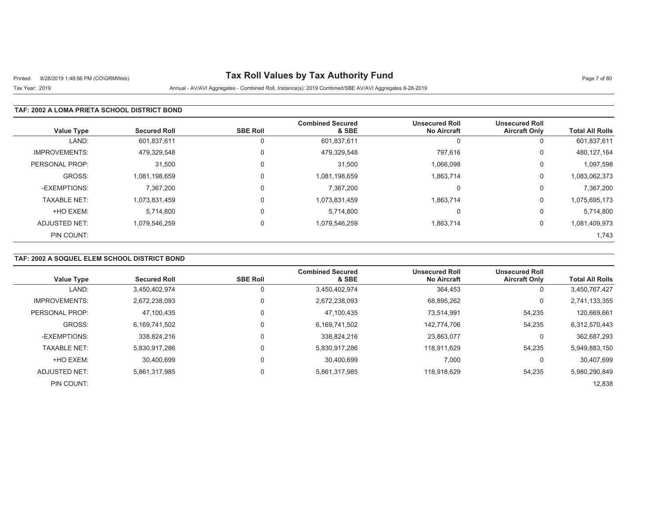# Printed: 8/28/2019 1:48:56 PM (CO\GRMWeb) **Tax Roll Values by Tax Authority Fund** Page 7 of 80

Tax Year: 2019 Annual - AV/AVI Aggregates - Combined Roll, Instance(s): 2019 Combined/SBE AV/AVI Aggregates 8-28-2019

### **TAF: 2002 A LOMA PRIETA SCHOOL DISTRICT BOND**

| <b>Value Type</b>    | <b>Secured Roll</b> | <b>SBE Roll</b> | <b>Combined Secured</b><br>& SBE | <b>Unsecured Roll</b><br><b>No Aircraft</b> | <b>Unsecured Roll</b><br><b>Aircraft Only</b> | <b>Total All Rolls</b> |
|----------------------|---------------------|-----------------|----------------------------------|---------------------------------------------|-----------------------------------------------|------------------------|
| LAND:                | 601,837,611         |                 | 601,837,611                      | U                                           | U                                             | 601,837,611            |
| <b>IMPROVEMENTS:</b> | 479.329.548         | 0               | 479,329,548                      | 797,616                                     | 0                                             | 480, 127, 164          |
| PERSONAL PROP:       | 31,500              | 0               | 31,500                           | 1,066,098                                   | 0                                             | 1,097,598              |
| GROSS:               | 1,081,198,659       |                 | 1,081,198,659                    | 1,863,714                                   | 0                                             | 1,083,062,373          |
| -EXEMPTIONS:         | 7,367,200           |                 | 7,367,200                        | 0                                           | 0                                             | 7,367,200              |
| <b>TAXABLE NET:</b>  | 1,073,831,459       | $\Omega$        | 1,073,831,459                    | 1,863,714                                   | 0                                             | 1,075,695,173          |
| +HO EXEM:            | 5,714,800           |                 | 5,714,800                        | 0                                           | 0                                             | 5,714,800              |
| ADJUSTED NET:        | 1,079,546,259       | $\Omega$        | 1,079,546,259                    | 1,863,714                                   | 0                                             | 1,081,409,973          |
| PIN COUNT:           |                     |                 |                                  |                                             |                                               | 1,743                  |

### **TAF: 2002 A SOQUEL ELEM SCHOOL DISTRICT BOND**

| <b>Value Type</b>    | <b>Secured Roll</b> | <b>SBE Roll</b> | <b>Combined Secured</b><br>& SBE | <b>Unsecured Roll</b><br><b>No Aircraft</b> | <b>Unsecured Roll</b><br><b>Aircraft Only</b> | <b>Total All Rolls</b> |
|----------------------|---------------------|-----------------|----------------------------------|---------------------------------------------|-----------------------------------------------|------------------------|
| LAND:                | 3,450,402,974       |                 | 3,450,402,974                    | 364,453                                     | 0                                             | 3,450,767,427          |
|                      |                     |                 |                                  |                                             |                                               |                        |
| <b>IMPROVEMENTS:</b> | 2.672.238.093       |                 | 2,672,238,093                    | 68,895,262                                  | 0                                             | 2,741,133,355          |
| PERSONAL PROP:       | 47.100.435          | $\Omega$        | 47.100.435                       | 73.514.991                                  | 54,235                                        | 120,669,661            |
| GROSS:               | 6,169,741,502       | $\Omega$        | 6,169,741,502                    | 142.774.706                                 | 54,235                                        | 6,312,570,443          |
| -EXEMPTIONS:         | 338.824.216         |                 | 338,824,216                      | 23,863,077                                  | 0                                             | 362,687,293            |
| <b>TAXABLE NET:</b>  | 5,830,917,286       |                 | 5,830,917,286                    | 118.911.629                                 | 54,235                                        | 5,949,883,150          |
| +HO EXEM:            | 30.400.699          |                 | 30.400.699                       | 7,000                                       | $\Omega$                                      | 30,407,699             |
| ADJUSTED NET:        | 5,861,317,985       | $\Omega$        | 5,861,317,985                    | 118.918.629                                 | 54,235                                        | 5,980,290,849          |
| PIN COUNT:           |                     |                 |                                  |                                             |                                               | 12,838                 |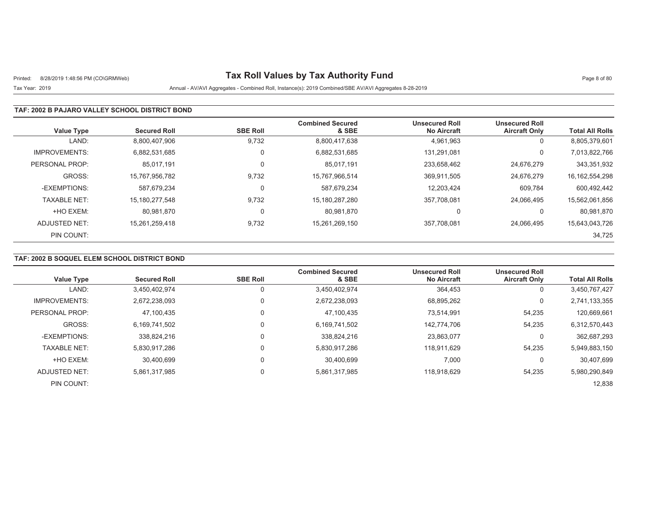# Printed: 8/28/2019 1:48:56 PM (CO\GRMWeb) **Tax Roll Values by Tax Authority Fund** Page 8 of 80

## Tax Year: 2019 Annual - AV/AVI Aggregates - Combined Roll, Instance(s): 2019 Combined/SBE AV/AVI Aggregates 8-28-2019

#### **TAF: 2002 B PAJARO VALLEY SCHOOL DISTRICT BOND**

| <b>Value Type</b>    | <b>Secured Roll</b> | <b>SBE Roll</b> | <b>Combined Secured</b><br>& SBE | <b>Unsecured Roll</b><br><b>No Aircraft</b> | <b>Unsecured Roll</b><br><b>Aircraft Only</b> | <b>Total All Rolls</b> |
|----------------------|---------------------|-----------------|----------------------------------|---------------------------------------------|-----------------------------------------------|------------------------|
| LAND:                | 8,800,407,906       | 9,732           | 8,800,417,638                    | 4,961,963                                   | 0                                             | 8,805,379,601          |
| <b>IMPROVEMENTS:</b> | 6.882.531.685       | 0               | 6,882,531,685                    | 131.291.081                                 | 0                                             | 7,013,822,766          |
| PERSONAL PROP:       | 85.017.191          | 0               | 85.017.191                       | 233.658.462                                 | 24,676,279                                    | 343,351,932            |
| GROSS:               | 15,767,956,782      | 9,732           | 15,767,966,514                   | 369,911,505                                 | 24,676,279                                    | 16, 162, 554, 298      |
| -EXEMPTIONS:         | 587.679.234         | 0               | 587,679,234                      | 12.203.424                                  | 609,784                                       | 600,492,442            |
| <b>TAXABLE NET:</b>  | 15,180,277,548      | 9,732           | 15,180,287,280                   | 357,708,081                                 | 24.066.495                                    | 15,562,061,856         |
| +HO EXEM:            | 80.981.870          | 0               | 80,981,870                       |                                             | 0                                             | 80,981,870             |
| ADJUSTED NET:        | 15.261.259.418      | 9,732           | 15,261,269,150                   | 357,708,081                                 | 24.066.495                                    | 15,643,043,726         |
| PIN COUNT:           |                     |                 |                                  |                                             |                                               | 34,725                 |

### **TAF: 2002 B SOQUEL ELEM SCHOOL DISTRICT BOND**

| <b>Value Type</b>    | <b>Secured Roll</b> | <b>SBE Roll</b> | <b>Combined Secured</b><br>& SBE | <b>Unsecured Roll</b><br><b>No Aircraft</b> | <b>Unsecured Roll</b><br><b>Aircraft Only</b> | <b>Total All Rolls</b> |
|----------------------|---------------------|-----------------|----------------------------------|---------------------------------------------|-----------------------------------------------|------------------------|
| LAND:                | 3,450,402,974       |                 | 3,450,402,974                    | 364,453                                     | 0                                             | 3,450,767,427          |
| <b>IMPROVEMENTS:</b> | 2.672.238.093       |                 | 2,672,238,093                    | 68,895,262                                  | 0                                             | 2,741,133,355          |
| PERSONAL PROP:       | 47,100,435          |                 | 47,100,435                       | 73.514.991                                  | 54,235                                        | 120,669,661            |
| GROSS:               | 6.169.741.502       |                 | 6,169,741,502                    | 142.774.706                                 | 54.235                                        | 6,312,570,443          |
| -EXEMPTIONS:         | 338.824.216         |                 | 338,824,216                      | 23,863,077                                  | 0                                             | 362,687,293            |
| <b>TAXABLE NET:</b>  | 5,830,917,286       |                 | 5,830,917,286                    | 118.911.629                                 | 54,235                                        | 5,949,883,150          |
| +HO EXEM:            | 30.400.699          |                 | 30,400,699                       | 7,000                                       | 0                                             | 30,407,699             |
| ADJUSTED NET:        | 5,861,317,985       |                 | 5,861,317,985                    | 118.918.629                                 | 54,235                                        | 5,980,290,849          |
| PIN COUNT:           |                     |                 |                                  |                                             |                                               | 12,838                 |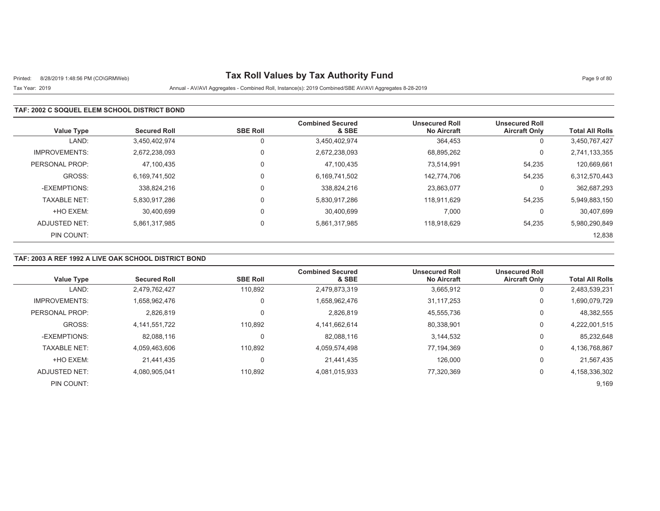# Printed: 8/28/2019 1:48:56 PM (CO\GRMWeb) **Tax Roll Values by Tax Authority Fund** Page 9 of 80

## Tax Year: 2019 Annual - AV/AVI Aggregates - Combined Roll, Instance(s): 2019 Combined/SBE AV/AVI Aggregates 8-28-2019

### **TAF: 2002 C SOQUEL ELEM SCHOOL DISTRICT BOND**

| <b>Value Type</b>    | <b>Secured Roll</b> | <b>SBE Roll</b> | <b>Combined Secured</b><br>& SBE | <b>Unsecured Roll</b><br><b>No Aircraft</b> | <b>Unsecured Roll</b><br><b>Aircraft Only</b> | <b>Total All Rolls</b> |
|----------------------|---------------------|-----------------|----------------------------------|---------------------------------------------|-----------------------------------------------|------------------------|
| LAND:                | 3.450.402.974       |                 | 3,450,402,974                    | 364,453                                     | 0                                             | 3,450,767,427          |
| <b>IMPROVEMENTS:</b> | 2.672.238.093       | 0               | 2,672,238,093                    | 68,895,262                                  | 0                                             | 2,741,133,355          |
| PERSONAL PROP:       | 47,100,435          | 0               | 47,100,435                       | 73.514.991                                  | 54,235                                        | 120,669,661            |
| GROSS:               | 6,169,741,502       | $\Omega$        | 6,169,741,502                    | 142.774.706                                 | 54,235                                        | 6,312,570,443          |
| -EXEMPTIONS:         | 338.824.216         |                 | 338,824,216                      | 23,863,077                                  | 0                                             | 362,687,293            |
| <b>TAXABLE NET:</b>  | 5,830,917,286       | $\Omega$        | 5,830,917,286                    | 118,911,629                                 | 54,235                                        | 5,949,883,150          |
| +HO EXEM:            | 30.400.699          |                 | 30.400.699                       | 7.000                                       | 0                                             | 30.407.699             |
| ADJUSTED NET:        | 5.861.317.985       | $\Omega$        | 5,861,317,985                    | 118.918.629                                 | 54.235                                        | 5,980,290,849          |
| PIN COUNT:           |                     |                 |                                  |                                             |                                               | 12,838                 |

### **TAF: 2003 A REF 1992 A LIVE OAK SCHOOL DISTRICT BOND**

| <b>Value Type</b>    | <b>Secured Roll</b> | <b>SBE Roll</b> | <b>Combined Secured</b><br>& SBE | <b>Unsecured Roll</b><br><b>No Aircraft</b> | <b>Unsecured Roll</b><br><b>Aircraft Only</b> | <b>Total All Rolls</b> |
|----------------------|---------------------|-----------------|----------------------------------|---------------------------------------------|-----------------------------------------------|------------------------|
| LAND:                | 2,479,762,427       | 110,892         | 2,479,873,319                    | 3,665,912                                   | 0                                             | 2,483,539,231          |
| <b>IMPROVEMENTS:</b> | 1,658,962,476       | 0               | 1,658,962,476                    | 31.117.253                                  | 0                                             | 1,690,079,729          |
| PERSONAL PROP:       | 2.826.819           | 0               | 2.826.819                        | 45,555,736                                  | 0                                             | 48,382,555             |
| GROSS:               | 4,141,551,722       | 110.892         | 4,141,662,614                    | 80,338,901                                  | 0                                             | 4,222,001,515          |
| -EXEMPTIONS:         | 82,088,116          | 0               | 82,088,116                       | 3,144,532                                   | 0                                             | 85,232,648             |
| <b>TAXABLE NET:</b>  | 4.059.463.606       | 110.892         | 4,059,574,498                    | 77.194.369                                  | 0                                             | 4,136,768,867          |
| +HO EXEM:            | 21.441.435          | 0               | 21,441,435                       | 126,000                                     | 0                                             | 21,567,435             |
| ADJUSTED NET:        | 4,080,905,041       | 110,892         | 4,081,015,933                    | 77,320,369                                  | 0                                             | 4,158,336,302          |
| PIN COUNT:           |                     |                 |                                  |                                             |                                               | 9,169                  |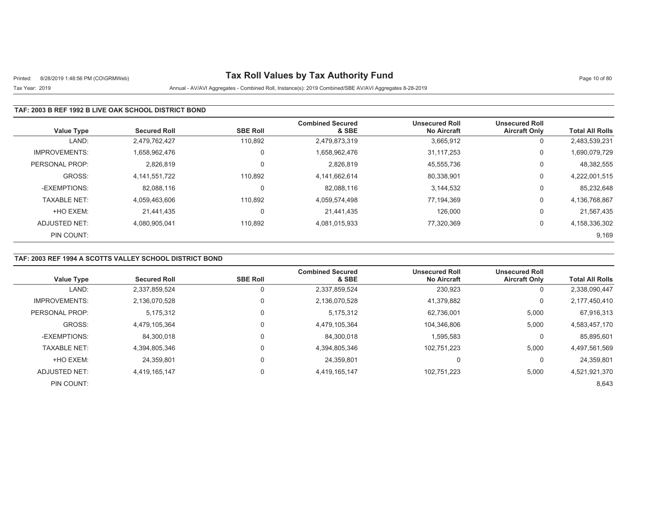# Printed: 8/28/2019 1:48:56 PM (CO\GRMWeb) **Tax Roll Values by Tax Authority Fund** Page 10 of 80

## Tax Year: 2019 Annual - AV/AVI Aggregates - Combined Roll, Instance(s): 2019 Combined/SBE AV/AVI Aggregates 8-28-2019

#### **TAF: 2003 B REF 1992 B LIVE OAK SCHOOL DISTRICT BOND**

| <b>Value Type</b>    | <b>Secured Roll</b> | <b>SBE Roll</b> | <b>Combined Secured</b><br>& SBE | <b>Unsecured Roll</b><br><b>No Aircraft</b> | <b>Unsecured Roll</b><br><b>Aircraft Only</b> | <b>Total All Rolls</b> |
|----------------------|---------------------|-----------------|----------------------------------|---------------------------------------------|-----------------------------------------------|------------------------|
| LAND:                | 2,479,762,427       | 110.892         | 2,479,873,319                    | 3,665,912                                   | 0                                             | 2,483,539,231          |
| <b>IMPROVEMENTS:</b> | 1.658.962.476       | 0               | 1,658,962,476                    | 31.117.253                                  | 0                                             | 1,690,079,729          |
| PERSONAL PROP:       | 2,826,819           | 0               | 2.826.819                        | 45,555,736                                  | 0                                             | 48,382,555             |
| GROSS:               | 4,141,551,722       | 110,892         | 4,141,662,614                    | 80,338,901                                  | 0                                             | 4,222,001,515          |
| -EXEMPTIONS:         | 82.088.116          |                 | 82,088,116                       | 3.144.532                                   | 0                                             | 85,232,648             |
| <b>TAXABLE NET:</b>  | 4,059,463,606       | 110,892         | 4,059,574,498                    | 77,194,369                                  | 0                                             | 4,136,768,867          |
| +HO EXEM:            | 21.441.435          | 0               | 21.441.435                       | 126.000                                     | 0                                             | 21,567,435             |
| ADJUSTED NET:        | 4.080.905.041       | 110,892         | 4,081,015,933                    | 77,320,369                                  | 0                                             | 4,158,336,302          |
| PIN COUNT:           |                     |                 |                                  |                                             |                                               | 9,169                  |

### **TAF: 2003 REF 1994 A SCOTTS VALLEY SCHOOL DISTRICT BOND**

|                      |                     |                 | <b>Combined Secured</b> | <b>Unsecured Roll</b> | <b>Unsecured Roll</b> |                        |
|----------------------|---------------------|-----------------|-------------------------|-----------------------|-----------------------|------------------------|
| <b>Value Type</b>    | <b>Secured Roll</b> | <b>SBE Roll</b> | & SBE                   | <b>No Aircraft</b>    | <b>Aircraft Only</b>  | <b>Total All Rolls</b> |
| LAND:                | 2,337,859,524       |                 | 2,337,859,524           | 230,923               | 0                     | 2,338,090,447          |
| <b>IMPROVEMENTS:</b> | 2,136,070,528       | 0               | 2,136,070,528           | 41,379,882            | 0                     | 2,177,450,410          |
| PERSONAL PROP:       | 5.175.312           | 0               | 5,175,312               | 62,736,001            | 5,000                 | 67,916,313             |
| GROSS:               | 4.479.105.364       | $\Omega$        | 4,479,105,364           | 104.346.806           | 5,000                 | 4,583,457,170          |
| -EXEMPTIONS:         | 84.300.018          |                 | 84,300,018              | 1,595,583             | 0                     | 85,895,601             |
| <b>TAXABLE NET:</b>  | 4,394,805,346       | 0               | 4,394,805,346           | 102,751,223           | 5,000                 | 4,497,561,569          |
| +HO EXEM:            | 24.359.801          |                 | 24.359.801              |                       | $\Omega$              | 24,359,801             |
| ADJUSTED NET:        | 4.419.165.147       | 0               | 4,419,165,147           | 102,751,223           | 5,000                 | 4,521,921,370          |
| PIN COUNT:           |                     |                 |                         |                       |                       | 8,643                  |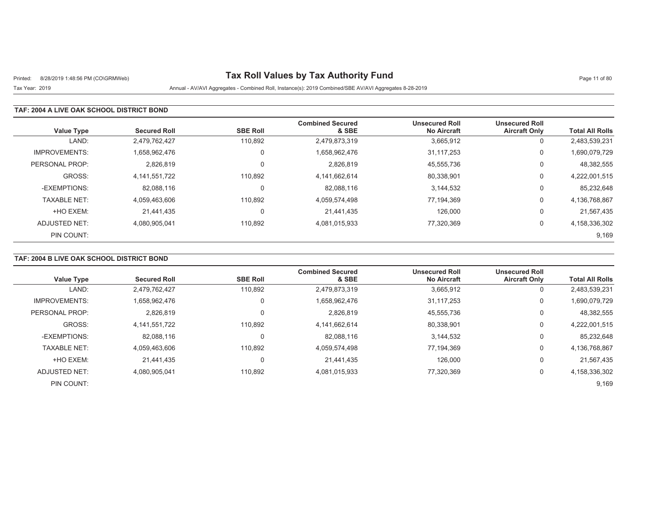# Printed: 8/28/2019 1:48:56 PM (CO\GRMWeb) **Tax Roll Values by Tax Authority Fund** Page 11 of 80

Tax Year: 2019 Annual - AV/AVI Aggregates - Combined Roll, Instance(s): 2019 Combined/SBE AV/AVI Aggregates 8-28-2019

#### **TAF: 2004 A LIVE OAK SCHOOL DISTRICT BOND**

| <b>Value Type</b>    | <b>Secured Roll</b> | <b>SBE Roll</b> | <b>Combined Secured</b><br>& SBE | <b>Unsecured Roll</b><br><b>No Aircraft</b> | <b>Unsecured Roll</b><br><b>Aircraft Only</b> | <b>Total All Rolls</b> |
|----------------------|---------------------|-----------------|----------------------------------|---------------------------------------------|-----------------------------------------------|------------------------|
| LAND:                | 2,479,762,427       | 110,892         | 2,479,873,319                    | 3,665,912                                   | 0                                             | 2,483,539,231          |
| <b>IMPROVEMENTS:</b> | 1.658.962.476       | 0               | 1,658,962,476                    | 31.117.253                                  | 0                                             | 1,690,079,729          |
| PERSONAL PROP:       | 2,826,819           | $\Omega$        | 2.826.819                        | 45,555,736                                  | 0                                             | 48,382,555             |
| GROSS:               | 4,141,551,722       | 110.892         | 4,141,662,614                    | 80,338,901                                  | 0                                             | 4,222,001,515          |
| -EXEMPTIONS:         | 82,088,116          | 0               | 82,088,116                       | 3.144.532                                   | 0                                             | 85,232,648             |
| <b>TAXABLE NET:</b>  | 4,059,463,606       | 110.892         | 4,059,574,498                    | 77,194,369                                  | 0                                             | 4,136,768,867          |
| +HO EXEM:            | 21.441.435          | 0               | 21.441.435                       | 126.000                                     | 0                                             | 21,567,435             |
| ADJUSTED NET:        | 4,080,905,041       | 110,892         | 4,081,015,933                    | 77,320,369                                  | 0                                             | 4,158,336,302          |
| PIN COUNT:           |                     |                 |                                  |                                             |                                               | 9,169                  |

### **TAF: 2004 B LIVE OAK SCHOOL DISTRICT BOND**

| <b>Value Type</b>    | <b>Secured Roll</b> | <b>SBE Roll</b> | <b>Combined Secured</b><br>& SBE | <b>Unsecured Roll</b><br><b>No Aircraft</b> | <b>Unsecured Roll</b><br><b>Aircraft Only</b> | <b>Total All Rolls</b> |
|----------------------|---------------------|-----------------|----------------------------------|---------------------------------------------|-----------------------------------------------|------------------------|
| LAND:                | 2,479,762,427       | 110.892         | 2,479,873,319                    | 3,665,912                                   | 0                                             | 2,483,539,231          |
| <b>IMPROVEMENTS:</b> | 1,658,962,476       | $\Omega$        | 1,658,962,476                    | 31,117,253                                  | 0                                             | 1,690,079,729          |
| PERSONAL PROP:       | 2,826,819           |                 | 2,826,819                        | 45,555,736                                  | 0                                             | 48,382,555             |
| GROSS:               | 4,141,551,722       | 110,892         | 4,141,662,614                    | 80,338,901                                  | 0                                             | 4,222,001,515          |
| -EXEMPTIONS:         | 82,088,116          | $\Omega$        | 82,088,116                       | 3,144,532                                   | 0                                             | 85,232,648             |
| <b>TAXABLE NET:</b>  | 4.059.463.606       | 110.892         | 4,059,574,498                    | 77.194.369                                  | 0                                             | 4,136,768,867          |
| +HO EXEM:            | 21.441.435          | $\Omega$        | 21,441,435                       | 126,000                                     | 0                                             | 21,567,435             |
| ADJUSTED NET:        | 4,080,905,041       | 110,892         | 4,081,015,933                    | 77,320,369                                  | 0                                             | 4,158,336,302          |
| PIN COUNT:           |                     |                 |                                  |                                             |                                               | 9,169                  |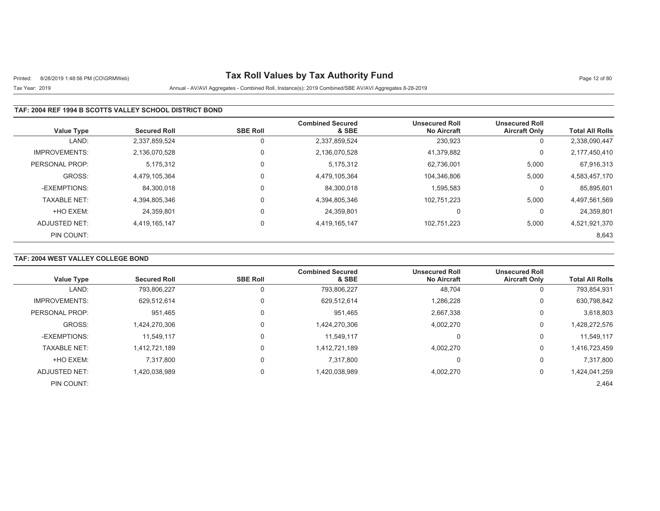# Printed: 8/28/2019 1:48:56 PM (CO\GRMWeb) **Tax Roll Values by Tax Authority Fund** Page 12 of 80

## Tax Year: 2019 Annual - AV/AVI Aggregates - Combined Roll, Instance(s): 2019 Combined/SBE AV/AVI Aggregates 8-28-2019

### **TAF: 2004 REF 1994 B SCOTTS VALLEY SCHOOL DISTRICT BOND**

| <b>Value Type</b>    | <b>Secured Roll</b> | <b>SBE Roll</b> | <b>Combined Secured</b><br>& SBE | <b>Unsecured Roll</b><br><b>No Aircraft</b> | <b>Unsecured Roll</b><br><b>Aircraft Only</b> | <b>Total All Rolls</b> |
|----------------------|---------------------|-----------------|----------------------------------|---------------------------------------------|-----------------------------------------------|------------------------|
| LAND:                | 2,337,859,524       | 0               | 2,337,859,524                    | 230,923                                     | υ                                             | 2,338,090,447          |
| <b>IMPROVEMENTS:</b> | 2,136,070,528       | 0               | 2,136,070,528                    | 41.379.882                                  | 0                                             | 2,177,450,410          |
| PERSONAL PROP:       | 5,175,312           | 0               | 5,175,312                        | 62,736,001                                  | 5,000                                         | 67,916,313             |
| GROSS:               | 4.479.105.364       | $\mathbf 0$     | 4,479,105,364                    | 104.346.806                                 | 5,000                                         | 4,583,457,170          |
| -EXEMPTIONS:         | 84.300.018          | 0               | 84.300.018                       | 1,595,583                                   | υ                                             | 85,895,601             |
| <b>TAXABLE NET:</b>  | 4,394,805,346       | $\mathbf 0$     | 4,394,805,346                    | 102,751,223                                 | 5,000                                         | 4,497,561,569          |
| +HO EXEM:            | 24.359.801          | 0               | 24,359,801                       | C                                           | 0                                             | 24,359,801             |
| ADJUSTED NET:        | 4,419,165,147       | 0               | 4,419,165,147                    | 102,751,223                                 | 5,000                                         | 4,521,921,370          |
| PIN COUNT:           |                     |                 |                                  |                                             |                                               | 8,643                  |

## **TAF: 2004 WEST VALLEY COLLEGE BOND**

| <b>Value Type</b>    | <b>Secured Roll</b> | <b>SBE Roll</b> | <b>Combined Secured</b><br>& SBE | <b>Unsecured Roll</b><br><b>No Aircraft</b> | <b>Unsecured Roll</b><br><b>Aircraft Only</b> | <b>Total All Rolls</b> |
|----------------------|---------------------|-----------------|----------------------------------|---------------------------------------------|-----------------------------------------------|------------------------|
|                      |                     |                 |                                  |                                             |                                               |                        |
| LAND:                | 793,806,227         |                 | 793,806,227                      | 48,704                                      | 0                                             | 793,854,931            |
| <b>IMPROVEMENTS:</b> | 629,512,614         |                 | 629,512,614                      | 1,286,228                                   | 0                                             | 630,798,842            |
| PERSONAL PROP:       | 951.465             |                 | 951.465                          | 2,667,338                                   | 0                                             | 3,618,803              |
| GROSS:               | 1,424,270,306       |                 | 1,424,270,306                    | 4,002,270                                   | 0                                             | 1,428,272,576          |
| -EXEMPTIONS:         | 11.549.117          |                 | 11,549,117                       | $\Omega$                                    | 0                                             | 11,549,117             |
| <b>TAXABLE NET:</b>  | 1.412.721.189       |                 | 1,412,721,189                    | 4.002.270                                   | 0                                             | 1,416,723,459          |
| +HO EXEM:            | 7.317.800           |                 | 7,317,800                        |                                             | 0                                             | 7,317,800              |
| ADJUSTED NET:        | 1,420,038,989       |                 | 1,420,038,989                    | 4,002,270                                   | 0                                             | 1,424,041,259          |
| PIN COUNT:           |                     |                 |                                  |                                             |                                               | 2,464                  |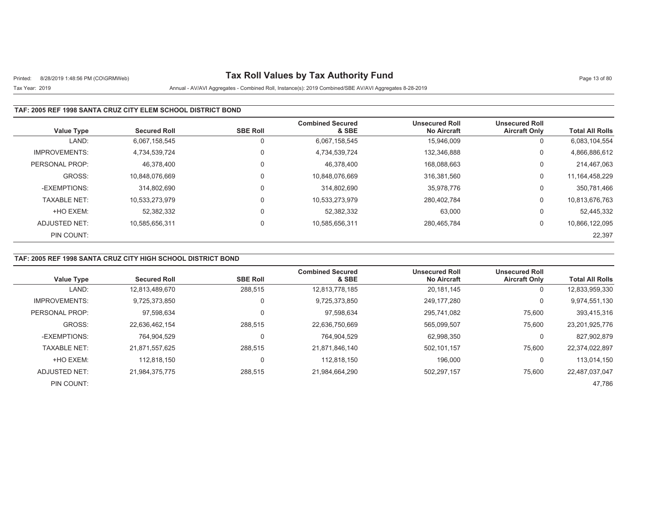# Printed: 8/28/2019 1:48:56 PM (CO\GRMWeb) **Tax Roll Values by Tax Authority Fund** Page 13 of 80

## Tax Year: 2019 Annual - AV/AVI Aggregates - Combined Roll, Instance(s): 2019 Combined/SBE AV/AVI Aggregates 8-28-2019

### **TAF: 2005 REF 1998 SANTA CRUZ CITY ELEM SCHOOL DISTRICT BOND**

| <b>Value Type</b>    | <b>Secured Roll</b> | <b>SBE Roll</b> | <b>Combined Secured</b><br>& SBE | <b>Unsecured Roll</b><br><b>No Aircraft</b> | <b>Unsecured Roll</b><br><b>Aircraft Only</b> | <b>Total All Rolls</b> |
|----------------------|---------------------|-----------------|----------------------------------|---------------------------------------------|-----------------------------------------------|------------------------|
| LAND:                | 6.067.158.545       | 0               | 6,067,158,545                    | 15.946.009                                  | 0                                             | 6,083,104,554          |
| <b>IMPROVEMENTS:</b> | 4,734,539,724       | 0               | 4,734,539,724                    | 132.346.888                                 | 0                                             | 4,866,886,612          |
| PERSONAL PROP:       | 46.378.400          | 0               | 46.378.400                       | 168.088.663                                 | 0                                             | 214.467.063            |
| GROSS:               | 10.848.076.669      | 0               | 10,848,076,669                   | 316.381.560                                 | 0                                             | 11, 164, 458, 229      |
| -EXEMPTIONS:         | 314.802.690         | 0               | 314,802,690                      | 35,978,776                                  | 0                                             | 350,781,466            |
| <b>TAXABLE NET:</b>  | 10,533,273,979      | 0               | 10,533,273,979                   | 280,402,784                                 | 0                                             | 10,813,676,763         |
| +HO EXEM:            | 52.382.332          | 0               | 52,382,332                       | 63,000                                      | 0                                             | 52,445,332             |
| ADJUSTED NET:        | 10,585,656,311      | 0               | 10,585,656,311                   | 280.465.784                                 | 0                                             | 10,866,122,095         |
| PIN COUNT:           |                     |                 |                                  |                                             |                                               | 22,397                 |

### **TAF: 2005 REF 1998 SANTA CRUZ CITY HIGH SCHOOL DISTRICT BOND**

| <b>Value Type</b>    | <b>Secured Roll</b> | <b>SBE Roll</b> | <b>Combined Secured</b><br>& SBE | <b>Unsecured Roll</b><br><b>No Aircraft</b> | <b>Unsecured Roll</b><br><b>Aircraft Only</b> | <b>Total All Rolls</b> |
|----------------------|---------------------|-----------------|----------------------------------|---------------------------------------------|-----------------------------------------------|------------------------|
| LAND:                | 12,813,489,670      | 288,515         | 12,813,778,185                   | 20,181,145                                  | 0                                             | 12,833,959,330         |
| <b>IMPROVEMENTS:</b> | 9.725.373.850       | 0               | 9,725,373,850                    | 249.177.280                                 | 0                                             | 9,974,551,130          |
| PERSONAL PROP:       | 97,598,634          | 0               | 97,598,634                       | 295.741.082                                 | 75,600                                        | 393,415,316            |
| GROSS:               | 22.636.462.154      | 288,515         | 22,636,750,669                   | 565.099.507                                 | 75,600                                        | 23,201,925,776         |
| -EXEMPTIONS:         | 764,904,529         | 0               | 764,904,529                      | 62,998,350                                  | 0                                             | 827,902,879            |
| <b>TAXABLE NET:</b>  | 21,871,557,625      | 288.515         | 21,871,846,140                   | 502.101.157                                 | 75,600                                        | 22,374,022,897         |
| +HO EXEM:            | 112.818.150         | 0               | 112.818.150                      | 196.000                                     | 0                                             | 113,014,150            |
| ADJUSTED NET:        | 21,984,375,775      | 288,515         | 21,984,664,290                   | 502,297,157                                 | 75,600                                        | 22,487,037,047         |
| PIN COUNT:           |                     |                 |                                  |                                             |                                               | 47.786                 |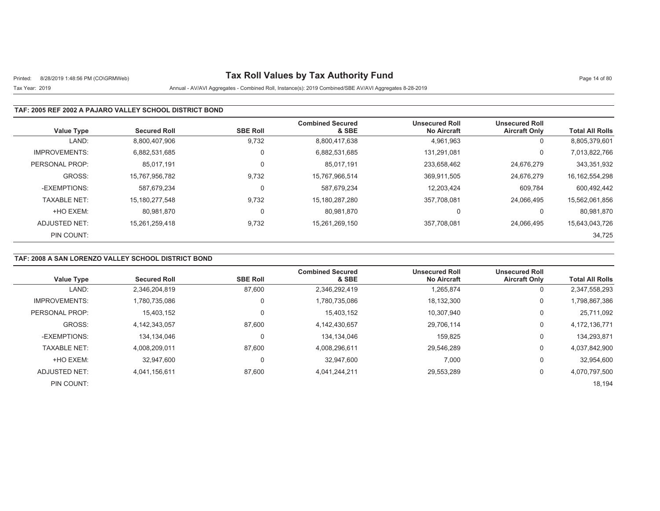# Printed: 8/28/2019 1:48:56 PM (CO\GRMWeb) **Tax Roll Values by Tax Authority Fund** Page 14 of 80

## Tax Year: 2019 Annual - AV/AVI Aggregates - Combined Roll, Instance(s): 2019 Combined/SBE AV/AVI Aggregates 8-28-2019

### **TAF: 2005 REF 2002 A PAJARO VALLEY SCHOOL DISTRICT BOND**

| <b>Value Type</b>    | <b>Secured Roll</b> | <b>SBE Roll</b> | <b>Combined Secured</b><br>& SBE | <b>Unsecured Roll</b><br><b>No Aircraft</b> | <b>Unsecured Roll</b><br><b>Aircraft Only</b> | <b>Total All Rolls</b> |
|----------------------|---------------------|-----------------|----------------------------------|---------------------------------------------|-----------------------------------------------|------------------------|
| LAND:                | 8,800,407,906       | 9,732           | 8,800,417,638                    | 4,961,963                                   | 0                                             | 8,805,379,601          |
| <b>IMPROVEMENTS:</b> | 6.882.531.685       | 0               | 6,882,531,685                    | 131.291.081                                 | 0                                             | 7,013,822,766          |
| PERSONAL PROP:       | 85.017.191          | $\mathbf 0$     | 85.017.191                       | 233.658.462                                 | 24,676,279                                    | 343,351,932            |
| GROSS:               | 15.767.956.782      | 9,732           | 15,767,966,514                   | 369,911,505                                 | 24.676.279                                    | 16, 162, 554, 298      |
| -EXEMPTIONS:         | 587.679.234         | 0               | 587.679.234                      | 12.203.424                                  | 609,784                                       | 600,492,442            |
| <b>TAXABLE NET:</b>  | 15, 180, 277, 548   | 9,732           | 15,180,287,280                   | 357,708,081                                 | 24.066.495                                    | 15,562,061,856         |
| +HO EXEM:            | 80.981.870          | 0               | 80.981.870                       | $\Omega$                                    | 0                                             | 80,981,870             |
| ADJUSTED NET:        | 15.261.259.418      | 9,732           | 15,261,269,150                   | 357,708,081                                 | 24.066.495                                    | 15,643,043,726         |
| PIN COUNT:           |                     |                 |                                  |                                             |                                               | 34,725                 |

### **TAF: 2008 A SAN LORENZO VALLEY SCHOOL DISTRICT BOND**

|                      |                     |                 | <b>Combined Secured</b> | <b>Unsecured Roll</b> | <b>Unsecured Roll</b> |                        |
|----------------------|---------------------|-----------------|-------------------------|-----------------------|-----------------------|------------------------|
| <b>Value Type</b>    | <b>Secured Roll</b> | <b>SBE Roll</b> | & SBE                   | <b>No Aircraft</b>    | <b>Aircraft Only</b>  | <b>Total All Rolls</b> |
| LAND:                | 2,346,204,819       | 87,600          | 2,346,292,419           | 1,265,874             | υ                     | 2,347,558,293          |
| <b>IMPROVEMENTS:</b> | 1.780.735.086       | 0               | 1,780,735,086           | 18,132,300            | 0                     | 1,798,867,386          |
| PERSONAL PROP:       | 15,403,152          | 0               | 15,403,152              | 10,307,940            | υ                     | 25,711,092             |
| GROSS:               | 4,142,343,057       | 87,600          | 4,142,430,657           | 29,706,114            | 0                     | 4, 172, 136, 771       |
| -EXEMPTIONS:         | 134,134,046         | 0               | 134,134,046             | 159,825               | 0                     | 134,293,871            |
| <b>TAXABLE NET:</b>  | 4.008.209.011       | 87.600          | 4,008,296,611           | 29.546.289            | 0                     | 4,037,842,900          |
| +HO EXEM:            | 32.947.600          | 0               | 32.947.600              | 7,000                 | υ                     | 32,954,600             |
| <b>ADJUSTED NET:</b> | 4.041.156.611       | 87,600          | 4,041,244,211           | 29,553,289            | 0                     | 4,070,797,500          |
| PIN COUNT:           |                     |                 |                         |                       |                       | 18,194                 |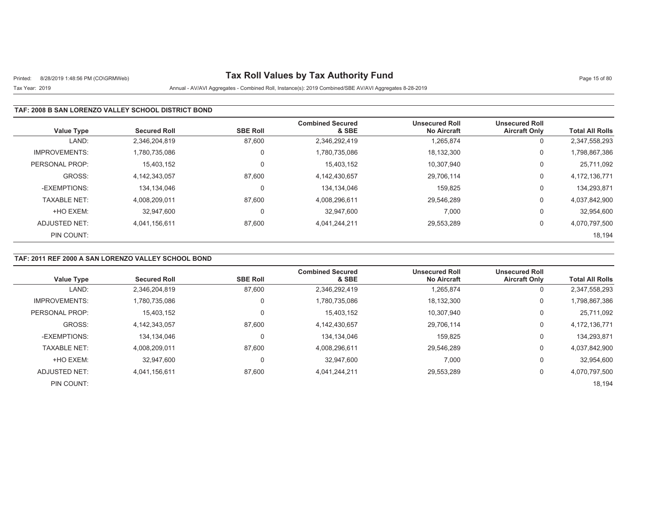# Printed: 8/28/2019 1:48:56 PM (CO\GRMWeb) **Tax Roll Values by Tax Authority Fund** Page 15 of 80

## Tax Year: 2019 Annual - AV/AVI Aggregates - Combined Roll, Instance(s): 2019 Combined/SBE AV/AVI Aggregates 8-28-2019

### **TAF: 2008 B SAN LORENZO VALLEY SCHOOL DISTRICT BOND**

| <b>Value Type</b>    | <b>Secured Roll</b> | <b>SBE Roll</b> | <b>Combined Secured</b><br>& SBE | <b>Unsecured Roll</b><br><b>No Aircraft</b> | <b>Unsecured Roll</b><br><b>Aircraft Only</b> | <b>Total All Rolls</b> |
|----------------------|---------------------|-----------------|----------------------------------|---------------------------------------------|-----------------------------------------------|------------------------|
| LAND:                | 2,346,204,819       | 87,600          | 2,346,292,419                    | 1,265,874                                   | 0                                             | 2,347,558,293          |
| <b>IMPROVEMENTS:</b> | 1,780,735,086       | 0               | 1,780,735,086                    | 18,132,300                                  | 0                                             | 1,798,867,386          |
| PERSONAL PROP:       | 15,403,152          | 0               | 15,403,152                       | 10.307.940                                  | 0                                             | 25,711,092             |
| GROSS:               | 4,142,343,057       | 87,600          | 4,142,430,657                    | 29,706,114                                  | 0                                             | 4,172,136,771          |
| -EXEMPTIONS:         | 134.134.046         | 0               | 134,134,046                      | 159.825                                     | 0                                             | 134,293,871            |
| <b>TAXABLE NET:</b>  | 4,008,209,011       | 87,600          | 4,008,296,611                    | 29,546,289                                  | 0                                             | 4,037,842,900          |
| +HO EXEM:            | 32.947.600          | 0               | 32.947.600                       | 7,000                                       | 0                                             | 32,954,600             |
| ADJUSTED NET:        | 4.041.156.611       | 87,600          | 4,041,244,211                    | 29,553,289                                  | 0                                             | 4,070,797,500          |
| PIN COUNT:           |                     |                 |                                  |                                             |                                               | 18,194                 |

### **TAF: 2011 REF 2000 A SAN LORENZO VALLEY SCHOOL BOND**

| Value Type           | <b>Secured Roll</b> | <b>SBE Roll</b> | <b>Combined Secured</b><br>& SBE | <b>Unsecured Roll</b><br><b>No Aircraft</b> | <b>Unsecured Roll</b><br><b>Aircraft Only</b> | <b>Total All Rolls</b> |
|----------------------|---------------------|-----------------|----------------------------------|---------------------------------------------|-----------------------------------------------|------------------------|
| LAND:                | 2,346,204,819       | 87,600          | 2,346,292,419                    | 1,265,874                                   | 0                                             | 2,347,558,293          |
| <b>IMPROVEMENTS:</b> | 1.780.735.086       | $\Omega$        | 1,780,735,086                    | 18,132,300                                  | 0                                             | 1,798,867,386          |
| PERSONAL PROP:       | 15,403,152          | $\mathbf 0$     | 15,403,152                       | 10,307,940                                  | 0                                             | 25,711,092             |
| GROSS:               | 4.142.343.057       | 87.600          | 4.142.430.657                    | 29.706.114                                  | 0                                             | 4,172,136,771          |
| -EXEMPTIONS:         | 134.134.046         | $\Omega$        | 134,134,046                      | 159.825                                     | 0                                             | 134,293,871            |
| <b>TAXABLE NET:</b>  | 4.008.209.011       | 87.600          | 4,008,296,611                    | 29,546,289                                  | 0                                             | 4,037,842,900          |
| +HO EXEM:            | 32,947,600          | 0               | 32,947,600                       | 7,000                                       | 0                                             | 32,954,600             |
| ADJUSTED NET:        | 4.041.156.611       | 87,600          | 4,041,244,211                    | 29,553,289                                  | 0                                             | 4,070,797,500          |
| PIN COUNT:           |                     |                 |                                  |                                             |                                               | 18,194                 |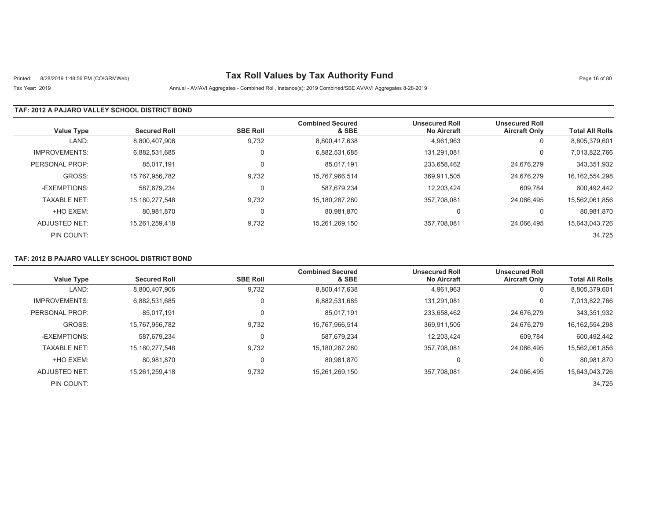# Printed: 8/28/2019 1:48:56 PM (CO\GRMWeb) **Tax Roll Values by Tax Authority Fund** Page 16 of 80

## Tax Year: 2019 Annual - AV/AVI Aggregates - Combined Roll, Instance(s): 2019 Combined/SBE AV/AVI Aggregates 8-28-2019

#### **TAF: 2012 A PAJARO VALLEY SCHOOL DISTRICT BOND**

| <b>Value Type</b>    | <b>Secured Roll</b> | <b>SBE Roll</b> | <b>Combined Secured</b><br>& SBE | <b>Unsecured Roll</b><br><b>No Aircraft</b> | <b>Unsecured Roll</b><br><b>Aircraft Only</b> | <b>Total All Rolls</b> |
|----------------------|---------------------|-----------------|----------------------------------|---------------------------------------------|-----------------------------------------------|------------------------|
| LAND:                | 8,800,407,906       | 9,732           | 8,800,417,638                    | 4,961,963                                   | 0                                             | 8,805,379,601          |
| <b>IMPROVEMENTS:</b> | 6.882.531.685       | $\Omega$        | 6,882,531,685                    | 131.291.081                                 | 0                                             | 7,013,822,766          |
| PERSONAL PROP:       | 85.017.191          | $\Omega$        | 85.017.191                       | 233.658.462                                 | 24,676,279                                    | 343,351,932            |
| GROSS:               | 15,767,956,782      | 9,732           | 15,767,966,514                   | 369,911,505                                 | 24,676,279                                    | 16, 162, 554, 298      |
| -EXEMPTIONS:         | 587.679.234         |                 | 587,679,234                      | 12.203.424                                  | 609.784                                       | 600,492,442            |
| <b>TAXABLE NET:</b>  | 15, 180, 277, 548   | 9,732           | 15,180,287,280                   | 357,708,081                                 | 24.066.495                                    | 15,562,061,856         |
| +HO EXEM:            | 80.981.870          | $\Omega$        | 80,981,870                       | 0                                           | 0                                             | 80,981,870             |
| ADJUSTED NET:        | 15.261.259.418      | 9,732           | 15,261,269,150                   | 357.708.081                                 | 24.066.495                                    | 15,643,043,726         |
| PIN COUNT:           |                     |                 |                                  |                                             |                                               | 34,725                 |

### **TAF: 2012 B PAJARO VALLEY SCHOOL DISTRICT BOND**

|                      |                     |                 | <b>Combined Secured</b> | <b>Unsecured Roll</b> | <b>Unsecured Roll</b> |                        |
|----------------------|---------------------|-----------------|-------------------------|-----------------------|-----------------------|------------------------|
| <b>Value Type</b>    | <b>Secured Roll</b> | <b>SBE Roll</b> | & SBE                   | <b>No Aircraft</b>    | <b>Aircraft Only</b>  | <b>Total All Rolls</b> |
| LAND:                | 8,800,407,906       | 9,732           | 8,800,417,638           | 4,961,963             | 0                     | 8,805,379,601          |
| <b>IMPROVEMENTS:</b> | 6.882.531.685       |                 | 6,882,531,685           | 131.291.081           | 0                     | 7,013,822,766          |
| PERSONAL PROP:       | 85,017,191          |                 | 85,017,191              | 233,658,462           | 24,676,279            | 343,351,932            |
| GROSS:               | 15.767.956.782      | 9,732           | 15,767,966,514          | 369.911.505           | 24.676.279            | 16, 162, 554, 298      |
| -EXEMPTIONS:         | 587,679,234         |                 | 587,679,234             | 12,203,424            | 609,784               | 600,492,442            |
| <b>TAXABLE NET:</b>  | 15.180.277.548      | 9,732           | 15,180,287,280          | 357.708.081           | 24.066.495            | 15,562,061,856         |
| +HO EXEM:            | 80.981.870          | $\Omega$        | 80.981.870              | 0                     | 0                     | 80,981,870             |
| ADJUSTED NET:        | 15.261.259.418      | 9,732           | 15,261,269,150          | 357.708.081           | 24.066.495            | 15,643,043,726         |
| PIN COUNT:           |                     |                 |                         |                       |                       | 34,725                 |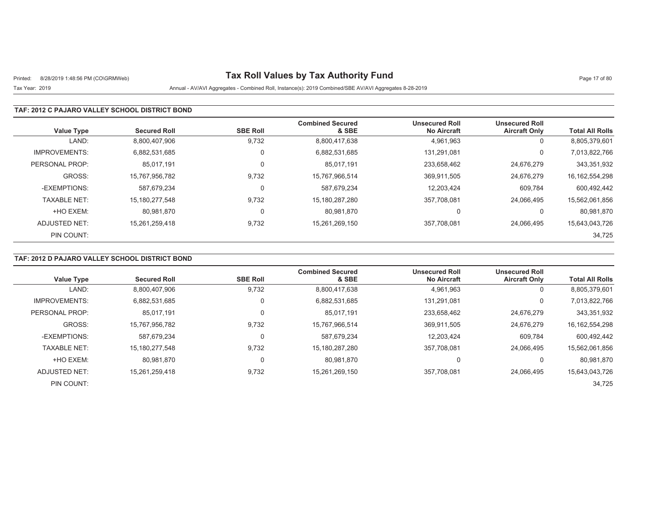# Printed: 8/28/2019 1:48:56 PM (CO\GRMWeb) **Tax Roll Values by Tax Authority Fund** Page 17 of 80

## Tax Year: 2019 Annual - AV/AVI Aggregates - Combined Roll, Instance(s): 2019 Combined/SBE AV/AVI Aggregates 8-28-2019

#### **TAF: 2012 C PAJARO VALLEY SCHOOL DISTRICT BOND**

| <b>Value Type</b>    | <b>Secured Roll</b> | <b>SBE Roll</b> | <b>Combined Secured</b><br>& SBE | <b>Unsecured Roll</b><br><b>No Aircraft</b> | <b>Unsecured Roll</b><br><b>Aircraft Only</b> | <b>Total All Rolls</b> |
|----------------------|---------------------|-----------------|----------------------------------|---------------------------------------------|-----------------------------------------------|------------------------|
| LAND:                | 8,800,407,906       | 9,732           | 8,800,417,638                    | 4,961,963                                   | 0                                             | 8,805,379,601          |
| <b>IMPROVEMENTS:</b> | 6.882.531.685       | $\Omega$        | 6,882,531,685                    | 131.291.081                                 | 0                                             | 7,013,822,766          |
| PERSONAL PROP:       | 85.017.191          | $\Omega$        | 85.017.191                       | 233.658.462                                 | 24,676,279                                    | 343,351,932            |
| GROSS:               | 15,767,956,782      | 9,732           | 15,767,966,514                   | 369,911,505                                 | 24,676,279                                    | 16, 162, 554, 298      |
| -EXEMPTIONS:         | 587.679.234         |                 | 587,679,234                      | 12.203.424                                  | 609.784                                       | 600,492,442            |
| <b>TAXABLE NET:</b>  | 15, 180, 277, 548   | 9,732           | 15,180,287,280                   | 357,708,081                                 | 24.066.495                                    | 15,562,061,856         |
| +HO EXEM:            | 80.981.870          | $\Omega$        | 80,981,870                       | 0                                           | 0                                             | 80,981,870             |
| ADJUSTED NET:        | 15.261.259.418      | 9,732           | 15,261,269,150                   | 357.708.081                                 | 24.066.495                                    | 15,643,043,726         |
| PIN COUNT:           |                     |                 |                                  |                                             |                                               | 34,725                 |

### **TAF: 2012 D PAJARO VALLEY SCHOOL DISTRICT BOND**

|                      |                     |                 | <b>Combined Secured</b> | <b>Unsecured Roll</b> | <b>Unsecured Roll</b> |                        |
|----------------------|---------------------|-----------------|-------------------------|-----------------------|-----------------------|------------------------|
| <b>Value Type</b>    | <b>Secured Roll</b> | <b>SBE Roll</b> | & SBE                   | <b>No Aircraft</b>    | <b>Aircraft Only</b>  | <b>Total All Rolls</b> |
| LAND:                | 8,800,407,906       | 9,732           | 8,800,417,638           | 4,961,963             | 0                     | 8,805,379,601          |
| <b>IMPROVEMENTS:</b> | 6.882.531.685       |                 | 6,882,531,685           | 131.291.081           | 0                     | 7,013,822,766          |
| PERSONAL PROP:       | 85,017,191          |                 | 85,017,191              | 233,658,462           | 24,676,279            | 343,351,932            |
| GROSS:               | 15.767.956.782      | 9,732           | 15,767,966,514          | 369.911.505           | 24.676.279            | 16, 162, 554, 298      |
| -EXEMPTIONS:         | 587,679,234         |                 | 587,679,234             | 12,203,424            | 609,784               | 600,492,442            |
| <b>TAXABLE NET:</b>  | 15.180.277.548      | 9,732           | 15,180,287,280          | 357.708.081           | 24.066.495            | 15,562,061,856         |
| +HO EXEM:            | 80.981.870          | $\Omega$        | 80.981.870              | 0                     | 0                     | 80,981,870             |
| ADJUSTED NET:        | 15.261.259.418      | 9,732           | 15,261,269,150          | 357.708.081           | 24.066.495            | 15,643,043,726         |
| PIN COUNT:           |                     |                 |                         |                       |                       | 34,725                 |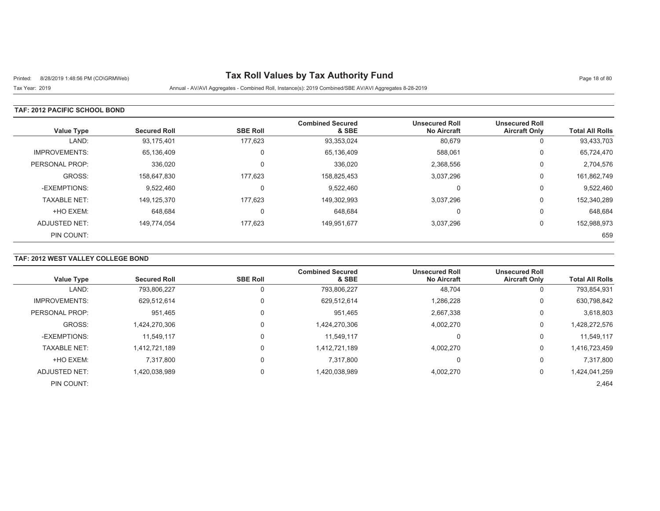# Printed: 8/28/2019 1:48:56 PM (CO\GRMWeb) **Tax Roll Values by Tax Authority Fund** Page 18 of 80

Tax Year: 2019 Annual - AV/AVI Aggregates - Combined Roll, Instance(s): 2019 Combined/SBE AV/AVI Aggregates 8-28-2019

### **TAF: 2012 PACIFIC SCHOOL BOND**

| <b>Value Type</b>    | <b>Secured Roll</b> | <b>SBE Roll</b> | <b>Combined Secured</b><br>& SBE | <b>Unsecured Roll</b><br><b>No Aircraft</b> | <b>Unsecured Roll</b><br><b>Aircraft Only</b> | <b>Total All Rolls</b> |
|----------------------|---------------------|-----------------|----------------------------------|---------------------------------------------|-----------------------------------------------|------------------------|
| LAND:                | 93,175,401          | 177.623         | 93,353,024                       | 80,679                                      | υ                                             | 93,433,703             |
| <b>IMPROVEMENTS:</b> | 65,136,409          | $\Omega$        | 65,136,409                       | 588,061                                     | 0                                             | 65,724,470             |
| PERSONAL PROP:       | 336,020             | $\Omega$        | 336,020                          | 2,368,556                                   | 0                                             | 2,704,576              |
| GROSS:               | 158,647,830         | 177.623         | 158,825,453                      | 3,037,296                                   | 0                                             | 161,862,749            |
| -EXEMPTIONS:         | 9,522,460           | $\mathbf{0}$    | 9,522,460                        | $\Omega$                                    | υ                                             | 9,522,460              |
| <b>TAXABLE NET:</b>  | 149,125,370         | 177,623         | 149,302,993                      | 3,037,296                                   | 0                                             | 152,340,289            |
| +HO EXEM:            | 648.684             | $\Omega$        | 648.684                          | C                                           | 0                                             | 648,684                |
| ADJUSTED NET:        | 149,774,054         | 177,623         | 149,951,677                      | 3,037,296                                   | 0                                             | 152,988,973            |
| PIN COUNT:           |                     |                 |                                  |                                             |                                               | 659                    |

## **TAF: 2012 WEST VALLEY COLLEGE BOND**

|                      | <b>Secured Roll</b> | <b>SBE Roll</b> | <b>Combined Secured</b><br>& SBE | <b>Unsecured Roll</b><br><b>No Aircraft</b> | <b>Unsecured Roll</b><br><b>Aircraft Only</b> | <b>Total All Rolls</b> |
|----------------------|---------------------|-----------------|----------------------------------|---------------------------------------------|-----------------------------------------------|------------------------|
| <b>Value Type</b>    |                     |                 |                                  |                                             |                                               |                        |
| LAND:                | 793,806,227         |                 | 793,806,227                      | 48,704                                      | 0                                             | 793,854,931            |
| <b>IMPROVEMENTS:</b> | 629,512,614         |                 | 629,512,614                      | 1,286,228                                   | 0                                             | 630,798,842            |
| PERSONAL PROP:       | 951.465             |                 | 951.465                          | 2.667.338                                   | 0                                             | 3,618,803              |
| GROSS:               | 1,424,270,306       |                 | 1,424,270,306                    | 4,002,270                                   | 0                                             | 1,428,272,576          |
| -EXEMPTIONS:         | 11,549,117          |                 | 11,549,117                       |                                             | 0                                             | 11,549,117             |
| <b>TAXABLE NET:</b>  | 1.412.721.189       |                 | 1,412,721,189                    | 4.002.270                                   | 0                                             | 1,416,723,459          |
| +HO EXEM:            | 7.317.800           |                 | 7.317.800                        |                                             | 0                                             | 7,317,800              |
| ADJUSTED NET:        | 1,420,038,989       | $\Omega$        | 1,420,038,989                    | 4,002,270                                   | 0                                             | 1,424,041,259          |
| PIN COUNT:           |                     |                 |                                  |                                             |                                               | 2,464                  |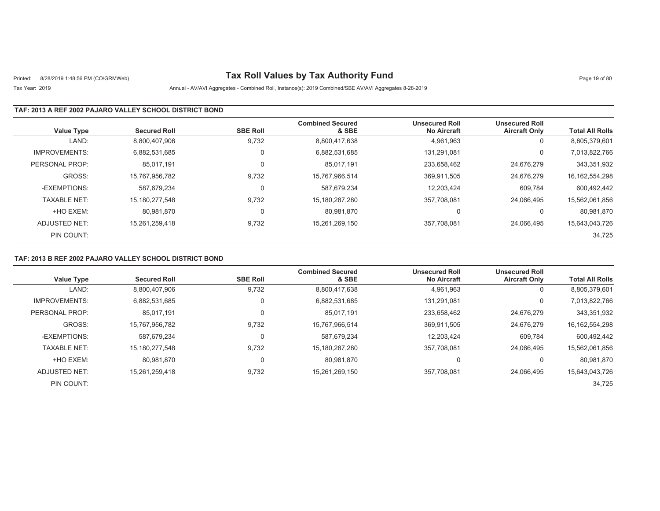# Printed: 8/28/2019 1:48:56 PM (CO\GRMWeb) **Tax Roll Values by Tax Authority Fund** Page 19 of 80

## Tax Year: 2019 Annual - AV/AVI Aggregates - Combined Roll, Instance(s): 2019 Combined/SBE AV/AVI Aggregates 8-28-2019

#### **TAF: 2013 A REF 2002 PAJARO VALLEY SCHOOL DISTRICT BOND**

| <b>Value Type</b>    | <b>Secured Roll</b> | <b>SBE Roll</b> | <b>Combined Secured</b><br>& SBE | <b>Unsecured Roll</b><br><b>No Aircraft</b> | <b>Unsecured Roll</b><br><b>Aircraft Only</b> | <b>Total All Rolls</b> |
|----------------------|---------------------|-----------------|----------------------------------|---------------------------------------------|-----------------------------------------------|------------------------|
| LAND:                | 8,800,407,906       | 9,732           | 8,800,417,638                    | 4,961,963                                   | 0                                             | 8,805,379,601          |
| <b>IMPROVEMENTS:</b> | 6.882.531.685       | 0               | 6,882,531,685                    | 131.291.081                                 | 0                                             | 7,013,822,766          |
| PERSONAL PROP:       | 85.017.191          | 0               | 85,017,191                       | 233,658,462                                 | 24,676,279                                    | 343,351,932            |
| GROSS:               | 15,767,956,782      | 9,732           | 15,767,966,514                   | 369,911,505                                 | 24.676.279                                    | 16, 162, 554, 298      |
| -EXEMPTIONS:         | 587.679.234         | 0               | 587.679.234                      | 12.203.424                                  | 609.784                                       | 600,492,442            |
| <b>TAXABLE NET:</b>  | 15, 180, 277, 548   | 9,732           | 15,180,287,280                   | 357,708,081                                 | 24,066,495                                    | 15,562,061,856         |
| +HO EXEM:            | 80,981,870          | 0               | 80,981,870                       | 0                                           | 0                                             | 80,981,870             |
| ADJUSTED NET:        | 15.261.259.418      | 9,732           | 15,261,269,150                   | 357,708,081                                 | 24.066.495                                    | 15,643,043,726         |
| PIN COUNT:           |                     |                 |                                  |                                             |                                               | 34,725                 |

### **TAF: 2013 B REF 2002 PAJARO VALLEY SCHOOL DISTRICT BOND**

|                      |                     |                 | <b>Combined Secured</b> | <b>Unsecured Roll</b> | <b>Unsecured Roll</b> |                        |
|----------------------|---------------------|-----------------|-------------------------|-----------------------|-----------------------|------------------------|
| <b>Value Type</b>    | <b>Secured Roll</b> | <b>SBE Roll</b> | & SBE                   | <b>No Aircraft</b>    | <b>Aircraft Only</b>  | <b>Total All Rolls</b> |
| LAND:                | 8,800,407,906       | 9,732           | 8,800,417,638           | 4,961,963             | 0                     | 8,805,379,601          |
| <b>IMPROVEMENTS:</b> | 6,882,531,685       | 0               | 6,882,531,685           | 131.291.081           | 0                     | 7,013,822,766          |
| PERSONAL PROP:       | 85,017,191          | 0               | 85,017,191              | 233,658,462           | 24.676.279            | 343,351,932            |
| GROSS:               | 15.767.956.782      | 9,732           | 15,767,966,514          | 369.911.505           | 24.676.279            | 16, 162, 554, 298      |
| -EXEMPTIONS:         | 587,679,234         | 0               | 587,679,234             | 12,203,424            | 609,784               | 600,492,442            |
| <b>TAXABLE NET:</b>  | 15.180.277.548      | 9,732           | 15,180,287,280          | 357.708.081           | 24.066.495            | 15,562,061,856         |
| +HO EXEM:            | 80.981.870          | 0               | 80,981,870              | 0                     | 0                     | 80,981,870             |
| ADJUSTED NET:        | 15.261.259.418      | 9,732           | 15,261,269,150          | 357,708,081           | 24.066.495            | 15,643,043,726         |
| PIN COUNT:           |                     |                 |                         |                       |                       | 34.725                 |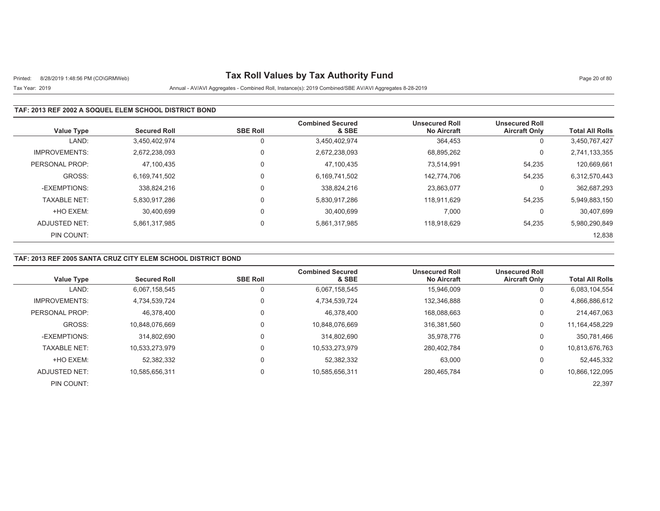# Printed: 8/28/2019 1:48:56 PM (CO\GRMWeb) **Tax Roll Values by Tax Authority Fund** Page 20 of 80

## Tax Year: 2019 Annual - AV/AVI Aggregates - Combined Roll, Instance(s): 2019 Combined/SBE AV/AVI Aggregates 8-28-2019

### **TAF: 2013 REF 2002 A SOQUEL ELEM SCHOOL DISTRICT BOND**

| <b>Value Type</b>    | <b>Secured Roll</b> | <b>SBE Roll</b> | <b>Combined Secured</b><br>& SBE | <b>Unsecured Roll</b><br><b>No Aircraft</b> | <b>Unsecured Roll</b><br><b>Aircraft Only</b> | <b>Total All Rolls</b> |
|----------------------|---------------------|-----------------|----------------------------------|---------------------------------------------|-----------------------------------------------|------------------------|
| LAND:                | 3,450,402,974       | 0               | 3,450,402,974                    | 364,453                                     | 0                                             | 3,450,767,427          |
| <b>IMPROVEMENTS:</b> | 2.672.238.093       | 0               | 2,672,238,093                    | 68,895,262                                  | 0                                             | 2,741,133,355          |
| PERSONAL PROP:       | 47,100,435          | 0               | 47.100.435                       | 73.514.991                                  | 54,235                                        | 120,669,661            |
| GROSS:               | 6,169,741,502       | $\mathbf 0$     | 6,169,741,502                    | 142.774.706                                 | 54,235                                        | 6,312,570,443          |
| -EXEMPTIONS:         | 338.824.216         | 0               | 338,824,216                      | 23,863,077                                  | 0                                             | 362,687,293            |
| <b>TAXABLE NET:</b>  | 5,830,917,286       | 0               | 5,830,917,286                    | 118.911.629                                 | 54,235                                        | 5,949,883,150          |
| +HO EXEM:            | 30.400.699          | 0               | 30.400.699                       | 7,000                                       | 0                                             | 30,407,699             |
| ADJUSTED NET:        | 5,861,317,985       | 0               | 5,861,317,985                    | 118.918.629                                 | 54,235                                        | 5,980,290,849          |
| PIN COUNT:           |                     |                 |                                  |                                             |                                               | 12,838                 |

### **TAF: 2013 REF 2005 SANTA CRUZ CITY ELEM SCHOOL DISTRICT BOND**

| Value Type           | <b>Secured Roll</b> | <b>SBE Roll</b> | <b>Combined Secured</b><br>& SBE | <b>Unsecured Roll</b><br><b>No Aircraft</b> | <b>Unsecured Roll</b><br><b>Aircraft Only</b> | <b>Total All Rolls</b> |
|----------------------|---------------------|-----------------|----------------------------------|---------------------------------------------|-----------------------------------------------|------------------------|
| LAND:                | 6,067,158,545       | 0               | 6,067,158,545                    | 15,946,009                                  | 0                                             | 6,083,104,554          |
| <b>IMPROVEMENTS:</b> | 4,734,539,724       | 0               | 4,734,539,724                    | 132,346,888                                 | 0                                             | 4,866,886,612          |
| PERSONAL PROP:       | 46.378.400          | 0               | 46.378.400                       | 168,088,663                                 | 0                                             | 214,467,063            |
| GROSS:               | 10.848.076.669      | 0               | 10.848.076.669                   | 316.381.560                                 | 0                                             | 11, 164, 458, 229      |
| -EXEMPTIONS:         | 314.802.690         | 0               | 314,802,690                      | 35.978.776                                  | 0                                             | 350,781,466            |
| <b>TAXABLE NET:</b>  | 10.533.273.979      | 0               | 10,533,273,979                   | 280.402.784                                 | 0                                             | 10,813,676,763         |
| +HO EXEM:            | 52,382,332          | 0               | 52,382,332                       | 63,000                                      | 0                                             | 52,445,332             |
| ADJUSTED NET:        | 10.585.656.311      | 0               | 10,585,656,311                   | 280,465,784                                 | 0                                             | 10,866,122,095         |
| PIN COUNT:           |                     |                 |                                  |                                             |                                               | 22,397                 |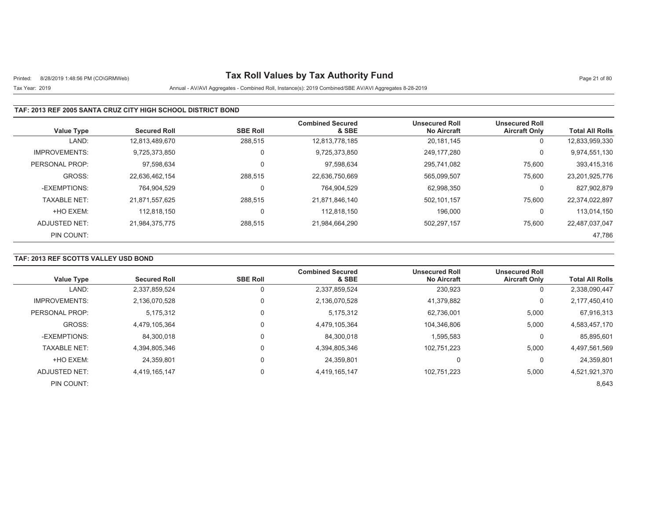# Printed: 8/28/2019 1:48:56 PM (CO\GRMWeb) **Tax Roll Values by Tax Authority Fund** Page 21 of 80

## Tax Year: 2019 Annual - AV/AVI Aggregates - Combined Roll, Instance(s): 2019 Combined/SBE AV/AVI Aggregates 8-28-2019

### **TAF: 2013 REF 2005 SANTA CRUZ CITY HIGH SCHOOL DISTRICT BOND**

| <b>Value Type</b>    | <b>Secured Roll</b> | <b>SBE Roll</b> | <b>Combined Secured</b><br>& SBE | <b>Unsecured Roll</b><br><b>No Aircraft</b> | <b>Unsecured Roll</b><br><b>Aircraft Only</b> | <b>Total All Rolls</b> |
|----------------------|---------------------|-----------------|----------------------------------|---------------------------------------------|-----------------------------------------------|------------------------|
|                      |                     |                 |                                  |                                             |                                               |                        |
| LAND:                | 12.813.489.670      | 288,515         | 12,813,778,185                   | 20,181,145                                  | 0                                             | 12,833,959,330         |
| <b>IMPROVEMENTS:</b> | 9.725.373.850       | 0               | 9,725,373,850                    | 249.177.280                                 | 0                                             | 9,974,551,130          |
| PERSONAL PROP:       | 97.598.634          | 0               | 97,598,634                       | 295.741.082                                 | 75,600                                        | 393,415,316            |
| GROSS:               | 22.636.462.154      | 288.515         | 22.636.750.669                   | 565.099.507                                 | 75,600                                        | 23,201,925,776         |
| -EXEMPTIONS:         | 764.904.529         | 0               | 764.904.529                      | 62.998.350                                  | 0                                             | 827,902,879            |
| <b>TAXABLE NET:</b>  | 21,871,557,625      | 288,515         | 21,871,846,140                   | 502,101,157                                 | 75,600                                        | 22,374,022,897         |
| +HO EXEM:            | 112.818.150         | 0               | 112.818.150                      | 196.000                                     | 0                                             | 113.014.150            |
| ADJUSTED NET:        | 21.984.375.775      | 288,515         | 21,984,664,290                   | 502,297,157                                 | 75,600                                        | 22,487,037,047         |
| PIN COUNT:           |                     |                 |                                  |                                             |                                               | 47,786                 |

### **TAF: 2013 REF SCOTTS VALLEY USD BOND**

| Value Type           | <b>Secured Roll</b> | <b>SBE Roll</b> | <b>Combined Secured</b><br>& SBE | <b>Unsecured Roll</b><br><b>No Aircraft</b> | <b>Unsecured Roll</b><br><b>Aircraft Only</b> | <b>Total All Rolls</b> |
|----------------------|---------------------|-----------------|----------------------------------|---------------------------------------------|-----------------------------------------------|------------------------|
| LAND:                | 2,337,859,524       | 0               | 2,337,859,524                    | 230,923                                     | U                                             | 2,338,090,447          |
| <b>IMPROVEMENTS:</b> | 2,136,070,528       | $\mathbf 0$     | 2,136,070,528                    | 41,379,882                                  | 0                                             | 2,177,450,410          |
| PERSONAL PROP:       | 5,175,312           | 0               | 5,175,312                        | 62,736,001                                  | 5,000                                         | 67,916,313             |
| GROSS:               | 4,479,105,364       | $\Omega$        | 4,479,105,364                    | 104,346,806                                 | 5,000                                         | 4,583,457,170          |
| -EXEMPTIONS:         | 84,300,018          | 0               | 84.300.018                       | 1,595,583                                   | 0                                             | 85,895,601             |
| <b>TAXABLE NET:</b>  | 4,394,805,346       | 0               | 4,394,805,346                    | 102,751,223                                 | 5,000                                         | 4,497,561,569          |
| +HO EXEM:            | 24,359,801          | $\Omega$        | 24,359,801                       | 0                                           | O                                             | 24,359,801             |
| ADJUSTED NET:        | 4,419,165,147       | 0               | 4,419,165,147                    | 102,751,223                                 | 5,000                                         | 4,521,921,370          |
| PIN COUNT:           |                     |                 |                                  |                                             |                                               | 8,643                  |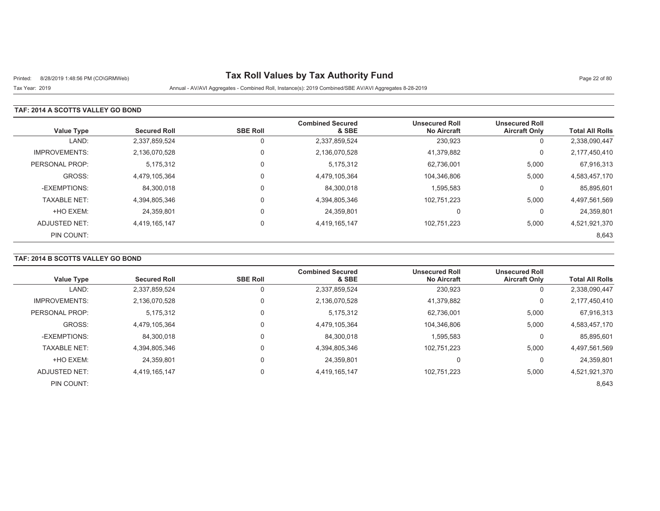# Printed: 8/28/2019 1:48:56 PM (CO\GRMWeb) **Tax Roll Values by Tax Authority Fund** Page 22 of 80

Tax Year: 2019 Annual - AV/AVI Aggregates - Combined Roll, Instance(s): 2019 Combined/SBE AV/AVI Aggregates 8-28-2019

### **TAF: 2014 A SCOTTS VALLEY GO BOND**

| <b>Value Type</b>    | <b>Secured Roll</b> | <b>SBE Roll</b> | <b>Combined Secured</b><br>& SBE | <b>Unsecured Roll</b><br><b>No Aircraft</b> | <b>Unsecured Roll</b><br><b>Aircraft Only</b> | <b>Total All Rolls</b> |
|----------------------|---------------------|-----------------|----------------------------------|---------------------------------------------|-----------------------------------------------|------------------------|
| LAND:                | 2,337,859,524       |                 | 2,337,859,524                    | 230,923                                     | 0                                             | 2,338,090,447          |
| <b>IMPROVEMENTS:</b> | 2,136,070,528       | $\Omega$        | 2,136,070,528                    | 41,379,882                                  | 0                                             | 2,177,450,410          |
| PERSONAL PROP:       | 5,175,312           | $\Omega$        | 5,175,312                        | 62,736,001                                  | 5,000                                         | 67,916,313             |
| GROSS:               | 4.479.105.364       | $\Omega$        | 4,479,105,364                    | 104,346,806                                 | 5,000                                         | 4,583,457,170          |
| -EXEMPTIONS:         | 84,300,018          | $\Omega$        | 84,300,018                       | 1,595,583                                   | 0                                             | 85,895,601             |
| <b>TAXABLE NET:</b>  | 4,394,805,346       | $\Omega$        | 4,394,805,346                    | 102,751,223                                 | 5,000                                         | 4,497,561,569          |
| +HO EXEM:            | 24,359,801          | $\Omega$        | 24,359,801                       | $\Omega$                                    | 0                                             | 24,359,801             |
| ADJUSTED NET:        | 4,419,165,147       | $\Omega$        | 4,419,165,147                    | 102,751,223                                 | 5,000                                         | 4,521,921,370          |
| PIN COUNT:           |                     |                 |                                  |                                             |                                               | 8,643                  |

## **TAF: 2014 B SCOTTS VALLEY GO BOND**

|                      |                     |                 | <b>Combined Secured</b> | <b>Unsecured Roll</b> | <b>Unsecured Roll</b> |                        |
|----------------------|---------------------|-----------------|-------------------------|-----------------------|-----------------------|------------------------|
| <b>Value Type</b>    | <b>Secured Roll</b> | <b>SBE Roll</b> | & SBE                   | <b>No Aircraft</b>    | <b>Aircraft Only</b>  | <b>Total All Rolls</b> |
| LAND:                | 2,337,859,524       |                 | 2,337,859,524           | 230,923               | U                     | 2,338,090,447          |
| <b>IMPROVEMENTS:</b> | 2,136,070,528       | $\Omega$        | 2,136,070,528           | 41,379,882            | 0                     | 2,177,450,410          |
| PERSONAL PROP:       | 5,175,312           | 0               | 5,175,312               | 62,736,001            | 5,000                 | 67,916,313             |
| GROSS:               | 4.479.105.364       | 0               | 4,479,105,364           | 104.346.806           | 5,000                 | 4,583,457,170          |
| -EXEMPTIONS:         | 84.300.018          | 0               | 84.300.018              | 1,595,583             | 0                     | 85,895,601             |
| <b>TAXABLE NET:</b>  | 4,394,805,346       | 0               | 4,394,805,346           | 102,751,223           | 5,000                 | 4,497,561,569          |
| +HO EXEM:            | 24,359,801          | 0               | 24,359,801              | 0                     | 0                     | 24,359,801             |
| ADJUSTED NET:        | 4.419.165.147       | 0               | 4,419,165,147           | 102.751.223           | 5,000                 | 4,521,921,370          |
| PIN COUNT:           |                     |                 |                         |                       |                       | 8,643                  |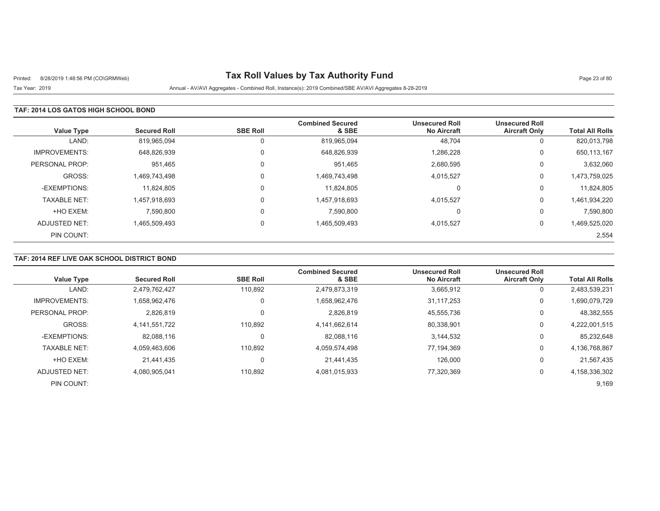# Printed: 8/28/2019 1:48:56 PM (CO\GRMWeb) **Tax Roll Values by Tax Authority Fund** Page 23 of 80

Tax Year: 2019 Annual - AV/AVI Aggregates - Combined Roll, Instance(s): 2019 Combined/SBE AV/AVI Aggregates 8-28-2019

### **TAF: 2014 LOS GATOS HIGH SCHOOL BOND**

| <b>Value Type</b>    | <b>Secured Roll</b> | <b>SBE Roll</b> | <b>Combined Secured</b><br>& SBE | <b>Unsecured Roll</b><br><b>No Aircraft</b> | <b>Unsecured Roll</b><br><b>Aircraft Only</b> | <b>Total All Rolls</b> |
|----------------------|---------------------|-----------------|----------------------------------|---------------------------------------------|-----------------------------------------------|------------------------|
| LAND:                | 819,965,094         | 0               | 819,965,094                      | 48,704                                      | υ                                             | 820,013,798            |
| <b>IMPROVEMENTS:</b> | 648,826,939         | $\Omega$        | 648,826,939                      | 1,286,228                                   | U                                             | 650,113,167            |
| PERSONAL PROP:       | 951.465             | $\Omega$        | 951.465                          | 2,680,595                                   | 0                                             | 3,632,060              |
| GROSS:               | 1.469.743.498       | $\Omega$        | 1,469,743,498                    | 4,015,527                                   | 0                                             | 1,473,759,025          |
| -EXEMPTIONS:         | 11.824.805          |                 | 11.824.805                       | C                                           | U                                             | 11,824,805             |
| <b>TAXABLE NET:</b>  | 1,457,918,693       |                 | 1,457,918,693                    | 4,015,527                                   | 0                                             | 1,461,934,220          |
| +HO EXEM:            | 7,590,800           |                 | 7,590,800                        | C                                           | υ                                             | 7,590,800              |
| ADJUSTED NET:        | 1,465,509,493       | $\Omega$        | 1,465,509,493                    | 4,015,527                                   | 0                                             | 1,469,525,020          |
| PIN COUNT:           |                     |                 |                                  |                                             |                                               | 2,554                  |

## **TAF: 2014 REF LIVE OAK SCHOOL DISTRICT BOND**

| <b>Value Type</b>    | <b>Secured Roll</b> | <b>SBE Roll</b> | <b>Combined Secured</b><br>& SBE | <b>Unsecured Roll</b><br><b>No Aircraft</b> | <b>Unsecured Roll</b><br><b>Aircraft Only</b> | <b>Total All Rolls</b> |
|----------------------|---------------------|-----------------|----------------------------------|---------------------------------------------|-----------------------------------------------|------------------------|
| LAND:                | 2,479,762,427       | 110.892         | 2,479,873,319                    | 3,665,912                                   | 0                                             | 2,483,539,231          |
| <b>IMPROVEMENTS:</b> | 1,658,962,476       |                 | 1,658,962,476                    | 31,117,253                                  | 0                                             | 1,690,079,729          |
| PERSONAL PROP:       | 2,826,819           |                 | 2,826,819                        | 45,555,736                                  | 0                                             | 48,382,555             |
| GROSS:               | 4,141,551,722       | 110,892         | 4,141,662,614                    | 80,338,901                                  | 0                                             | 4,222,001,515          |
| -EXEMPTIONS:         | 82,088,116          |                 | 82,088,116                       | 3,144,532                                   | 0                                             | 85,232,648             |
| <b>TAXABLE NET:</b>  | 4.059.463.606       | 110.892         | 4,059,574,498                    | 77.194.369                                  | 0                                             | 4,136,768,867          |
| +HO EXEM:            | 21.441.435          |                 | 21,441,435                       | 126,000                                     | 0                                             | 21,567,435             |
| <b>ADJUSTED NET:</b> | 4,080,905,041       | 110,892         | 4,081,015,933                    | 77.320.369                                  | 0                                             | 4,158,336,302          |
| PIN COUNT:           |                     |                 |                                  |                                             |                                               | 9,169                  |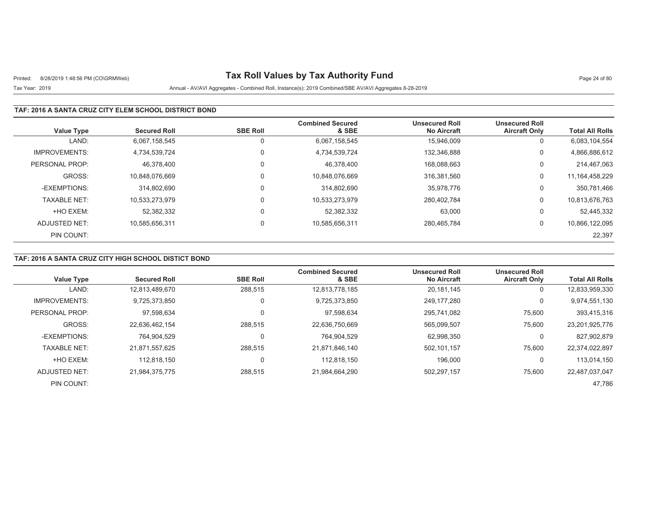# Printed: 8/28/2019 1:48:56 PM (CO\GRMWeb) **Tax Roll Values by Tax Authority Fund** Page 24 of 80

## Tax Year: 2019 Annual - AV/AVI Aggregates - Combined Roll, Instance(s): 2019 Combined/SBE AV/AVI Aggregates 8-28-2019

### **TAF: 2016 A SANTA CRUZ CITY ELEM SCHOOL DISTRICT BOND**

| <b>Value Type</b>    | <b>Secured Roll</b> | <b>SBE Roll</b> | <b>Combined Secured</b><br>& SBE | <b>Unsecured Roll</b><br><b>No Aircraft</b> | <b>Unsecured Roll</b><br><b>Aircraft Only</b> | <b>Total All Rolls</b> |
|----------------------|---------------------|-----------------|----------------------------------|---------------------------------------------|-----------------------------------------------|------------------------|
| LAND:                | 6,067,158,545       | 0               | 6,067,158,545                    | 15.946.009                                  | 0                                             | 6,083,104,554          |
| <b>IMPROVEMENTS:</b> | 4,734,539,724       | 0               | 4,734,539,724                    | 132.346.888                                 | 0                                             | 4,866,886,612          |
| PERSONAL PROP:       | 46.378.400          | 0               | 46.378.400                       | 168.088.663                                 | 0                                             | 214,467,063            |
| GROSS:               | 10.848.076.669      | 0               | 10,848,076,669                   | 316.381.560                                 | 0                                             | 11, 164, 458, 229      |
| -EXEMPTIONS:         | 314.802.690         | 0               | 314.802.690                      | 35.978.776                                  | 0                                             | 350,781,466            |
| <b>TAXABLE NET:</b>  | 10,533,273,979      | 0               | 10,533,273,979                   | 280.402.784                                 | 0                                             | 10,813,676,763         |
| +HO EXEM:            | 52,382,332          | 0               | 52,382,332                       | 63,000                                      | 0                                             | 52,445,332             |
| ADJUSTED NET:        | 10.585.656.311      | 0               | 10,585,656,311                   | 280.465.784                                 | 0                                             | 10,866,122,095         |
| PIN COUNT:           |                     |                 |                                  |                                             |                                               | 22,397                 |

### **TAF: 2016 A SANTA CRUZ CITY HIGH SCHOOL DISTICT BOND**

| <b>Value Type</b>    | <b>Secured Roll</b> | <b>SBE Roll</b> | <b>Combined Secured</b><br>& SBE | <b>Unsecured Roll</b><br><b>No Aircraft</b> | <b>Unsecured Roll</b><br><b>Aircraft Only</b> | <b>Total All Rolls</b> |
|----------------------|---------------------|-----------------|----------------------------------|---------------------------------------------|-----------------------------------------------|------------------------|
| LAND:                |                     |                 |                                  |                                             |                                               |                        |
|                      | 12,813,489,670      | 288,515         | 12,813,778,185                   | 20,181,145                                  | 0                                             | 12,833,959,330         |
| <b>IMPROVEMENTS:</b> | 9.725.373.850       | 0               | 9,725,373,850                    | 249.177.280                                 | 0                                             | 9,974,551,130          |
| PERSONAL PROP:       | 97,598,634          | 0               | 97,598,634                       | 295,741,082                                 | 75,600                                        | 393,415,316            |
| GROSS:               | 22.636.462.154      | 288.515         | 22,636,750,669                   | 565.099.507                                 | 75.600                                        | 23,201,925,776         |
| -EXEMPTIONS:         | 764,904,529         | 0               | 764,904,529                      | 62,998,350                                  | 0                                             | 827,902,879            |
| <b>TAXABLE NET:</b>  | 21,871,557,625      | 288.515         | 21,871,846,140                   | 502,101,157                                 | 75,600                                        | 22,374,022,897         |
| +HO EXEM:            | 112.818.150         | 0               | 112.818.150                      | 196.000                                     | 0                                             | 113,014,150            |
| ADJUSTED NET:        | 21,984,375,775      | 288,515         | 21,984,664,290                   | 502,297,157                                 | 75,600                                        | 22,487,037,047         |
| PIN COUNT:           |                     |                 |                                  |                                             |                                               | 47.786                 |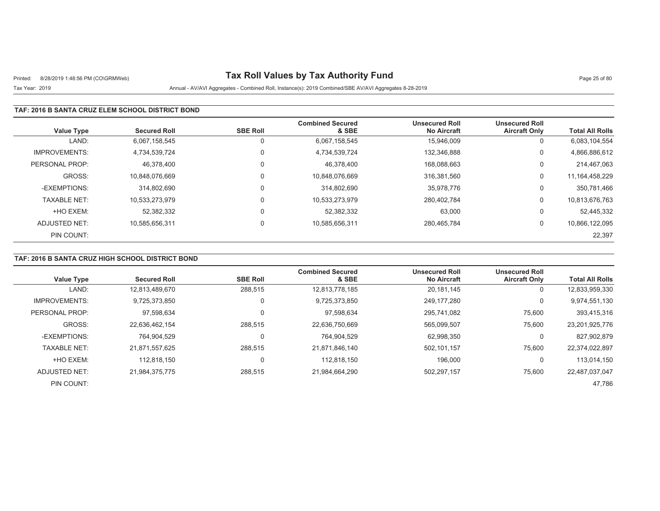# Printed: 8/28/2019 1:48:56 PM (CO\GRMWeb) **Tax Roll Values by Tax Authority Fund** Page 25 of 80

## Tax Year: 2019 Annual - AV/AVI Aggregates - Combined Roll, Instance(s): 2019 Combined/SBE AV/AVI Aggregates 8-28-2019

### **TAF: 2016 B SANTA CRUZ ELEM SCHOOL DISTRICT BOND**

| <b>Value Type</b>    | <b>Secured Roll</b> | <b>SBE Roll</b> | <b>Combined Secured</b><br>& SBE | <b>Unsecured Roll</b><br><b>No Aircraft</b> | <b>Unsecured Roll</b><br><b>Aircraft Only</b> | <b>Total All Rolls</b> |
|----------------------|---------------------|-----------------|----------------------------------|---------------------------------------------|-----------------------------------------------|------------------------|
| LAND:                | 6.067.158.545       | 0               | 6.067.158.545                    | 15.946.009                                  | 0                                             | 6,083,104,554          |
| <b>IMPROVEMENTS:</b> | 4.734.539.724       | $\Omega$        | 4,734,539,724                    | 132,346,888                                 | 0                                             | 4,866,886,612          |
| PERSONAL PROP:       | 46.378.400          | $\Omega$        | 46.378.400                       | 168.088.663                                 | 0                                             | 214,467,063            |
| GROSS:               | 10.848.076.669      | $\Omega$        | 10,848,076,669                   | 316.381.560                                 | 0                                             | 11, 164, 458, 229      |
| -EXEMPTIONS:         | 314.802.690         | $\Omega$        | 314,802,690                      | 35,978,776                                  | 0                                             | 350,781,466            |
| <b>TAXABLE NET:</b>  | 10,533,273,979      | $\Omega$        | 10,533,273,979                   | 280.402.784                                 | 0                                             | 10,813,676,763         |
| +HO EXEM:            | 52,382,332          | $\mathbf 0$     | 52,382,332                       | 63,000                                      | 0                                             | 52,445,332             |
| ADJUSTED NET:        | 10.585.656.311      | $\mathbf 0$     | 10,585,656,311                   | 280.465.784                                 | 0                                             | 10,866,122,095         |
| PIN COUNT:           |                     |                 |                                  |                                             |                                               | 22,397                 |

### **TAF: 2016 B SANTA CRUZ HIGH SCHOOL DISTRICT BOND**

|                      |                     |                 | <b>Combined Secured</b> | <b>Unsecured Roll</b> | <b>Unsecured Roll</b> |                        |
|----------------------|---------------------|-----------------|-------------------------|-----------------------|-----------------------|------------------------|
| <b>Value Type</b>    | <b>Secured Roll</b> | <b>SBE Roll</b> | & SBE                   | <b>No Aircraft</b>    | <b>Aircraft Only</b>  | <b>Total All Rolls</b> |
| LAND:                | 12,813,489,670      | 288,515         | 12,813,778,185          | 20,181,145            | 0                     | 12,833,959,330         |
| <b>IMPROVEMENTS:</b> | 9.725.373.850       | 0               | 9,725,373,850           | 249.177.280           | 0                     | 9,974,551,130          |
| PERSONAL PROP:       | 97,598,634          |                 | 97,598,634              | 295,741,082           | 75,600                | 393,415,316            |
| GROSS:               | 22.636.462.154      | 288.515         | 22,636,750,669          | 565.099.507           | 75.600                | 23,201,925,776         |
| -EXEMPTIONS:         | 764,904,529         | 0               | 764,904,529             | 62,998,350            | 0                     | 827,902,879            |
| <b>TAXABLE NET:</b>  | 21.871.557.625      | 288.515         | 21,871,846,140          | 502.101.157           | 75.600                | 22,374,022,897         |
| +HO EXEM:            | 112.818.150         | 0               | 112.818.150             | 196,000               | 0                     | 113.014.150            |
| ADJUSTED NET:        | 21,984,375,775      | 288,515         | 21,984,664,290          | 502,297,157           | 75,600                | 22,487,037,047         |
| PIN COUNT:           |                     |                 |                         |                       |                       | 47.786                 |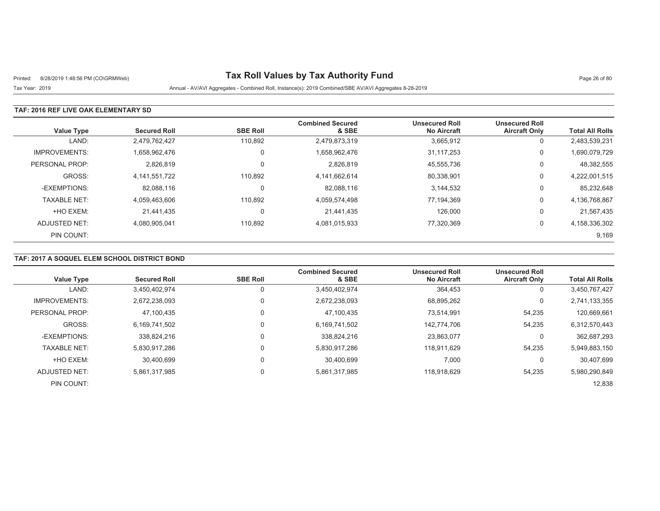# Printed: 8/28/2019 1:48:56 PM (CO\GRMWeb) **Tax Roll Values by Tax Authority Fund** Page 26 of 80

Tax Year: 2019 Annual - AV/AVI Aggregates - Combined Roll, Instance(s): 2019 Combined/SBE AV/AVI Aggregates 8-28-2019

### **TAF: 2016 REF LIVE OAK ELEMENTARY SD**

| <b>Value Type</b>    | <b>Secured Roll</b> | <b>SBE Roll</b> | <b>Combined Secured</b><br>& SBE | <b>Unsecured Roll</b><br><b>No Aircraft</b> | <b>Unsecured Roll</b><br><b>Aircraft Only</b> | <b>Total All Rolls</b> |
|----------------------|---------------------|-----------------|----------------------------------|---------------------------------------------|-----------------------------------------------|------------------------|
| LAND:                | 2,479,762,427       | 110,892         | 2,479,873,319                    | 3,665,912                                   | 0                                             | 2,483,539,231          |
| <b>IMPROVEMENTS:</b> | 1,658,962,476       | 0               | 1,658,962,476                    | 31.117.253                                  | 0                                             | 1,690,079,729          |
| PERSONAL PROP:       | 2,826,819           | 0               | 2,826,819                        | 45,555,736                                  | 0                                             | 48,382,555             |
| GROSS:               | 4,141,551,722       | 110.892         | 4,141,662,614                    | 80,338,901                                  | 0                                             | 4,222,001,515          |
| -EXEMPTIONS:         | 82,088,116          | $\Omega$        | 82,088,116                       | 3,144,532                                   | 0                                             | 85,232,648             |
| <b>TAXABLE NET:</b>  | 4,059,463,606       | 110,892         | 4,059,574,498                    | 77,194,369                                  | 0                                             | 4,136,768,867          |
| +HO EXEM:            | 21.441.435          | 0               | 21,441,435                       | 126,000                                     | 0                                             | 21,567,435             |
| ADJUSTED NET:        | 4.080.905.041       | 110,892         | 4,081,015,933                    | 77,320,369                                  | 0                                             | 4,158,336,302          |
| PIN COUNT:           |                     |                 |                                  |                                             |                                               | 9,169                  |

## **TAF: 2017 A SOQUEL ELEM SCHOOL DISTRICT BOND**

| <b>Value Type</b>    | <b>Secured Roll</b> | <b>SBE Roll</b> | <b>Combined Secured</b><br>& SBE | <b>Unsecured Roll</b><br><b>No Aircraft</b> | <b>Unsecured Roll</b><br><b>Aircraft Only</b> | <b>Total All Rolls</b> |
|----------------------|---------------------|-----------------|----------------------------------|---------------------------------------------|-----------------------------------------------|------------------------|
|                      |                     |                 |                                  |                                             |                                               |                        |
| LAND:                | 3,450,402,974       |                 | 3,450,402,974                    | 364,453                                     | 0                                             | 3,450,767,427          |
| <b>IMPROVEMENTS:</b> | 2.672.238.093       |                 | 2,672,238,093                    | 68,895,262                                  | 0                                             | 2,741,133,355          |
| PERSONAL PROP:       | 47.100.435          | $\Omega$        | 47.100.435                       | 73.514.991                                  | 54,235                                        | 120,669,661            |
| GROSS:               | 6,169,741,502       | $\mathbf{0}$    | 6,169,741,502                    | 142.774.706                                 | 54,235                                        | 6,312,570,443          |
| -EXEMPTIONS:         | 338.824.216         |                 | 338,824,216                      | 23,863,077                                  | 0                                             | 362,687,293            |
| <b>TAXABLE NET:</b>  | 5,830,917,286       |                 | 5,830,917,286                    | 118.911.629                                 | 54,235                                        | 5,949,883,150          |
| +HO EXEM:            | 30.400.699          |                 | 30.400.699                       | 7,000                                       | $\Omega$                                      | 30,407,699             |
| ADJUSTED NET:        | 5,861,317,985       | $\Omega$        | 5,861,317,985                    | 118.918.629                                 | 54,235                                        | 5,980,290,849          |
| PIN COUNT:           |                     |                 |                                  |                                             |                                               | 12,838                 |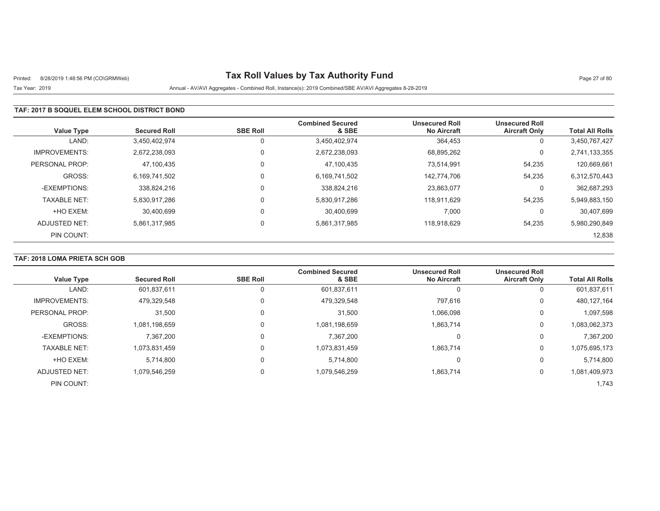# Printed: 8/28/2019 1:48:56 PM (CO\GRMWeb) **Tax Roll Values by Tax Authority Fund** Page 27 of 80

## Tax Year: 2019 Annual - AV/AVI Aggregates - Combined Roll, Instance(s): 2019 Combined/SBE AV/AVI Aggregates 8-28-2019

### **TAF: 2017 B SOQUEL ELEM SCHOOL DISTRICT BOND**

| <b>Value Type</b>    | <b>Secured Roll</b> | <b>SBE Roll</b> | <b>Combined Secured</b><br>& SBE | <b>Unsecured Roll</b><br><b>No Aircraft</b> | <b>Unsecured Roll</b><br><b>Aircraft Only</b> | <b>Total All Rolls</b> |
|----------------------|---------------------|-----------------|----------------------------------|---------------------------------------------|-----------------------------------------------|------------------------|
| LAND:                | 3.450.402.974       |                 | 3,450,402,974                    | 364,453                                     | 0                                             | 3,450,767,427          |
| <b>IMPROVEMENTS:</b> | 2.672.238.093       | 0               | 2,672,238,093                    | 68,895,262                                  | 0                                             | 2,741,133,355          |
| PERSONAL PROP:       | 47,100,435          | 0               | 47,100,435                       | 73.514.991                                  | 54,235                                        | 120,669,661            |
| GROSS:               | 6,169,741,502       | $\Omega$        | 6,169,741,502                    | 142.774.706                                 | 54,235                                        | 6,312,570,443          |
| -EXEMPTIONS:         | 338.824.216         |                 | 338,824,216                      | 23,863,077                                  | 0                                             | 362,687,293            |
| <b>TAXABLE NET:</b>  | 5,830,917,286       | $\Omega$        | 5,830,917,286                    | 118,911,629                                 | 54,235                                        | 5,949,883,150          |
| +HO EXEM:            | 30.400.699          |                 | 30.400.699                       | 7.000                                       | 0                                             | 30.407.699             |
| ADJUSTED NET:        | 5.861.317.985       | $\Omega$        | 5,861,317,985                    | 118.918.629                                 | 54.235                                        | 5,980,290,849          |
| PIN COUNT:           |                     |                 |                                  |                                             |                                               | 12,838                 |

## **TAF: 2018 LOMA PRIETA SCH GOB**

| <b>Value Type</b>    | <b>Secured Roll</b> | <b>SBE Roll</b> | <b>Combined Secured</b><br>& SBE | <b>Unsecured Roll</b><br><b>No Aircraft</b> | <b>Unsecured Roll</b><br><b>Aircraft Only</b> | <b>Total All Rolls</b> |
|----------------------|---------------------|-----------------|----------------------------------|---------------------------------------------|-----------------------------------------------|------------------------|
| LAND:                | 601,837,611         |                 | 601,837,611                      | 0                                           |                                               | 601,837,611            |
| <b>IMPROVEMENTS:</b> | 479,329,548         |                 | 479,329,548                      | 797,616                                     | 0                                             | 480,127,164            |
| PERSONAL PROP:       | 31,500              |                 | 31,500                           | 1,066,098                                   | 0                                             | 1,097,598              |
| GROSS:               | 1,081,198,659       |                 | 1,081,198,659                    | 1,863,714                                   | 0                                             | 1,083,062,373          |
| -EXEMPTIONS:         | 7,367,200           |                 | 7,367,200                        | 0                                           | $\Omega$                                      | 7,367,200              |
| <b>TAXABLE NET:</b>  | 1,073,831,459       |                 | 1,073,831,459                    | 1.863.714                                   | 0                                             | 1,075,695,173          |
| +HO EXEM:            | 5,714,800           |                 | 5.714.800                        | 0                                           | 0                                             | 5,714,800              |
| ADJUSTED NET:        | 1,079,546,259       |                 | 1,079,546,259                    | 1,863,714                                   | 0                                             | 1,081,409,973          |
| PIN COUNT:           |                     |                 |                                  |                                             |                                               | 1.743                  |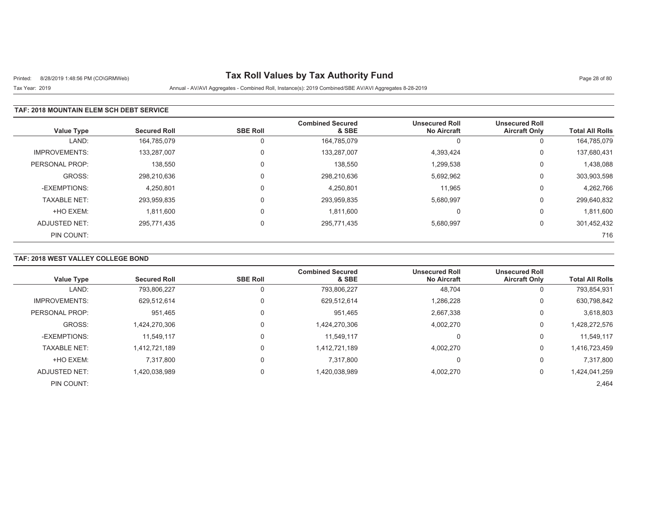# Printed: 8/28/2019 1:48:56 PM (CO\GRMWeb) **Tax Roll Values by Tax Authority Fund** Page 28 of 80

Tax Year: 2019 Annual - AV/AVI Aggregates - Combined Roll, Instance(s): 2019 Combined/SBE AV/AVI Aggregates 8-28-2019

#### **TAF: 2018 MOUNTAIN ELEM SCH DEBT SERVICE**

| <b>Value Type</b>    | <b>Secured Roll</b> | <b>SBE Roll</b> | <b>Combined Secured</b><br>& SBE | <b>Unsecured Roll</b><br><b>No Aircraft</b> | <b>Unsecured Roll</b><br><b>Aircraft Only</b> | <b>Total All Rolls</b> |
|----------------------|---------------------|-----------------|----------------------------------|---------------------------------------------|-----------------------------------------------|------------------------|
| LAND:                | 164,785,079         | U               | 164,785,079                      | 0                                           | 0                                             | 164,785,079            |
| <b>IMPROVEMENTS:</b> | 133,287,007         |                 | 133,287,007                      | 4,393,424                                   | 0                                             | 137,680,431            |
| PERSONAL PROP:       | 138,550             |                 | 138,550                          | 1,299,538                                   | 0                                             | 1,438,088              |
| GROSS:               | 298.210.636         |                 | 298,210,636                      | 5,692,962                                   | 0                                             | 303,903,598            |
| -EXEMPTIONS:         | 4,250,801           |                 | 4.250.801                        | 11.965                                      | 0                                             | 4.262.766              |
| <b>TAXABLE NET:</b>  | 293,959,835         |                 | 293,959,835                      | 5,680,997                                   | 0                                             | 299,640,832            |
| +HO EXEM:            | 1,811,600           |                 | 1,811,600                        |                                             | 0                                             | 1,811,600              |
| ADJUSTED NET:        | 295,771,435         | $\Omega$        | 295,771,435                      | 5,680,997                                   | 0                                             | 301,452,432            |
| PIN COUNT:           |                     |                 |                                  |                                             |                                               | 716                    |

### **TAF: 2018 WEST VALLEY COLLEGE BOND**

| <b>Value Type</b>    | <b>Secured Roll</b> | <b>SBE Roll</b> | <b>Combined Secured</b><br>& SBE | <b>Unsecured Roll</b><br><b>No Aircraft</b> | <b>Unsecured Roll</b><br><b>Aircraft Only</b> | <b>Total All Rolls</b> |
|----------------------|---------------------|-----------------|----------------------------------|---------------------------------------------|-----------------------------------------------|------------------------|
| LAND:                | 793,806,227         | 0               | 793,806,227                      | 48,704                                      | 0                                             | 793,854,931            |
| <b>IMPROVEMENTS:</b> | 629,512,614         | 0               | 629,512,614                      | 1,286,228                                   | 0                                             | 630,798,842            |
| PERSONAL PROP:       | 951.465             | 0               | 951.465                          | 2,667,338                                   | 0                                             | 3,618,803              |
| GROSS:               | 1,424,270,306       | 0               | 1,424,270,306                    | 4,002,270                                   | 0                                             | 1,428,272,576          |
| -EXEMPTIONS:         | 11.549.117          | 0               | 11,549,117                       | 0                                           | 0                                             | 11,549,117             |
| <b>TAXABLE NET:</b>  | 1.412.721.189       | 0               | 1,412,721,189                    | 4.002.270                                   | 0                                             | 1,416,723,459          |
| +HO EXEM:            | 7,317,800           | 0               | 7,317,800                        | 0                                           | 0                                             | 7,317,800              |
| ADJUSTED NET:        | 1,420,038,989       | 0               | 1,420,038,989                    | 4,002,270                                   | 0                                             | 1,424,041,259          |
| PIN COUNT:           |                     |                 |                                  |                                             |                                               | 2,464                  |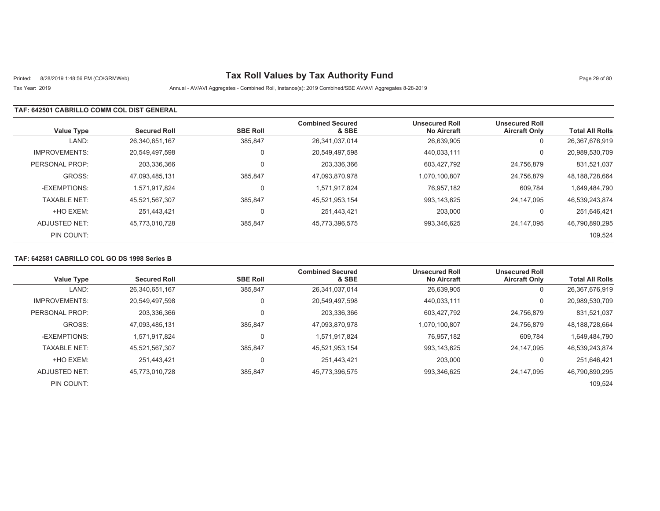# Printed: 8/28/2019 1:48:56 PM (CO\GRMWeb) **Tax Roll Values by Tax Authority Fund** Page 29 of 80

## Tax Year: 2019 Annual - AV/AVI Aggregates - Combined Roll, Instance(s): 2019 Combined/SBE AV/AVI Aggregates 8-28-2019

#### **TAF: 642501 CABRILLO COMM COL DIST GENERAL**

| <b>Value Type</b>    | <b>Secured Roll</b> | <b>SBE Roll</b> | <b>Combined Secured</b><br>& SBE | <b>Unsecured Roll</b><br><b>No Aircraft</b> | <b>Unsecured Roll</b><br><b>Aircraft Only</b> | <b>Total All Rolls</b> |
|----------------------|---------------------|-----------------|----------------------------------|---------------------------------------------|-----------------------------------------------|------------------------|
| LAND:                | 26,340,651,167      | 385,847         | 26,341,037,014                   | 26,639,905                                  | 0                                             | 26,367,676,919         |
| <b>IMPROVEMENTS:</b> | 20,549,497,598      | $\Omega$        | 20,549,497,598                   | 440.033.111                                 | 0                                             | 20,989,530,709         |
| PERSONAL PROP:       | 203,336,366         |                 | 203,336,366                      | 603.427.792                                 | 24,756,879                                    | 831,521,037            |
| GROSS:               | 47,093,485,131      | 385,847         | 47,093,870,978                   | 1,070,100,807                               | 24,756,879                                    | 48,188,728,664         |
| -EXEMPTIONS:         | 1.571.917.824       |                 | 1,571,917,824                    | 76.957.182                                  | 609.784                                       | 1,649,484,790          |
| <b>TAXABLE NET:</b>  | 45,521,567,307      | 385,847         | 45,521,953,154                   | 993,143,625                                 | 24.147.095                                    | 46,539,243,874         |
| +HO EXEM:            | 251.443.421         |                 | 251,443,421                      | 203,000                                     | 0                                             | 251,646,421            |
| ADJUSTED NET:        | 45,773,010,728      | 385,847         | 45,773,396,575                   | 993,346,625                                 | 24.147.095                                    | 46,790,890,295         |
| PIN COUNT:           |                     |                 |                                  |                                             |                                               | 109,524                |

### **TAF: 642581 CABRILLO COL GO DS 1998 Series B**

|                      |                     |                 | <b>Combined Secured</b> | <b>Unsecured Roll</b> | <b>Unsecured Roll</b> |                        |
|----------------------|---------------------|-----------------|-------------------------|-----------------------|-----------------------|------------------------|
| <b>Value Type</b>    | <b>Secured Roll</b> | <b>SBE Roll</b> | & SBE                   | <b>No Aircraft</b>    | <b>Aircraft Only</b>  | <b>Total All Rolls</b> |
| LAND:                | 26,340,651,167      | 385,847         | 26,341,037,014          | 26,639,905            | 0                     | 26,367,676,919         |
| <b>IMPROVEMENTS:</b> | 20.549.497.598      | 0               | 20,549,497,598          | 440.033.111           | 0                     | 20,989,530,709         |
| PERSONAL PROP:       | 203,336,366         | 0               | 203,336,366             | 603,427,792           | 24.756.879            | 831,521,037            |
| GROSS:               | 47.093.485.131      | 385.847         | 47,093,870,978          | 1.070.100.807         | 24.756.879            | 48, 188, 728, 664      |
| -EXEMPTIONS:         | 1.571.917.824       | 0               | 1,571,917,824           | 76,957,182            | 609,784               | 1,649,484,790          |
| <b>TAXABLE NET:</b>  | 45,521,567,307      | 385.847         | 45,521,953,154          | 993.143.625           | 24.147.095            | 46,539,243,874         |
| +HO EXEM:            | 251.443.421         | $\mathbf 0$     | 251,443,421             | 203,000               |                       | 251,646,421            |
| ADJUSTED NET:        | 45,773,010,728      | 385,847         | 45,773,396,575          | 993,346,625           | 24.147.095            | 46,790,890,295         |
| PIN COUNT:           |                     |                 |                         |                       |                       | 109.524                |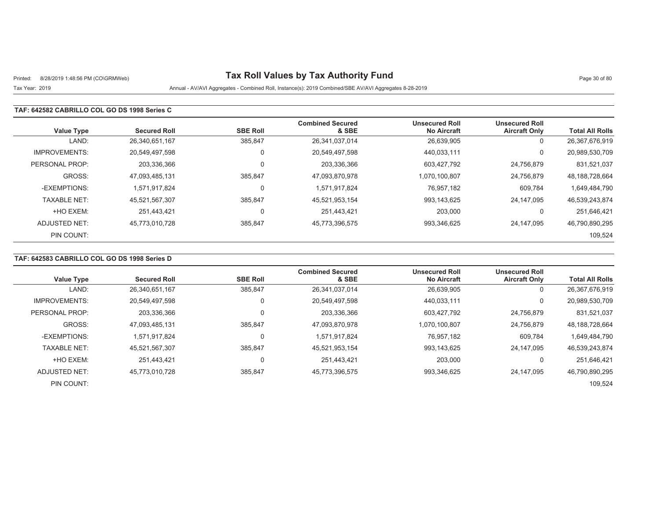# Printed: 8/28/2019 1:48:56 PM (CO\GRMWeb) **Tax Roll Values by Tax Authority Fund** Page 30 of 80

### Tax Year: 2019 Annual - AV/AVI Aggregates - Combined Roll, Instance(s): 2019 Combined/SBE AV/AVI Aggregates 8-28-2019

#### **TAF: 642582 CABRILLO COL GO DS 1998 Series C**

| <b>Value Type</b>    | <b>Secured Roll</b> | <b>SBE Roll</b> | <b>Combined Secured</b><br>& SBE | <b>Unsecured Roll</b><br><b>No Aircraft</b> | <b>Unsecured Roll</b><br><b>Aircraft Only</b> | <b>Total All Rolls</b> |
|----------------------|---------------------|-----------------|----------------------------------|---------------------------------------------|-----------------------------------------------|------------------------|
| LAND:                | 26,340,651,167      | 385,847         | 26,341,037,014                   | 26,639,905                                  | 0                                             | 26,367,676,919         |
| <b>IMPROVEMENTS:</b> | 20,549,497,598      | 0               | 20,549,497,598                   | 440,033,111                                 | 0                                             | 20,989,530,709         |
| PERSONAL PROP:       | 203,336,366         |                 | 203,336,366                      | 603,427,792                                 | 24,756,879                                    | 831,521,037            |
| GROSS:               | 47,093,485,131      | 385,847         | 47,093,870,978                   | 1,070,100,807                               | 24,756,879                                    | 48, 188, 728, 664      |
| -EXEMPTIONS:         | 1,571,917,824       |                 | 1,571,917,824                    | 76,957,182                                  | 609,784                                       | 1.649.484.790          |
| <b>TAXABLE NET:</b>  | 45,521,567,307      | 385,847         | 45,521,953,154                   | 993,143,625                                 | 24,147,095                                    | 46,539,243,874         |
| +HO EXEM:            | 251.443.421         |                 | 251,443,421                      | 203,000                                     | 0                                             | 251,646,421            |
| ADJUSTED NET:        | 45,773,010,728      | 385,847         | 45,773,396,575                   | 993,346,625                                 | 24.147.095                                    | 46,790,890,295         |
| PIN COUNT:           |                     |                 |                                  |                                             |                                               | 109,524                |

### **TAF: 642583 CABRILLO COL GO DS 1998 Series D**

|                      |                     |                 | <b>Combined Secured</b> | <b>Unsecured Roll</b> | <b>Unsecured Roll</b> |                        |
|----------------------|---------------------|-----------------|-------------------------|-----------------------|-----------------------|------------------------|
| <b>Value Type</b>    | <b>Secured Roll</b> | <b>SBE Roll</b> | & SBE                   | <b>No Aircraft</b>    | <b>Aircraft Only</b>  | <b>Total All Rolls</b> |
| LAND:                | 26,340,651,167      | 385.847         | 26,341,037,014          | 26,639,905            | 0                     | 26,367,676,919         |
| <b>IMPROVEMENTS:</b> | 20,549,497,598      |                 | 20,549,497,598          | 440.033.111           | $\Omega$              | 20,989,530,709         |
| PERSONAL PROP:       | 203.336.366         |                 | 203,336,366             | 603.427.792           | 24.756.879            | 831,521,037            |
| GROSS:               | 47,093,485,131      | 385.847         | 47,093,870,978          | 1,070,100,807         | 24.756.879            | 48, 188, 728, 664      |
| -EXEMPTIONS:         | 1,571,917,824       |                 | 1,571,917,824           | 76,957,182            | 609,784               | 1,649,484,790          |
| <b>TAXABLE NET:</b>  | 45.521.567.307      | 385.847         | 45,521,953,154          | 993.143.625           | 24.147.095            | 46,539,243,874         |
| +HO EXEM:            | 251.443.421         |                 | 251.443.421             | 203.000               | $\Omega$              | 251.646.421            |
| ADJUSTED NET:        | 45,773,010,728      | 385,847         | 45,773,396,575          | 993.346.625           | 24.147.095            | 46,790,890,295         |
| PIN COUNT:           |                     |                 |                         |                       |                       | 109,524                |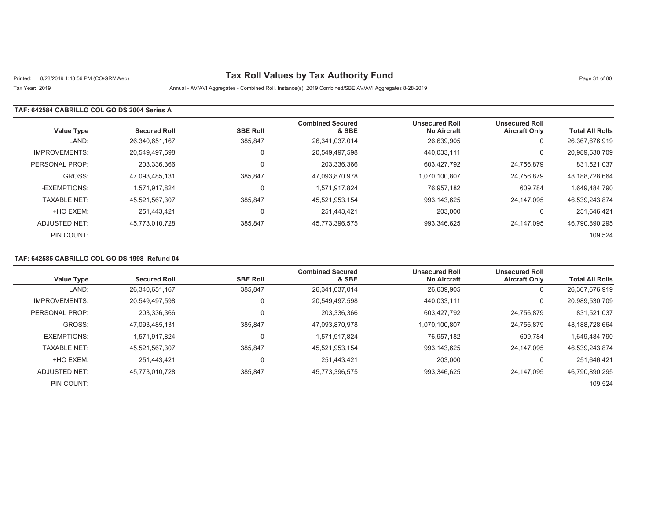# Printed: 8/28/2019 1:48:56 PM (CO\GRMWeb) **Tax Roll Values by Tax Authority Fund** Page 31 of 80

## Tax Year: 2019 Annual - AV/AVI Aggregates - Combined Roll, Instance(s): 2019 Combined/SBE AV/AVI Aggregates 8-28-2019

### **TAF: 642584 CABRILLO COL GO DS 2004 Series A**

| <b>Value Type</b>    | <b>Secured Roll</b> | <b>SBE Roll</b> | <b>Combined Secured</b><br>& SBE | <b>Unsecured Roll</b><br><b>No Aircraft</b> | <b>Unsecured Roll</b><br><b>Aircraft Only</b> | <b>Total All Rolls</b> |
|----------------------|---------------------|-----------------|----------------------------------|---------------------------------------------|-----------------------------------------------|------------------------|
| LAND:                | 26,340,651,167      | 385.847         | 26,341,037,014                   | 26,639,905                                  | J.                                            | 26,367,676,919         |
| <b>IMPROVEMENTS:</b> | 20,549,497,598      |                 | 20,549,497,598                   | 440.033.111                                 | $\Omega$                                      | 20,989,530,709         |
| PERSONAL PROP:       | 203,336,366         |                 | 203,336,366                      | 603.427.792                                 | 24,756,879                                    | 831,521,037            |
| GROSS:               | 47,093,485,131      | 385,847         | 47,093,870,978                   | 1,070,100,807                               | 24,756,879                                    | 48, 188, 728, 664      |
| -EXEMPTIONS:         | 1.571.917.824       |                 | 1,571,917,824                    | 76.957.182                                  | 609,784                                       | 1,649,484,790          |
| <b>TAXABLE NET:</b>  | 45,521,567,307      | 385,847         | 45,521,953,154                   | 993,143,625                                 | 24,147,095                                    | 46,539,243,874         |
| +HO EXEM:            | 251.443.421         |                 | 251.443.421                      | 203.000                                     |                                               | 251,646,421            |
| ADJUSTED NET:        | 45,773,010,728      | 385,847         | 45,773,396,575                   | 993,346,625                                 | 24.147.095                                    | 46,790,890,295         |
| PIN COUNT:           |                     |                 |                                  |                                             |                                               | 109,524                |

### **TAF: 642585 CABRILLO COL GO DS 1998 Refund 04**

| <b>Value Type</b>    | <b>Secured Roll</b> | <b>SBE Roll</b> | <b>Combined Secured</b><br>& SBE | <b>Unsecured Roll</b><br><b>No Aircraft</b> | <b>Unsecured Roll</b><br><b>Aircraft Only</b> | <b>Total All Rolls</b> |
|----------------------|---------------------|-----------------|----------------------------------|---------------------------------------------|-----------------------------------------------|------------------------|
|                      |                     |                 |                                  |                                             |                                               |                        |
| LAND:                | 26,340,651,167      | 385.847         | 26,341,037,014                   | 26,639,905                                  | U                                             | 26,367,676,919         |
| <b>IMPROVEMENTS:</b> | 20,549,497,598      |                 | 20,549,497,598                   | 440.033.111                                 | 0                                             | 20,989,530,709         |
| PERSONAL PROP:       | 203.336.366         |                 | 203,336,366                      | 603.427.792                                 | 24.756.879                                    | 831,521,037            |
| GROSS:               | 47,093,485,131      | 385.847         | 47,093,870,978                   | 1,070,100,807                               | 24.756.879                                    | 48, 188, 728, 664      |
| -EXEMPTIONS:         | 1,571,917,824       |                 | 1,571,917,824                    | 76,957,182                                  | 609,784                                       | 1,649,484,790          |
| <b>TAXABLE NET:</b>  | 45.521.567.307      | 385.847         | 45,521,953,154                   | 993.143.625                                 | 24.147.095                                    | 46,539,243,874         |
| +HO EXEM:            | 251.443.421         |                 | 251.443.421                      | 203.000                                     |                                               | 251.646.421            |
| ADJUSTED NET:        | 45,773,010,728      | 385,847         | 45,773,396,575                   | 993,346,625                                 | 24.147.095                                    | 46,790,890,295         |
| PIN COUNT:           |                     |                 |                                  |                                             |                                               | 109,524                |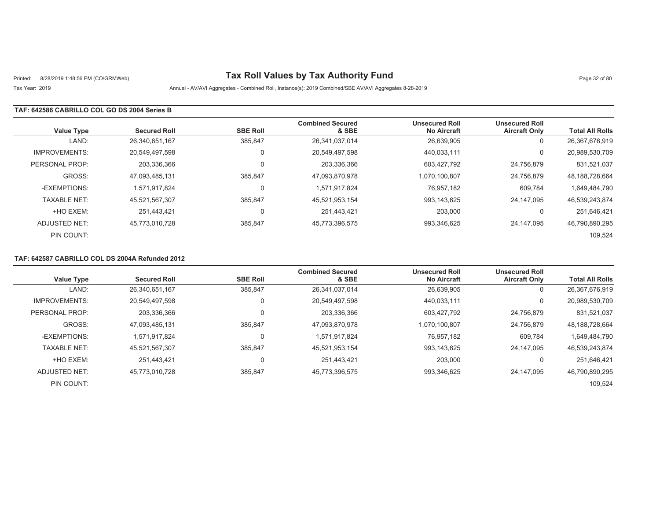# Printed: 8/28/2019 1:48:56 PM (CO\GRMWeb) **Tax Roll Values by Tax Authority Fund** Page 32 of 80

## Tax Year: 2019 Annual - AV/AVI Aggregates - Combined Roll, Instance(s): 2019 Combined/SBE AV/AVI Aggregates 8-28-2019

#### **TAF: 642586 CABRILLO COL GO DS 2004 Series B**

| <b>Value Type</b>    | <b>Secured Roll</b> | <b>SBE Roll</b> | <b>Combined Secured</b><br>& SBE | <b>Unsecured Roll</b><br><b>No Aircraft</b> | <b>Unsecured Roll</b><br><b>Aircraft Only</b> | <b>Total All Rolls</b> |
|----------------------|---------------------|-----------------|----------------------------------|---------------------------------------------|-----------------------------------------------|------------------------|
| LAND:                | 26,340,651,167      | 385.847         | 26,341,037,014                   | 26,639,905                                  | J.                                            | 26,367,676,919         |
| <b>IMPROVEMENTS:</b> | 20,549,497,598      |                 | 20,549,497,598                   | 440.033.111                                 | $\Omega$                                      | 20,989,530,709         |
| PERSONAL PROP:       | 203,336,366         |                 | 203,336,366                      | 603.427.792                                 | 24,756,879                                    | 831,521,037            |
| GROSS:               | 47,093,485,131      | 385,847         | 47,093,870,978                   | 1,070,100,807                               | 24,756,879                                    | 48, 188, 728, 664      |
| -EXEMPTIONS:         | 1.571.917.824       |                 | 1,571,917,824                    | 76.957.182                                  | 609,784                                       | 1,649,484,790          |
| <b>TAXABLE NET:</b>  | 45,521,567,307      | 385,847         | 45,521,953,154                   | 993,143,625                                 | 24,147,095                                    | 46,539,243,874         |
| +HO EXEM:            | 251.443.421         |                 | 251.443.421                      | 203.000                                     |                                               | 251,646,421            |
| ADJUSTED NET:        | 45,773,010,728      | 385,847         | 45,773,396,575                   | 993,346,625                                 | 24.147.095                                    | 46,790,890,295         |
| PIN COUNT:           |                     |                 |                                  |                                             |                                               | 109,524                |

### **TAF: 642587 CABRILLO COL DS 2004A Refunded 2012**

| Value Type           | <b>Secured Roll</b> | <b>SBE Roll</b> | <b>Combined Secured</b><br>& SBE | <b>Unsecured Roll</b><br><b>No Aircraft</b> | <b>Unsecured Roll</b><br><b>Aircraft Only</b> | <b>Total All Rolls</b> |
|----------------------|---------------------|-----------------|----------------------------------|---------------------------------------------|-----------------------------------------------|------------------------|
| LAND:                | 26,340,651,167      | 385,847         | 26,341,037,014                   | 26,639,905                                  | U                                             | 26,367,676,919         |
| <b>IMPROVEMENTS:</b> | 20.549.497.598      |                 | 20.549.497.598                   | 440.033.111                                 | 0                                             | 20,989,530,709         |
| PERSONAL PROP:       | 203,336,366         |                 | 203,336,366                      | 603.427.792                                 | 24.756.879                                    | 831,521,037            |
| GROSS:               | 47.093.485.131      | 385.847         | 47,093,870,978                   | 1.070.100.807                               | 24.756.879                                    | 48.188.728.664         |
| -EXEMPTIONS:         | 1.571.917.824       |                 | 1,571,917,824                    | 76.957.182                                  | 609,784                                       | 1,649,484,790          |
| <b>TAXABLE NET:</b>  | 45.521.567.307      | 385.847         | 45,521,953,154                   | 993.143.625                                 | 24.147.095                                    | 46.539.243.874         |
| +HO EXEM:            | 251.443.421         |                 | 251.443.421                      | 203,000                                     |                                               | 251,646,421            |
| ADJUSTED NET:        | 45,773,010,728      | 385,847         | 45,773,396,575                   | 993,346,625                                 | 24.147.095                                    | 46,790,890,295         |
| PIN COUNT:           |                     |                 |                                  |                                             |                                               | 109,524                |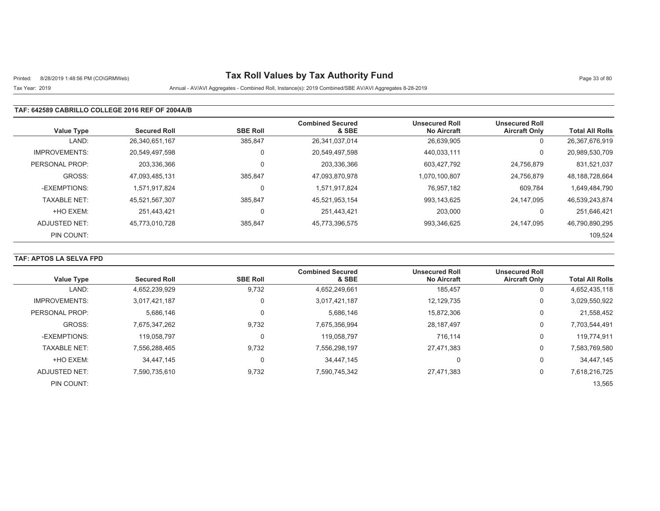# Printed: 8/28/2019 1:48:56 PM (CO\GRMWeb) **Tax Roll Values by Tax Authority Fund** Page 33 of 80

## Tax Year: 2019 Annual - AV/AVI Aggregates - Combined Roll, Instance(s): 2019 Combined/SBE AV/AVI Aggregates 8-28-2019

#### **TAF: 642589 CABRILLO COLLEGE 2016 REF OF 2004A/B**

| <b>Value Type</b>    | <b>Secured Roll</b> | <b>SBE Roll</b> | <b>Combined Secured</b><br>& SBE | <b>Unsecured Roll</b><br><b>No Aircraft</b> | <b>Unsecured Roll</b><br><b>Aircraft Only</b> | <b>Total All Rolls</b> |
|----------------------|---------------------|-----------------|----------------------------------|---------------------------------------------|-----------------------------------------------|------------------------|
| LAND:                | 26,340,651,167      | 385,847         | 26,341,037,014                   | 26,639,905                                  | 0                                             | 26,367,676,919         |
| <b>IMPROVEMENTS:</b> | 20,549,497,598      | $\Omega$        | 20,549,497,598                   | 440.033.111                                 | 0                                             | 20,989,530,709         |
| PERSONAL PROP:       | 203,336,366         |                 | 203,336,366                      | 603.427.792                                 | 24,756,879                                    | 831,521,037            |
| GROSS:               | 47,093,485,131      | 385.847         | 47,093,870,978                   | 1.070.100.807                               | 24.756.879                                    | 48, 188, 728, 664      |
| -EXEMPTIONS:         | 1.571.917.824       | $\Omega$        | 1,571,917,824                    | 76.957.182                                  | 609,784                                       | 1,649,484,790          |
| <b>TAXABLE NET:</b>  | 45,521,567,307      | 385,847         | 45,521,953,154                   | 993,143,625                                 | 24,147,095                                    | 46,539,243,874         |
| +HO EXEM:            | 251.443.421         | $\Omega$        | 251.443.421                      | 203,000                                     | $\Omega$                                      | 251.646.421            |
| ADJUSTED NET:        | 45,773,010,728      | 385,847         | 45,773,396,575                   | 993,346,625                                 | 24.147.095                                    | 46,790,890,295         |
| PIN COUNT:           |                     |                 |                                  |                                             |                                               | 109,524                |

### **TAF: APTOS LA SELVA FPD**

| <b>Value Type</b>    | <b>Secured Roll</b> | <b>SBE Roll</b> | <b>Combined Secured</b><br>& SBE | <b>Unsecured Roll</b><br><b>No Aircraft</b> | <b>Unsecured Roll</b><br><b>Aircraft Only</b> | <b>Total All Rolls</b> |
|----------------------|---------------------|-----------------|----------------------------------|---------------------------------------------|-----------------------------------------------|------------------------|
| LAND:                | 4,652,239,929       | 9,732           | 4,652,249,661                    | 185,457                                     | υ                                             | 4,652,435,118          |
| <b>IMPROVEMENTS:</b> | 3.017.421.187       | $\Omega$        | 3,017,421,187                    | 12,129,735                                  | 0                                             | 3,029,550,922          |
| PERSONAL PROP:       | 5.686.146           | $\Omega$        | 5.686.146                        | 15,872,306                                  | 0                                             | 21,558,452             |
| GROSS:               | 7,675,347,262       | 9,732           | 7,675,356,994                    | 28,187,497                                  | 0                                             | 7,703,544,491          |
| -EXEMPTIONS:         | 119.058.797         | $\Omega$        | 119,058,797                      | 716,114                                     | 0                                             | 119,774,911            |
| <b>TAXABLE NET:</b>  | 7.556.288.465       | 9,732           | 7,556,298,197                    | 27.471.383                                  | 0                                             | 7,583,769,580          |
| +HO EXEM:            | 34.447.145          | $\Omega$        | 34.447.145                       | 0                                           | 0                                             | 34.447.145             |
| ADJUSTED NET:        | 7.590.735.610       | 9,732           | 7,590,745,342                    | 27,471,383                                  | 0                                             | 7,618,216,725          |
| PIN COUNT:           |                     |                 |                                  |                                             |                                               | 13,565                 |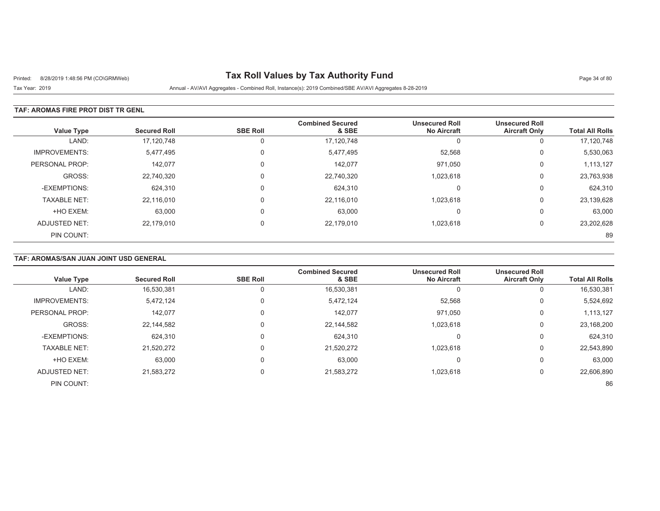# Printed: 8/28/2019 1:48:56 PM (CO\GRMWeb) **Tax Roll Values by Tax Authority Fund** Page 34 of 80

Tax Year: 2019 Annual - AV/AVI Aggregates - Combined Roll, Instance(s): 2019 Combined/SBE AV/AVI Aggregates 8-28-2019

### **TAF: AROMAS FIRE PROT DIST TR GENL**

| <b>Value Type</b>    | <b>Secured Roll</b> | <b>SBE Roll</b> | <b>Combined Secured</b><br>& SBE | <b>Unsecured Roll</b><br><b>No Aircraft</b> | <b>Unsecured Roll</b><br><b>Aircraft Only</b> | <b>Total All Rolls</b> |
|----------------------|---------------------|-----------------|----------------------------------|---------------------------------------------|-----------------------------------------------|------------------------|
| LAND:                | 17,120,748          | 0               | 17,120,748                       | 0                                           | 0                                             | 17,120,748             |
| <b>IMPROVEMENTS:</b> | 5,477,495           | $\Omega$        | 5,477,495                        | 52,568                                      | 0                                             | 5,530,063              |
| PERSONAL PROP:       | 142.077             | $\Omega$        | 142,077                          | 971,050                                     | 0                                             | 1,113,127              |
| GROSS:               | 22,740,320          |                 | 22,740,320                       | 1,023,618                                   | 0                                             | 23,763,938             |
| -EXEMPTIONS:         | 624.310             |                 | 624,310                          | 0                                           | $\Omega$                                      | 624,310                |
| <b>TAXABLE NET:</b>  | 22,116,010          | $\Omega$        | 22,116,010                       | 1,023,618                                   | 0                                             | 23,139,628             |
| +HO EXEM:            | 63,000              | $\Omega$        | 63,000                           | $\Omega$                                    | 0                                             | 63,000                 |
| ADJUSTED NET:        | 22,179,010          |                 | 22.179.010                       | 1,023,618                                   | 0                                             | 23,202,628             |
| PIN COUNT:           |                     |                 |                                  |                                             |                                               | 89                     |

### **TAF: AROMAS/SAN JUAN JOINT USD GENERAL**

| <b>Value Type</b>    | <b>Secured Roll</b> | <b>SBE Roll</b> | <b>Combined Secured</b><br>& SBE | <b>Unsecured Roll</b><br><b>No Aircraft</b> | <b>Unsecured Roll</b><br><b>Aircraft Only</b> | <b>Total All Rolls</b> |
|----------------------|---------------------|-----------------|----------------------------------|---------------------------------------------|-----------------------------------------------|------------------------|
| LAND:                | 16,530,381          |                 | 16,530,381                       |                                             | 0                                             | 16,530,381             |
| <b>IMPROVEMENTS:</b> | 5,472,124           | 0               | 5,472,124                        | 52,568                                      | 0                                             | 5,524,692              |
| PERSONAL PROP:       | 142,077             |                 | 142,077                          | 971,050                                     | 0                                             | 1,113,127              |
| GROSS:               | 22,144,582          |                 | 22,144,582                       | 1,023,618                                   | 0                                             | 23,168,200             |
| -EXEMPTIONS:         | 624,310             |                 | 624,310                          |                                             | 0                                             | 624,310                |
| <b>TAXABLE NET:</b>  | 21,520,272          |                 | 21,520,272                       | 1,023,618                                   | 0                                             | 22,543,890             |
| +HO EXEM:            | 63,000              |                 | 63,000                           |                                             | 0                                             | 63,000                 |
| <b>ADJUSTED NET:</b> | 21,583,272          |                 | 21,583,272                       | 1,023,618                                   | 0                                             | 22,606,890             |
| PIN COUNT:           |                     |                 |                                  |                                             |                                               | 86                     |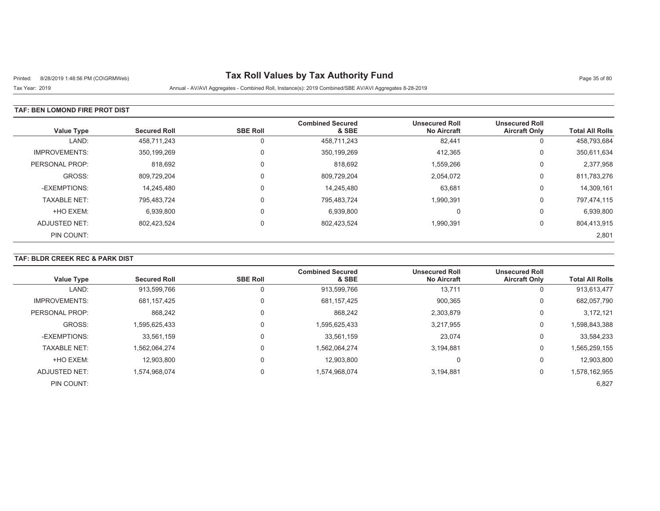# Printed: 8/28/2019 1:48:56 PM (CO\GRMWeb) **Tax Roll Values by Tax Authority Fund** Page 35 of 80

Tax Year: 2019 Annual - AV/AVI Aggregates - Combined Roll, Instance(s): 2019 Combined/SBE AV/AVI Aggregates 8-28-2019

### **TAF: BEN LOMOND FIRE PROT DIST**

| <b>Value Type</b>    | <b>Secured Roll</b> | <b>SBE Roll</b> | <b>Combined Secured</b><br>& SBE | <b>Unsecured Roll</b><br><b>No Aircraft</b> | <b>Unsecured Roll</b><br><b>Aircraft Only</b> | <b>Total All Rolls</b> |
|----------------------|---------------------|-----------------|----------------------------------|---------------------------------------------|-----------------------------------------------|------------------------|
| LAND:                | 458.711.243         |                 | 458,711,243                      | 82,441                                      | U                                             | 458,793,684            |
| <b>IMPROVEMENTS:</b> | 350,199,269         | $\Omega$        | 350,199,269                      | 412,365                                     | 0                                             | 350,611,634            |
| PERSONAL PROP:       | 818,692             | $\Omega$        | 818,692                          | 1,559,266                                   | 0                                             | 2,377,958              |
| GROSS:               | 809,729,204         |                 | 809,729,204                      | 2,054,072                                   | 0                                             | 811,783,276            |
| -EXEMPTIONS:         | 14,245,480          | $\Omega$        | 14,245,480                       | 63,681                                      | 0                                             | 14,309,161             |
| <b>TAXABLE NET:</b>  | 795,483,724         | $\Omega$        | 795,483,724                      | 1,990,391                                   | 0                                             | 797,474,115            |
| +HO EXEM:            | 6,939,800           |                 | 6,939,800                        | C                                           | υ                                             | 6,939,800              |
| ADJUSTED NET:        | 802,423,524         | $\Omega$        | 802,423,524                      | 1,990,391                                   | 0                                             | 804,413,915            |
| PIN COUNT:           |                     |                 |                                  |                                             |                                               | 2,801                  |

### **TAF: BLDR CREEK REC & PARK DIST**

| <b>Value Type</b>    | <b>Secured Roll</b> | <b>SBE Roll</b> | <b>Combined Secured</b><br>& SBE | <b>Unsecured Roll</b><br><b>No Aircraft</b> | <b>Unsecured Roll</b><br><b>Aircraft Only</b> | <b>Total All Rolls</b> |
|----------------------|---------------------|-----------------|----------------------------------|---------------------------------------------|-----------------------------------------------|------------------------|
|                      |                     |                 |                                  |                                             |                                               |                        |
| LAND:                | 913,599,766         |                 | 913,599,766                      | 13,711                                      | 0                                             | 913,613,477            |
| <b>IMPROVEMENTS:</b> | 681,157,425         |                 | 681,157,425                      | 900,365                                     | 0                                             | 682,057,790            |
| PERSONAL PROP:       | 868.242             |                 | 868.242                          | 2,303,879                                   | 0                                             | 3.172.121              |
| GROSS:               | 1,595,625,433       |                 | 1,595,625,433                    | 3,217,955                                   | 0                                             | 1,598,843,388          |
| -EXEMPTIONS:         | 33,561,159          |                 | 33,561,159                       | 23,074                                      | 0                                             | 33,584,233             |
| <b>TAXABLE NET:</b>  | 1.562.064.274       |                 | 1,562,064,274                    | 3.194.881                                   | 0                                             | 1,565,259,155          |
| +HO EXEM:            | 12,903,800          |                 | 12.903.800                       | υ                                           | 0                                             | 12,903,800             |
| ADJUSTED NET:        | 1,574,968,074       | 0               | 1,574,968,074                    | 3,194,881                                   | 0                                             | 1,578,162,955          |
| PIN COUNT:           |                     |                 |                                  |                                             |                                               | 6,827                  |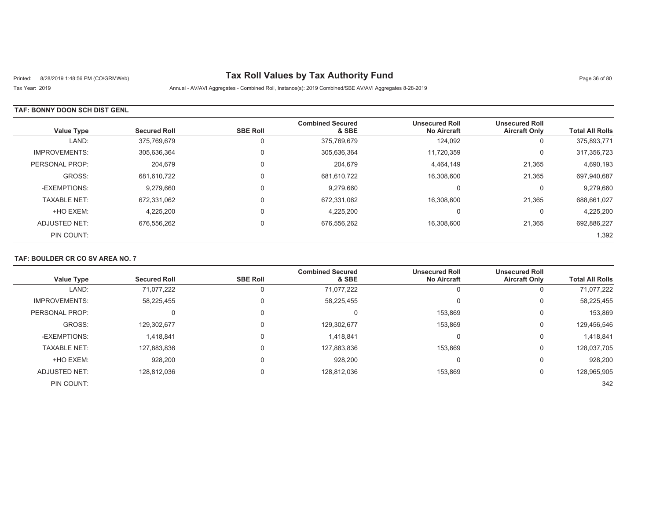# Printed: 8/28/2019 1:48:56 PM (CO\GRMWeb) **Tax Roll Values by Tax Authority Fund** Page 36 of 80

Tax Year: 2019 Annual - AV/AVI Aggregates - Combined Roll, Instance(s): 2019 Combined/SBE AV/AVI Aggregates 8-28-2019

### **TAF: BONNY DOON SCH DIST GENL**

| <b>Value Type</b>    | <b>Secured Roll</b> | <b>SBE Roll</b> | <b>Combined Secured</b><br>& SBE | <b>Unsecured Roll</b><br><b>No Aircraft</b> | <b>Unsecured Roll</b><br><b>Aircraft Only</b> | <b>Total All Rolls</b> |
|----------------------|---------------------|-----------------|----------------------------------|---------------------------------------------|-----------------------------------------------|------------------------|
| LAND:                | 375,769,679         |                 | 375,769,679                      | 124,092                                     | υ                                             | 375,893,771            |
| <b>IMPROVEMENTS:</b> | 305,636,364         | $\Omega$        | 305,636,364                      | 11,720,359                                  | U                                             | 317,356,723            |
| PERSONAL PROP:       | 204.679             |                 | 204.679                          | 4.464.149                                   | 21,365                                        | 4,690,193              |
| GROSS:               | 681.610.722         | $\Omega$        | 681,610,722                      | 16,308,600                                  | 21,365                                        | 697,940,687            |
| -EXEMPTIONS:         | 9,279,660           |                 | 9.279.660                        | C                                           | υ                                             | 9,279,660              |
| <b>TAXABLE NET:</b>  | 672,331,062         |                 | 672,331,062                      | 16,308,600                                  | 21,365                                        | 688,661,027            |
| +HO EXEM:            | 4,225,200           |                 | 4,225,200                        | C                                           | υ                                             | 4,225,200              |
| ADJUSTED NET:        | 676,556,262         | $\mathbf{0}$    | 676,556,262                      | 16,308,600                                  | 21,365                                        | 692,886,227            |
| PIN COUNT:           |                     |                 |                                  |                                             |                                               | 1,392                  |

## **TAF: BOULDER CR CO SV AREA NO. 7**

| <b>Value Type</b>    | <b>Secured Roll</b> | <b>SBE Roll</b> | <b>Combined Secured</b><br>& SBE | <b>Unsecured Roll</b><br><b>No Aircraft</b> | <b>Unsecured Roll</b><br><b>Aircraft Only</b> | <b>Total All Rolls</b> |
|----------------------|---------------------|-----------------|----------------------------------|---------------------------------------------|-----------------------------------------------|------------------------|
| LAND:                | 71,077,222          |                 | 71,077,222                       |                                             | 0                                             | 71,077,222             |
| <b>IMPROVEMENTS:</b> | 58,225,455          |                 | 58,225,455                       |                                             | 0                                             | 58,225,455             |
| PERSONAL PROP:       | 0                   |                 | С                                | 153,869                                     | 0                                             | 153,869                |
| GROSS:               | 129,302,677         |                 | 129,302,677                      | 153,869                                     | 0                                             | 129,456,546            |
| -EXEMPTIONS:         | 1,418,841           |                 | 1,418,841                        |                                             | 0                                             | 1,418,841              |
| <b>TAXABLE NET:</b>  | 127,883,836         |                 | 127,883,836                      | 153.869                                     | 0                                             | 128,037,705            |
| +HO EXEM:            | 928,200             |                 | 928,200                          |                                             | $\Omega$                                      | 928,200                |
| ADJUSTED NET:        | 128,812,036         |                 | 128,812,036                      | 153,869                                     | 0                                             | 128,965,905            |
| PIN COUNT:           |                     |                 |                                  |                                             |                                               | 342                    |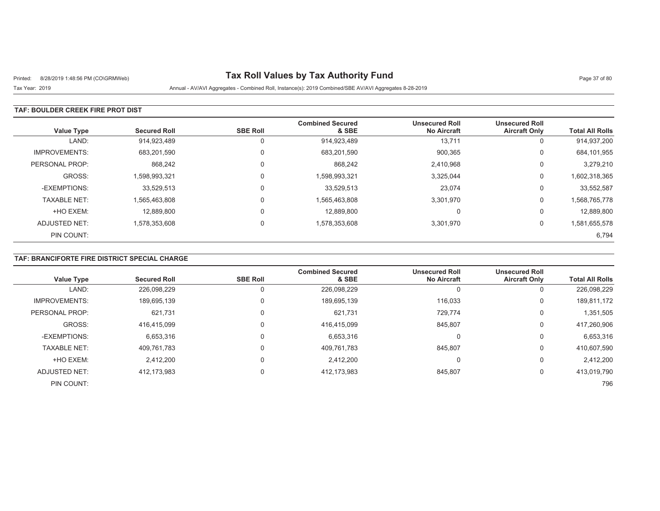# Printed: 8/28/2019 1:48:56 PM (CO\GRMWeb) **Tax Roll Values by Tax Authority Fund** Page 37 of 80

Tax Year: 2019 Annual - AV/AVI Aggregates - Combined Roll, Instance(s): 2019 Combined/SBE AV/AVI Aggregates 8-28-2019

### **TAF: BOULDER CREEK FIRE PROT DIST**

| <b>Value Type</b>    | <b>Secured Roll</b> | <b>SBE Roll</b> | <b>Combined Secured</b><br>& SBE | <b>Unsecured Roll</b><br><b>No Aircraft</b> | <b>Unsecured Roll</b><br><b>Aircraft Only</b> | <b>Total All Rolls</b> |
|----------------------|---------------------|-----------------|----------------------------------|---------------------------------------------|-----------------------------------------------|------------------------|
| LAND:                | 914,923,489         | 0               | 914,923,489                      | 13,711                                      | υ                                             | 914,937,200            |
| <b>IMPROVEMENTS:</b> | 683,201,590         | 0               | 683,201,590                      | 900,365                                     | 0                                             | 684,101,955            |
| PERSONAL PROP:       | 868.242             | 0               | 868.242                          | 2,410,968                                   | 0                                             | 3.279.210              |
| GROSS:               | 1.598.993.321       | 0               | 1,598,993,321                    | 3,325,044                                   | 0                                             | 1,602,318,365          |
| -EXEMPTIONS:         | 33.529.513          | $\Omega$        | 33.529.513                       | 23,074                                      | 0                                             | 33,552,587             |
| <b>TAXABLE NET:</b>  | 1,565,463,808       | 0               | 1,565,463,808                    | 3,301,970                                   | 0                                             | 1,568,765,778          |
| +HO EXEM:            | 12,889,800          | 0               | 12,889,800                       | 0                                           | 0                                             | 12,889,800             |
| ADJUSTED NET:        | 1,578,353,608       | $\Omega$        | 1,578,353,608                    | 3,301,970                                   | 0                                             | 1,581,655,578          |
| PIN COUNT:           |                     |                 |                                  |                                             |                                               | 6,794                  |

## **TAF: BRANCIFORTE FIRE DISTRICT SPECIAL CHARGE**

| <b>Value Type</b>    | <b>Secured Roll</b> | <b>SBE Roll</b> | <b>Combined Secured</b><br>& SBE | <b>Unsecured Roll</b><br><b>No Aircraft</b> | <b>Unsecured Roll</b><br><b>Aircraft Only</b> | <b>Total All Rolls</b> |
|----------------------|---------------------|-----------------|----------------------------------|---------------------------------------------|-----------------------------------------------|------------------------|
| LAND:                | 226,098,229         |                 | 226,098,229                      |                                             | 0                                             | 226,098,229            |
| <b>IMPROVEMENTS:</b> | 189,695,139         |                 | 189,695,139                      | 116,033                                     | 0                                             | 189,811,172            |
| PERSONAL PROP:       | 621.731             | $\Omega$        | 621,731                          | 729.774                                     | 0                                             | 1,351,505              |
| GROSS:               | 416.415.099         | $\Omega$        | 416,415,099                      | 845,807                                     | 0                                             | 417,260,906            |
| -EXEMPTIONS:         | 6,653,316           |                 | 6,653,316                        | 0                                           | 0                                             | 6,653,316              |
| <b>TAXABLE NET:</b>  | 409,761,783         |                 | 409,761,783                      | 845,807                                     | 0                                             | 410,607,590            |
| +HO EXEM:            | 2,412,200           |                 | 2,412,200                        | O                                           | 0                                             | 2,412,200              |
| ADJUSTED NET:        | 412.173.983         | $\Omega$        | 412,173,983                      | 845,807                                     | 0                                             | 413,019,790            |
| PIN COUNT:           |                     |                 |                                  |                                             |                                               | 796                    |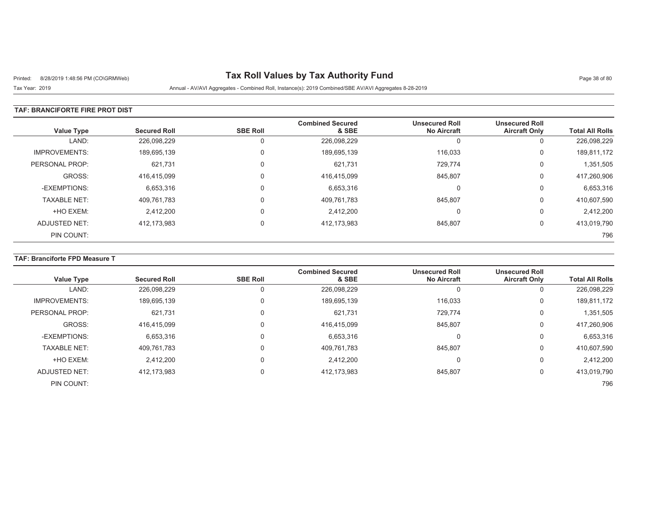# Printed: 8/28/2019 1:48:56 PM (CO\GRMWeb) **Tax Roll Values by Tax Authority Fund** Page 38 of 80

Tax Year: 2019 Annual - AV/AVI Aggregates - Combined Roll, Instance(s): 2019 Combined/SBE AV/AVI Aggregates 8-28-2019

### **TAF: BRANCIFORTE FIRE PROT DIST**

| <b>Value Type</b>    | <b>Secured Roll</b> | <b>SBE Roll</b> | <b>Combined Secured</b><br>& SBE | <b>Unsecured Roll</b><br><b>No Aircraft</b> | <b>Unsecured Roll</b><br><b>Aircraft Only</b> | <b>Total All Rolls</b> |
|----------------------|---------------------|-----------------|----------------------------------|---------------------------------------------|-----------------------------------------------|------------------------|
| LAND:                | 226,098,229         |                 | 226,098,229                      | U                                           | U                                             | 226,098,229            |
| <b>IMPROVEMENTS:</b> | 189,695,139         |                 | 189,695,139                      | 116.033                                     | U                                             | 189,811,172            |
| PERSONAL PROP:       | 621,731             |                 | 621,731                          | 729.774                                     | 0                                             | 1,351,505              |
| GROSS:               | 416.415.099         |                 | 416,415,099                      | 845,807                                     | 0                                             | 417,260,906            |
| -EXEMPTIONS:         | 6,653,316           |                 | 6,653,316                        | 0                                           | 0                                             | 6,653,316              |
| <b>TAXABLE NET:</b>  | 409,761,783         |                 | 409,761,783                      | 845,807                                     | 0                                             | 410,607,590            |
| +HO EXEM:            | 2,412,200           |                 | 2.412.200                        | C                                           | 0                                             | 2,412,200              |
| ADJUSTED NET:        | 412,173,983         |                 | 412,173,983                      | 845,807                                     | υ                                             | 413,019,790            |
| PIN COUNT:           |                     |                 |                                  |                                             |                                               | 796                    |

### **TAF: Branciforte FPD Measure T**

| Value Type           | <b>Secured Roll</b> | <b>SBE Roll</b> | <b>Combined Secured</b><br>& SBE | <b>Unsecured Roll</b><br><b>No Aircraft</b> | <b>Unsecured Roll</b><br><b>Aircraft Only</b> | <b>Total All Rolls</b> |
|----------------------|---------------------|-----------------|----------------------------------|---------------------------------------------|-----------------------------------------------|------------------------|
| LAND:                | 226,098,229         |                 | 226,098,229                      |                                             |                                               | 226,098,229            |
|                      |                     | U               |                                  |                                             | U                                             |                        |
| <b>IMPROVEMENTS:</b> | 189,695,139         | 0               | 189,695,139                      | 116,033                                     | 0                                             | 189,811,172            |
| PERSONAL PROP:       | 621,731             | 0               | 621,731                          | 729,774                                     | 0                                             | 1,351,505              |
| GROSS:               | 416.415.099         | 0               | 416.415.099                      | 845.807                                     | 0                                             | 417,260,906            |
| -EXEMPTIONS:         | 6,653,316           | 0               | 6,653,316                        |                                             | 0                                             | 6,653,316              |
| <b>TAXABLE NET:</b>  | 409.761.783         | 0               | 409,761,783                      | 845.807                                     | 0                                             | 410,607,590            |
| +HO EXEM:            | 2,412,200           | 0               | 2,412,200                        | $\Omega$                                    | 0                                             | 2,412,200              |
| ADJUSTED NET:        | 412,173,983         | 0               | 412, 173, 983                    | 845.807                                     | 0                                             | 413,019,790            |
| PIN COUNT:           |                     |                 |                                  |                                             |                                               | 796                    |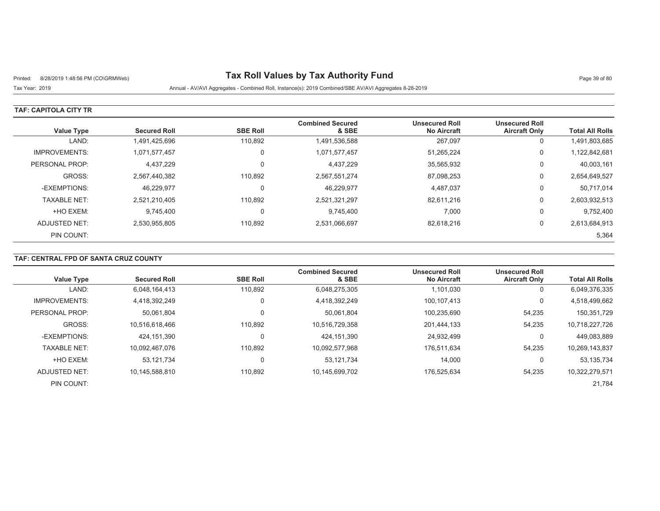# Printed: 8/28/2019 1:48:56 PM (CO\GRMWeb) **Tax Roll Values by Tax Authority Fund** Page 39 of 80

Tax Year: 2019 Annual - AV/AVI Aggregates - Combined Roll, Instance(s): 2019 Combined/SBE AV/AVI Aggregates 8-28-2019

### **TAF: CAPITOLA CITY TR**

| <b>Value Type</b>    | <b>Secured Roll</b> | <b>SBE Roll</b> | <b>Combined Secured</b><br>& SBE | <b>Unsecured Roll</b><br><b>No Aircraft</b> | <b>Unsecured Roll</b><br><b>Aircraft Only</b> | <b>Total All Rolls</b> |
|----------------------|---------------------|-----------------|----------------------------------|---------------------------------------------|-----------------------------------------------|------------------------|
| LAND:                | 1,491,425,696       | 110,892         | 1,491,536,588                    | 267,097                                     | U                                             | 1,491,803,685          |
| <b>IMPROVEMENTS:</b> | 1,071,577,457       | $\Omega$        | 1,071,577,457                    | 51,265,224                                  | 0                                             | 1,122,842,681          |
| PERSONAL PROP:       | 4,437,229           | $\Omega$        | 4,437,229                        | 35,565,932                                  | 0                                             | 40,003,161             |
| GROSS:               | 2,567,440,382       | 110,892         | 2,567,551,274                    | 87,098,253                                  | 0                                             | 2,654,649,527          |
| -EXEMPTIONS:         | 46,229,977          | $\Omega$        | 46,229,977                       | 4,487,037                                   | 0                                             | 50,717,014             |
| <b>TAXABLE NET:</b>  | 2,521,210,405       | 110.892         | 2,521,321,297                    | 82,611,216                                  | 0                                             | 2,603,932,513          |
| +HO EXEM:            | 9,745,400           | $\Omega$        | 9,745,400                        | 7,000                                       | 0                                             | 9,752,400              |
| ADJUSTED NET:        | 2,530,955,805       | 110,892         | 2,531,066,697                    | 82,618,216                                  | 0                                             | 2,613,684,913          |
| PIN COUNT:           |                     |                 |                                  |                                             |                                               | 5,364                  |

## **TAF: CENTRAL FPD OF SANTA CRUZ COUNTY**

| <b>Value Type</b>    | <b>Secured Roll</b> | <b>SBE Roll</b> | <b>Combined Secured</b><br>& SBE | <b>Unsecured Roll</b><br><b>No Aircraft</b> | <b>Unsecured Roll</b><br><b>Aircraft Only</b> | <b>Total All Rolls</b> |
|----------------------|---------------------|-----------------|----------------------------------|---------------------------------------------|-----------------------------------------------|------------------------|
| LAND:                | 6,048,164,413       | 110.892         | 6,048,275,305                    | 1,101,030                                   | υ                                             | 6,049,376,335          |
| <b>IMPROVEMENTS:</b> | 4,418,392,249       | $\mathbf 0$     | 4,418,392,249                    | 100,107,413                                 | 0                                             | 4,518,499,662          |
| PERSONAL PROP:       | 50,061,804          | 0               | 50,061,804                       | 100,235,690                                 | 54,235                                        | 150,351,729            |
| GROSS:               | 10.516.618.466      | 110,892         | 10,516,729,358                   | 201,444,133                                 | 54,235                                        | 10,718,227,726         |
| -EXEMPTIONS:         | 424.151.390         | $\mathbf 0$     | 424,151,390                      | 24,932,499                                  | 0                                             | 449,083,889            |
| <b>TAXABLE NET:</b>  | 10,092,467,076      | 110.892         | 10,092,577,968                   | 176.511.634                                 | 54,235                                        | 10,269,143,837         |
| +HO EXEM:            | 53,121,734          | 0               | 53, 121, 734                     | 14,000                                      | 0                                             | 53,135,734             |
| ADJUSTED NET:        | 10,145,588,810      | 110,892         | 10,145,699,702                   | 176.525.634                                 | 54,235                                        | 10,322,279,571         |
| PIN COUNT:           |                     |                 |                                  |                                             |                                               | 21,784                 |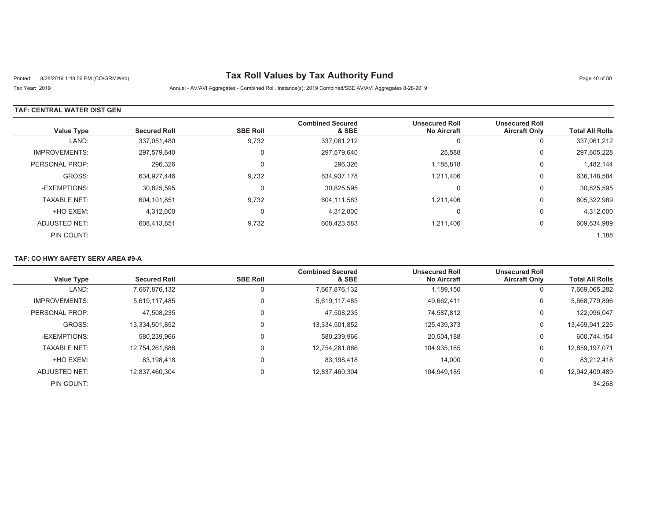# Printed: 8/28/2019 1:48:56 PM (CO\GRMWeb) **Tax Roll Values by Tax Authority Fund** Page 40 of 80

Tax Year: 2019 Annual - AV/AVI Aggregates - Combined Roll, Instance(s): 2019 Combined/SBE AV/AVI Aggregates 8-28-2019

### **TAF: CENTRAL WATER DIST GEN**

| <b>Value Type</b>    | <b>Secured Roll</b> | <b>SBE Roll</b> | <b>Combined Secured</b><br>& SBE | <b>Unsecured Roll</b><br><b>No Aircraft</b> | <b>Unsecured Roll</b><br><b>Aircraft Only</b> | <b>Total All Rolls</b> |
|----------------------|---------------------|-----------------|----------------------------------|---------------------------------------------|-----------------------------------------------|------------------------|
| LAND:                | 337,051,480         | 9,732           | 337,061,212                      | <sup>t</sup>                                | υ                                             | 337,061,212            |
| <b>IMPROVEMENTS:</b> | 297,579,640         | $\Omega$        | 297,579,640                      | 25,588                                      | 0                                             | 297,605,228            |
| PERSONAL PROP:       | 296,326             | $\Omega$        | 296,326                          | 1,185,818                                   | 0                                             | 1,482,144              |
| GROSS:               | 634,927,446         | 9,732           | 634,937,178                      | 1,211,406                                   | 0                                             | 636,148,584            |
| -EXEMPTIONS:         | 30,825,595          | $\Omega$        | 30,825,595                       | C                                           | U                                             | 30,825,595             |
| <b>TAXABLE NET:</b>  | 604,101,851         | 9,732           | 604,111,583                      | 1,211,406                                   | 0                                             | 605,322,989            |
| +HO EXEM:            | 4,312,000           | $\Omega$        | 4,312,000                        | 0                                           | 0                                             | 4,312,000              |
| ADJUSTED NET:        | 608,413,851         | 9,732           | 608,423,583                      | 1,211,406                                   | 0                                             | 609,634,989            |
| PIN COUNT:           |                     |                 |                                  |                                             |                                               | 1,188                  |

## **TAF: CO HWY SAFETY SERV AREA #9-A**

| <b>Value Type</b>    | <b>Secured Roll</b> | <b>SBE Roll</b> | <b>Combined Secured</b><br>& SBE | <b>Unsecured Roll</b><br><b>No Aircraft</b> | <b>Unsecured Roll</b><br><b>Aircraft Only</b> | <b>Total All Rolls</b> |
|----------------------|---------------------|-----------------|----------------------------------|---------------------------------------------|-----------------------------------------------|------------------------|
| LAND:                | 7,667,876,132       |                 | 7,667,876,132                    | 1,189,150                                   | 0                                             | 7,669,065,282          |
| <b>IMPROVEMENTS:</b> | 5.619.117.485       |                 | 5,619,117,485                    | 49.662.411                                  | 0                                             | 5,668,779,896          |
| PERSONAL PROP:       | 47.508.235          |                 | 47.508.235                       | 74.587.812                                  | 0                                             | 122,096,047            |
| GROSS:               | 13,334,501,852      |                 | 13,334,501,852                   | 125,439,373                                 | 0                                             | 13,459,941,225         |
| -EXEMPTIONS:         | 580,239,966         |                 | 580,239,966                      | 20,504,188                                  | 0                                             | 600,744,154            |
| <b>TAXABLE NET:</b>  | 12,754,261,886      |                 | 12,754,261,886                   | 104.935.185                                 | 0                                             | 12,859,197,071         |
| +HO EXEM:            | 83.198.418          |                 | 83.198.418                       | 14,000                                      | 0                                             | 83,212,418             |
| ADJUSTED NET:        | 12,837,460,304      | $\Omega$        | 12,837,460,304                   | 104.949.185                                 | 0                                             | 12,942,409,489         |
| PIN COUNT:           |                     |                 |                                  |                                             |                                               | 34,268                 |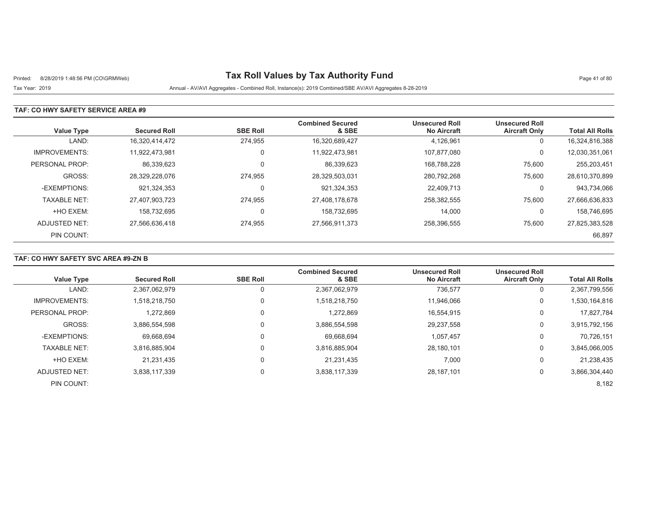# Printed: 8/28/2019 1:48:56 PM (CO\GRMWeb) **Tax Roll Values by Tax Authority Fund** Page 41 of 80

Tax Year: 2019 Annual - AV/AVI Aggregates - Combined Roll, Instance(s): 2019 Combined/SBE AV/AVI Aggregates 8-28-2019

### **TAF: CO HWY SAFETY SERVICE AREA #9**

| Value Type           | <b>Secured Roll</b> | <b>SBE Roll</b> | <b>Combined Secured</b><br>& SBE | <b>Unsecured Roll</b><br><b>No Aircraft</b> | <b>Unsecured Roll</b><br><b>Aircraft Only</b> | <b>Total All Rolls</b> |
|----------------------|---------------------|-----------------|----------------------------------|---------------------------------------------|-----------------------------------------------|------------------------|
| LAND:                | 16.320.414.472      | 274.955         | 16,320,689,427                   | 4,126,961                                   | 0                                             | 16,324,816,388         |
| <b>IMPROVEMENTS:</b> | 11.922.473.981      | $\Omega$        | 11.922.473.981                   | 107.877.080                                 | 0                                             | 12,030,351,061         |
| PERSONAL PROP:       | 86,339,623          | $\Omega$        | 86,339,623                       | 168,788,228                                 | 75,600                                        | 255,203,451            |
| GROSS:               | 28.329.228.076      | 274.955         | 28,329,503,031                   | 280.792.268                                 | 75,600                                        | 28,610,370,899         |
| -EXEMPTIONS:         | 921,324,353         | $\Omega$        | 921,324,353                      | 22.409.713                                  | 0                                             | 943,734,066            |
| <b>TAXABLE NET:</b>  | 27,407,903,723      | 274,955         | 27,408,178,678                   | 258,382,555                                 | 75,600                                        | 27,666,636,833         |
| +HO EXEM:            | 158.732.695         | $\Omega$        | 158.732.695                      | 14,000                                      | 0                                             | 158,746,695            |
| ADJUSTED NET:        | 27,566,636,418      | 274,955         | 27,566,911,373                   | 258,396,555                                 | 75,600                                        | 27,825,383,528         |
| PIN COUNT:           |                     |                 |                                  |                                             |                                               | 66,897                 |

### **TAF: CO HWY SAFETY SVC AREA #9-ZN B**

| <b>Value Type</b>    | <b>Secured Roll</b> | <b>SBE Roll</b> | <b>Combined Secured</b><br>& SBE | <b>Unsecured Roll</b><br><b>No Aircraft</b> | <b>Unsecured Roll</b><br><b>Aircraft Only</b> | <b>Total All Rolls</b> |
|----------------------|---------------------|-----------------|----------------------------------|---------------------------------------------|-----------------------------------------------|------------------------|
| LAND:                | 2,367,062,979       |                 | 2,367,062,979                    | 736,577                                     | 0                                             | 2,367,799,556          |
| <b>IMPROVEMENTS:</b> | 1,518,218,750       |                 | 1,518,218,750                    | 11.946.066                                  | 0                                             | 1,530,164,816          |
| PERSONAL PROP:       | 1,272,869           |                 | 1,272,869                        | 16,554,915                                  | 0                                             | 17.827.784             |
| GROSS:               | 3,886,554,598       |                 | 3,886,554,598                    | 29,237,558                                  | 0                                             | 3,915,792,156          |
| -EXEMPTIONS:         | 69,668,694          |                 | 69,668,694                       | 1,057,457                                   | 0                                             | 70,726,151             |
| <b>TAXABLE NET:</b>  | 3.816.885.904       |                 | 3,816,885,904                    | 28,180,101                                  | 0                                             | 3,845,066,005          |
| +HO EXEM:            | 21.231.435          |                 | 21.231.435                       | 7,000                                       | 0                                             | 21,238,435             |
| ADJUSTED NET:        | 3,838,117,339       |                 | 3,838,117,339                    | 28,187,101                                  | 0                                             | 3,866,304,440          |
| PIN COUNT:           |                     |                 |                                  |                                             |                                               | 8,182                  |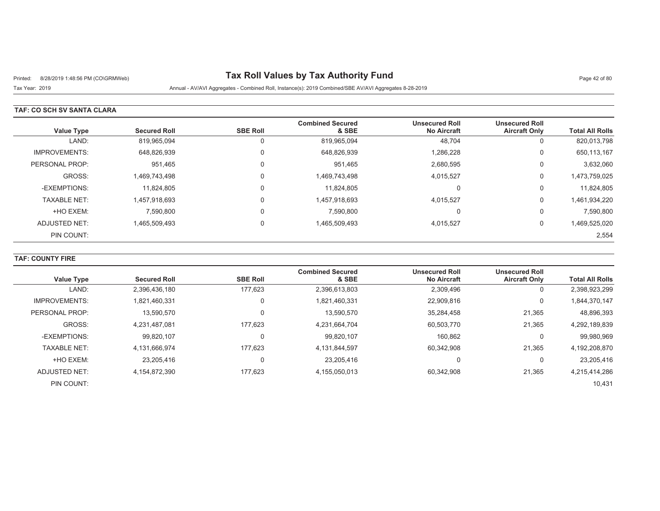# Printed: 8/28/2019 1:48:56 PM (CO\GRMWeb) **Tax Roll Values by Tax Authority Fund** Page 42 of 80

Tax Year: 2019 Annual - AV/AVI Aggregates - Combined Roll, Instance(s): 2019 Combined/SBE AV/AVI Aggregates 8-28-2019

### **TAF: CO SCH SV SANTA CLARA**

| <b>Value Type</b>    | <b>Secured Roll</b> | <b>SBE Roll</b> | <b>Combined Secured</b><br>& SBE | <b>Unsecured Roll</b><br><b>No Aircraft</b> | <b>Unsecured Roll</b><br><b>Aircraft Only</b> | <b>Total All Rolls</b> |
|----------------------|---------------------|-----------------|----------------------------------|---------------------------------------------|-----------------------------------------------|------------------------|
| LAND:                | 819,965,094         |                 | 819,965,094                      | 48,704                                      | 0                                             | 820,013,798            |
| <b>IMPROVEMENTS:</b> | 648,826,939         | $\Omega$        | 648,826,939                      | 1,286,228                                   | 0                                             | 650,113,167            |
| PERSONAL PROP:       | 951,465             | $\Omega$        | 951,465                          | 2,680,595                                   | 0                                             | 3,632,060              |
| GROSS:               | 1,469,743,498       | $\Omega$        | 1,469,743,498                    | 4,015,527                                   | 0                                             | 1,473,759,025          |
| -EXEMPTIONS:         | 11.824.805          | $\Omega$        | 11.824.805                       | $\Omega$                                    | 0                                             | 11,824,805             |
| <b>TAXABLE NET:</b>  | 1,457,918,693       | $\Omega$        | 1,457,918,693                    | 4,015,527                                   | 0                                             | 1,461,934,220          |
| +HO EXEM:            | 7,590,800           | $\Omega$        | 7,590,800                        | $\Omega$                                    | 0                                             | 7,590,800              |
| ADJUSTED NET:        | 1.465.509.493       | $\Omega$        | 1,465,509,493                    | 4,015,527                                   | 0                                             | 1,469,525,020          |
| PIN COUNT:           |                     |                 |                                  |                                             |                                               | 2,554                  |

### **TAF: COUNTY FIRE**

| <b>Value Type</b>    | <b>Secured Roll</b> | <b>SBE Roll</b> | <b>Combined Secured</b><br>& SBE | <b>Unsecured Roll</b><br><b>No Aircraft</b> | <b>Unsecured Roll</b><br><b>Aircraft Only</b> | <b>Total All Rolls</b> |
|----------------------|---------------------|-----------------|----------------------------------|---------------------------------------------|-----------------------------------------------|------------------------|
|                      |                     |                 |                                  |                                             |                                               |                        |
| LAND:                | 2,396,436,180       | 177.623         | 2,396,613,803                    | 2,309,496                                   | U                                             | 2,398,923,299          |
| <b>IMPROVEMENTS:</b> | 1,821,460,331       | 0               | 1,821,460,331                    | 22,909,816                                  | 0                                             | 1,844,370,147          |
| PERSONAL PROP:       | 13,590,570          |                 | 13,590,570                       | 35,284,458                                  | 21,365                                        | 48,896,393             |
| GROSS:               | 4.231.487.081       | 177.623         | 4,231,664,704                    | 60,503,770                                  | 21,365                                        | 4,292,189,839          |
| -EXEMPTIONS:         | 99,820,107          | 0               | 99,820,107                       | 160,862                                     | U                                             | 99,980,969             |
| <b>TAXABLE NET:</b>  | 4.131.666.974       | 177.623         | 4,131,844,597                    | 60,342,908                                  | 21,365                                        | 4,192,208,870          |
| +HO EXEM:            | 23.205.416          | 0               | 23.205.416                       | 0                                           |                                               | 23,205,416             |
| ADJUSTED NET:        | 4,154,872,390       | 177.623         | 4,155,050,013                    | 60,342,908                                  | 21,365                                        | 4,215,414,286          |
| PIN COUNT:           |                     |                 |                                  |                                             |                                               | 10,431                 |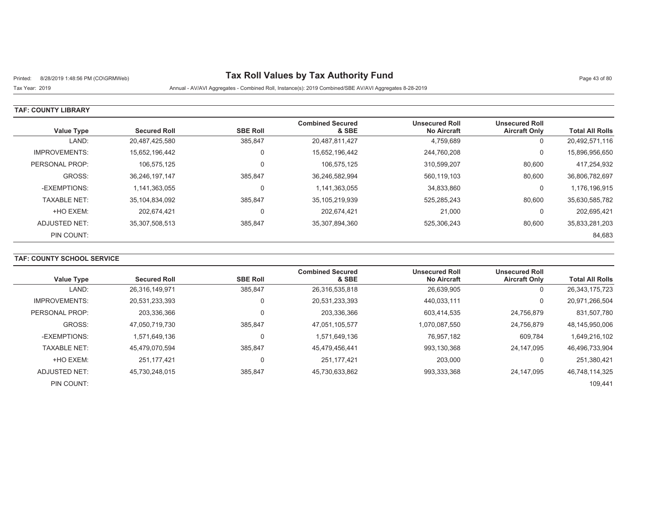# Printed: 8/28/2019 1:48:56 PM (CO\GRMWeb) **Tax Roll Values by Tax Authority Fund** Page 43 of 80

Tax Year: 2019 Annual - AV/AVI Aggregates - Combined Roll, Instance(s): 2019 Combined/SBE AV/AVI Aggregates 8-28-2019

#### **TAF: COUNTY LIBRARY**

| <b>Value Type</b>    | <b>Secured Roll</b> | <b>SBE Roll</b> | <b>Combined Secured</b><br>& SBE | <b>Unsecured Roll</b><br><b>No Aircraft</b> | <b>Unsecured Roll</b><br><b>Aircraft Only</b> | <b>Total All Rolls</b> |
|----------------------|---------------------|-----------------|----------------------------------|---------------------------------------------|-----------------------------------------------|------------------------|
| LAND:                | 20,487,425,580      | 385,847         | 20,487,811,427                   | 4,759,689                                   | 0                                             | 20,492,571,116         |
| <b>IMPROVEMENTS:</b> | 15,652,196,442      | 0               | 15,652,196,442                   | 244,760,208                                 | 0                                             | 15,896,956,650         |
| PERSONAL PROP:       | 106.575.125         | $\Omega$        | 106.575.125                      | 310.599.207                                 | 80,600                                        | 417,254,932            |
| GROSS:               | 36,246,197,147      | 385.847         | 36,246,582,994                   | 560,119,103                                 | 80,600                                        | 36,806,782,697         |
| -EXEMPTIONS:         | 1.141.363.055       | 0               | 1,141,363,055                    | 34,833,860                                  | 0                                             | 1,176,196,915          |
| <b>TAXABLE NET:</b>  | 35,104,834,092      | 385.847         | 35,105,219,939                   | 525.285.243                                 | 80,600                                        | 35,630,585,782         |
| +HO EXEM:            | 202.674.421         | 0               | 202.674.421                      | 21,000                                      | 0                                             | 202,695,421            |
| ADJUSTED NET:        | 35,307,508,513      | 385,847         | 35,307,894,360                   | 525,306,243                                 | 80,600                                        | 35,833,281,203         |
| PIN COUNT:           |                     |                 |                                  |                                             |                                               | 84,683                 |

## **TAF: COUNTY SCHOOL SERVICE**

| <b>Value Type</b>    | <b>Secured Roll</b> | <b>SBE Roll</b> | <b>Combined Secured</b><br>& SBE | <b>Unsecured Roll</b><br><b>No Aircraft</b> | <b>Unsecured Roll</b><br><b>Aircraft Only</b> | <b>Total All Rolls</b> |
|----------------------|---------------------|-----------------|----------------------------------|---------------------------------------------|-----------------------------------------------|------------------------|
| LAND:                | 26,316,149,971      | 385,847         | 26,316,535,818                   | 26,639,905                                  | U                                             | 26, 343, 175, 723      |
| <b>IMPROVEMENTS:</b> | 20.531.233.393      |                 | 20,531,233,393                   | 440.033.111                                 | 0                                             | 20,971,266,504         |
| PERSONAL PROP:       | 203,336,366         |                 | 203,336,366                      | 603,414,535                                 | 24.756.879                                    | 831,507,780            |
| GROSS:               | 47,050,719,730      | 385.847         | 47,051,105,577                   | 1,070,087,550                               | 24.756.879                                    | 48,145,950,006         |
| -EXEMPTIONS:         | 1.571.649.136       |                 | 1,571,649,136                    | 76.957.182                                  | 609,784                                       | 1,649,216,102          |
| <b>TAXABLE NET:</b>  | 45,479,070,594      | 385.847         | 45,479,456,441                   | 993,130,368                                 | 24.147.095                                    | 46,496,733,904         |
| +HO EXEM:            | 251.177.421         |                 | 251, 177, 421                    | 203,000                                     |                                               | 251,380,421            |
| ADJUSTED NET:        | 45,730,248,015      | 385,847         | 45,730,633,862                   | 993,333,368                                 | 24.147.095                                    | 46,748,114,325         |
| PIN COUNT:           |                     |                 |                                  |                                             |                                               | 109.441                |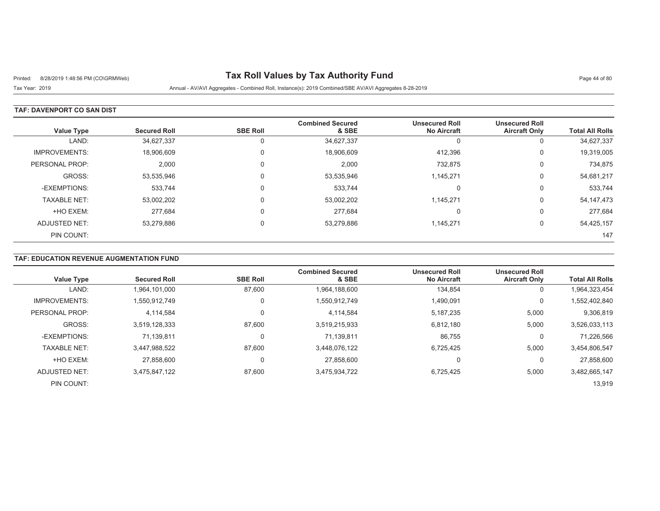# Printed: 8/28/2019 1:48:56 PM (CO\GRMWeb) **Tax Roll Values by Tax Authority Fund** Page 44 of 80

Tax Year: 2019 Annual - AV/AVI Aggregates - Combined Roll, Instance(s): 2019 Combined/SBE AV/AVI Aggregates 8-28-2019

### **TAF: DAVENPORT CO SAN DIST**

| <b>Value Type</b>    | <b>Secured Roll</b> | <b>SBE Roll</b> | <b>Combined Secured</b><br>& SBE | <b>Unsecured Roll</b><br><b>No Aircraft</b> | <b>Unsecured Roll</b><br><b>Aircraft Only</b> | <b>Total All Rolls</b> |
|----------------------|---------------------|-----------------|----------------------------------|---------------------------------------------|-----------------------------------------------|------------------------|
| LAND:                | 34,627,337          |                 | 34,627,337                       | U                                           | v                                             | 34,627,337             |
| <b>IMPROVEMENTS:</b> | 18,906,609          | $\Omega$        | 18,906,609                       | 412,396                                     | 0                                             | 19,319,005             |
| PERSONAL PROP:       | 2,000               | $\Omega$        | 2,000                            | 732,875                                     | U                                             | 734,875                |
| GROSS:               | 53,535,946          |                 | 53,535,946                       | 1,145,271                                   | 0                                             | 54,681,217             |
| -EXEMPTIONS:         | 533.744             | $\Omega$        | 533,744                          | -                                           | U                                             | 533,744                |
| <b>TAXABLE NET:</b>  | 53,002,202          | $\Omega$        | 53,002,202                       | 1,145,271                                   | 0                                             | 54, 147, 473           |
| +HO EXEM:            | 277.684             | $\Omega$        | 277.684                          | -                                           | 0                                             | 277,684                |
| <b>ADJUSTED NET:</b> | 53,279,886          |                 | 53,279,886                       | 1,145,271                                   | υ                                             | 54,425,157             |
| PIN COUNT:           |                     |                 |                                  |                                             |                                               | 147                    |

#### **TAF: EDUCATION REVENUE AUGMENTATION FUND**

| <b>Value Type</b>    | <b>Secured Roll</b> | <b>SBE Roll</b> | <b>Combined Secured</b><br>& SBE | <b>Unsecured Roll</b><br><b>No Aircraft</b> | <b>Unsecured Roll</b><br><b>Aircraft Only</b> | <b>Total All Rolls</b> |
|----------------------|---------------------|-----------------|----------------------------------|---------------------------------------------|-----------------------------------------------|------------------------|
|                      |                     |                 |                                  |                                             |                                               |                        |
| LAND:                | 1,964,101,000       | 87,600          | 1,964,188,600                    | 134,854                                     | 0                                             | 1,964,323,454          |
| <b>IMPROVEMENTS:</b> | 1,550,912,749       | 0               | 1,550,912,749                    | 1,490,091                                   | 0                                             | 1,552,402,840          |
| PERSONAL PROP:       | 4,114,584           | 0               | 4,114,584                        | 5,187,235                                   | 5,000                                         | 9,306,819              |
| GROSS:               | 3.519.128.333       | 87,600          | 3,519,215,933                    | 6,812,180                                   | 5,000                                         | 3,526,033,113          |
| -EXEMPTIONS:         | 71.139.811          | 0               | 71.139.811                       | 86,755                                      | 0                                             | 71,226,566             |
| <b>TAXABLE NET:</b>  | 3,447,988,522       | 87.600          | 3,448,076,122                    | 6.725.425                                   | 5.000                                         | 3,454,806,547          |
| +HO EXEM:            | 27.858.600          | 0               | 27,858,600                       | 0                                           | 0                                             | 27,858,600             |
| ADJUSTED NET:        | 3,475,847,122       | 87,600          | 3,475,934,722                    | 6,725,425                                   | 5,000                                         | 3,482,665,147          |
| PIN COUNT:           |                     |                 |                                  |                                             |                                               | 13,919                 |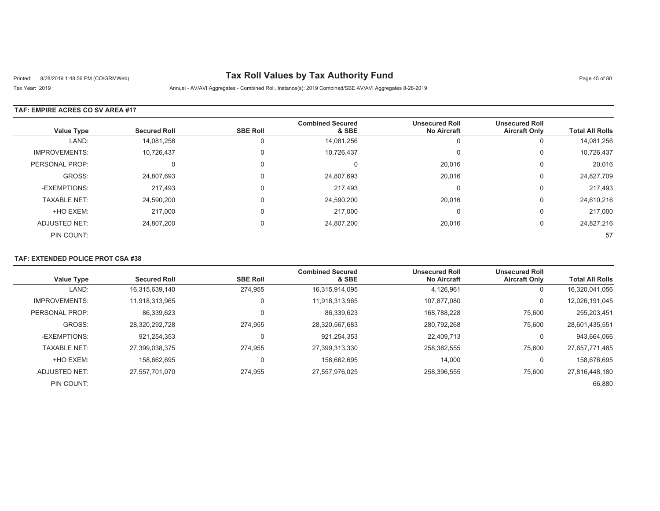# Printed: 8/28/2019 1:48:56 PM (CO\GRMWeb) **Tax Roll Values by Tax Authority Fund** Page 45 of 80

Tax Year: 2019 Annual - AV/AVI Aggregates - Combined Roll, Instance(s): 2019 Combined/SBE AV/AVI Aggregates 8-28-2019

### **TAF: EMPIRE ACRES CO SV AREA #17**

| <b>Value Type</b>    | <b>Secured Roll</b> | <b>SBE Roll</b> | <b>Combined Secured</b><br>& SBE | <b>Unsecured Roll</b><br><b>No Aircraft</b> | <b>Unsecured Roll</b><br><b>Aircraft Only</b> | <b>Total All Rolls</b> |
|----------------------|---------------------|-----------------|----------------------------------|---------------------------------------------|-----------------------------------------------|------------------------|
| LAND:                | 14,081,256          |                 | 14,081,256                       | U                                           | υ                                             | 14,081,256             |
| <b>IMPROVEMENTS:</b> | 10,726,437          | $\Omega$        | 10,726,437                       | C                                           | 0                                             | 10,726,437             |
| PERSONAL PROP:       | 0                   |                 | С                                | 20,016                                      | U                                             | 20,016                 |
| GROSS:               | 24,807,693          | $\Omega$        | 24,807,693                       | 20,016                                      | U                                             | 24,827,709             |
| -EXEMPTIONS:         | 217,493             | $\Omega$        | 217,493                          | C                                           | υ                                             | 217,493                |
| <b>TAXABLE NET:</b>  | 24,590,200          |                 | 24,590,200                       | 20,016                                      | 0                                             | 24,610,216             |
| +HO EXEM:            | 217,000             | $\Omega$        | 217.000                          | $\Omega$                                    | 0                                             | 217,000                |
| ADJUSTED NET:        | 24,807,200          | $\Omega$        | 24,807,200                       | 20,016                                      | U                                             | 24,827,216             |
| PIN COUNT:           |                     |                 |                                  |                                             |                                               | 57                     |

### **TAF: EXTENDED POLICE PROT CSA #38**

| <b>Value Type</b>    | <b>Secured Roll</b> | <b>SBE Roll</b> | <b>Combined Secured</b><br>& SBE | <b>Unsecured Roll</b><br><b>No Aircraft</b> | <b>Unsecured Roll</b><br><b>Aircraft Only</b> | <b>Total All Rolls</b> |
|----------------------|---------------------|-----------------|----------------------------------|---------------------------------------------|-----------------------------------------------|------------------------|
| LAND:                | 16,315,639,140      | 274.955         | 16,315,914,095                   | 4,126,961                                   | 0                                             | 16,320,041,056         |
| <b>IMPROVEMENTS:</b> | 11,918,313,965      | $\Omega$        | 11,918,313,965                   | 107.877.080                                 | 0                                             | 12,026,191,045         |
| PERSONAL PROP:       | 86,339,623          |                 | 86,339,623                       | 168,788,228                                 | 75,600                                        | 255,203,451            |
| GROSS:               | 28,320,292,728      | 274.955         | 28,320,567,683                   | 280,792,268                                 | 75,600                                        | 28,601,435,551         |
| -EXEMPTIONS:         | 921.254.353         |                 | 921,254,353                      | 22,409,713                                  | 0                                             | 943,664,066            |
| <b>TAXABLE NET:</b>  | 27,399,038,375      | 274,955         | 27,399,313,330                   | 258,382,555                                 | 75.600                                        | 27,657,771,485         |
| +HO EXEM:            | 158.662.695         |                 | 158,662,695                      | 14,000                                      | 0                                             | 158,676,695            |
| ADJUSTED NET:        | 27,557,701,070      | 274,955         | 27,557,976,025                   | 258,396,555                                 | 75,600                                        | 27,816,448,180         |
| PIN COUNT:           |                     |                 |                                  |                                             |                                               | 66,880                 |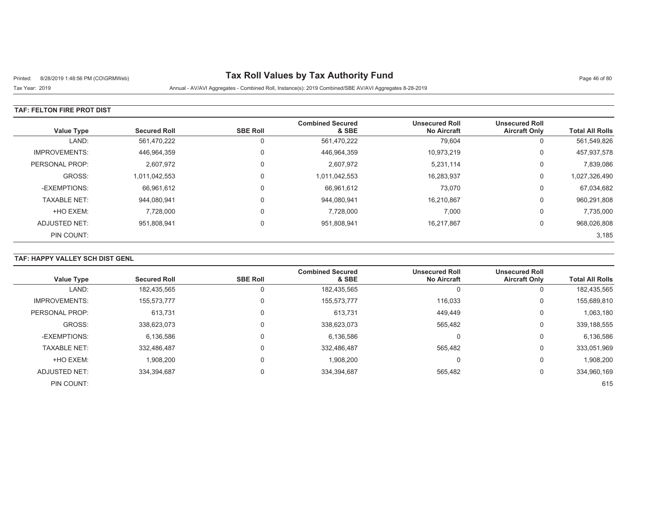# Printed: 8/28/2019 1:48:56 PM (CO\GRMWeb) **Tax Roll Values by Tax Authority Fund** Page 46 of 80

## Tax Year: 2019 Annual - AV/AVI Aggregates - Combined Roll, Instance(s): 2019 Combined/SBE AV/AVI Aggregates 8-28-2019

#### **TAF: FELTON FIRE PROT DIST**

| <b>Value Type</b>    | <b>Secured Roll</b> | <b>SBE Roll</b> | <b>Combined Secured</b><br>& SBE | <b>Unsecured Roll</b><br><b>No Aircraft</b> | <b>Unsecured Roll</b><br><b>Aircraft Only</b> | <b>Total All Rolls</b> |
|----------------------|---------------------|-----------------|----------------------------------|---------------------------------------------|-----------------------------------------------|------------------------|
| LAND:                | 561,470,222         |                 | 561,470,222                      | 79,604                                      | 0                                             | 561,549,826            |
| <b>IMPROVEMENTS:</b> | 446,964,359         |                 | 446,964,359                      | 10.973.219                                  | 0                                             | 457,937,578            |
| PERSONAL PROP:       | 2,607,972           |                 | 2,607,972                        | 5,231,114                                   | 0                                             | 7,839,086              |
| GROSS:               | 1,011,042,553       |                 | 1,011,042,553                    | 16,283,937                                  | 0                                             | 1,027,326,490          |
| -EXEMPTIONS:         | 66,961,612          |                 | 66.961.612                       | 73,070                                      | 0                                             | 67,034,682             |
| <b>TAXABLE NET:</b>  | 944,080,941         |                 | 944,080,941                      | 16,210,867                                  | 0                                             | 960,291,808            |
| +HO EXEM:            | 7,728,000           |                 | 7,728,000                        | 7,000                                       | 0                                             | 7,735,000              |
| ADJUSTED NET:        | 951,808,941         |                 | 951,808,941                      | 16,217,867                                  | 0                                             | 968,026,808            |
| PIN COUNT:           |                     |                 |                                  |                                             |                                               | 3,185                  |

## **TAF: HAPPY VALLEY SCH DIST GENL**

|                      |                     |                 | <b>Combined Secured</b> | <b>Unsecured Roll</b> | <b>Unsecured Roll</b> |                        |
|----------------------|---------------------|-----------------|-------------------------|-----------------------|-----------------------|------------------------|
| <b>Value Type</b>    | <b>Secured Roll</b> | <b>SBE Roll</b> | & SBE                   | <b>No Aircraft</b>    | <b>Aircraft Only</b>  | <b>Total All Rolls</b> |
| LAND:                | 182,435,565         |                 | 182,435,565             |                       | 0                     | 182,435,565            |
| <b>IMPROVEMENTS:</b> | 155,573,777         |                 | 155,573,777             | 116,033               | 0                     | 155,689,810            |
| PERSONAL PROP:       | 613.731             | 0               | 613,731                 | 449,449               | 0                     | 1,063,180              |
| GROSS:               | 338.623.073         |                 | 338,623,073             | 565,482               | 0                     | 339,188,555            |
| -EXEMPTIONS:         | 6,136,586           |                 | 6,136,586               |                       | 0                     | 6,136,586              |
| <b>TAXABLE NET:</b>  | 332,486,487         |                 | 332,486,487             | 565,482               | 0                     | 333,051,969            |
| +HO EXEM:            | 1,908,200           | $\Omega$        | 1,908,200               |                       | $\Omega$              | 1,908,200              |
| ADJUSTED NET:        | 334,394,687         | 0               | 334,394,687             | 565,482               | 0                     | 334,960,169            |
| PIN COUNT:           |                     |                 |                         |                       |                       | 615                    |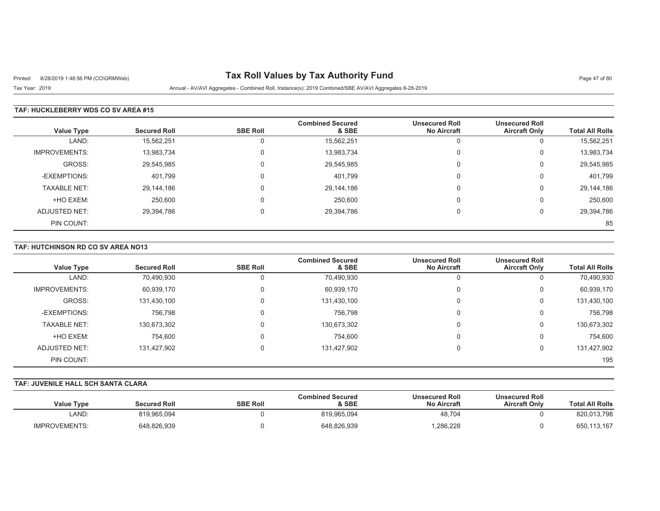# Printed: 8/28/2019 1:48:56 PM (CO\GRMWeb) **Tax Roll Values by Tax Authority Fund** Page 47 of 80

Tax Year: 2019 Annual - AV/AVI Aggregates - Combined Roll, Instance(s): 2019 Combined/SBE AV/AVI Aggregates 8-28-2019

#### **TAF: HUCKLEBERRY WDS CO SV AREA #15**

| <b>Value Type</b>    | <b>Secured Roll</b> | <b>SBE Roll</b> | <b>Combined Secured</b><br>& SBE | <b>Unsecured Roll</b><br><b>No Aircraft</b> | <b>Unsecured Roll</b><br><b>Aircraft Only</b> | <b>Total All Rolls</b> |
|----------------------|---------------------|-----------------|----------------------------------|---------------------------------------------|-----------------------------------------------|------------------------|
| LAND:                | 15,562,251          |                 | 15,562,251                       |                                             | υ                                             | 15,562,251             |
| <b>IMPROVEMENTS:</b> | 13,983,734          |                 | 13,983,734                       |                                             | 0                                             | 13,983,734             |
| GROSS:               | 29,545,985          | $\Omega$        | 29,545,985                       | $\Omega$                                    | 0                                             | 29,545,985             |
| -EXEMPTIONS:         | 401,799             |                 | 401,799                          |                                             | 0                                             | 401,799                |
| <b>TAXABLE NET:</b>  | 29,144,186          |                 | 29,144,186                       | $\Omega$                                    | $\mathbf 0$                                   | 29,144,186             |
| +HO EXEM:            | 250,600             |                 | 250,600                          | $\Omega$                                    | 0                                             | 250,600                |
| ADJUSTED NET:        | 29,394,786          |                 | 29,394,786                       |                                             | 0                                             | 29,394,786             |
| PIN COUNT:           |                     |                 |                                  |                                             |                                               | 85                     |

#### **TAF: HUTCHINSON RD CO SV AREA NO13**

| <b>Value Type</b>    | <b>Secured Roll</b> | <b>SBE Roll</b> | <b>Combined Secured</b><br>& SBE | <b>Unsecured Roll</b><br><b>No Aircraft</b> | <b>Unsecured Roll</b><br><b>Aircraft Only</b> | <b>Total All Rolls</b> |
|----------------------|---------------------|-----------------|----------------------------------|---------------------------------------------|-----------------------------------------------|------------------------|
| LAND:                | 70,490,930          |                 | 70,490,930                       |                                             | U                                             | 70,490,930             |
| <b>IMPROVEMENTS:</b> | 60,939,170          | 0               | 60,939,170                       | 0                                           | 0                                             | 60,939,170             |
| GROSS:               | 131,430,100         | 0               | 131,430,100                      | 0                                           | 0                                             | 131,430,100            |
| -EXEMPTIONS:         | 756,798             | $\Omega$        | 756.798                          | 0                                           | 0                                             | 756,798                |
| <b>TAXABLE NET:</b>  | 130,673,302         |                 | 130,673,302                      | 0                                           | 0                                             | 130,673,302            |
| +HO EXEM:            | 754,600             | 0               | 754.600                          | 0                                           | 0                                             | 754,600                |
| ADJUSTED NET:        | 131,427,902         | 0               | 131,427,902                      | $\Omega$                                    | 0                                             | 131,427,902            |
| PIN COUNT:           |                     |                 |                                  |                                             |                                               | 195                    |

## **TAF: JUVENILE HALL SCH SANTA CLARA**

| <b>Total All Rolls</b> | <b>Unsecured Roll</b><br><b>Aircraft Only</b> | <b>Unsecured Roll</b><br><b>No Aircraft</b> | <b>Combined Secured</b><br>& SBE | <b>SBE Roll</b> | Secured Roll | <b>Value Type</b>    |
|------------------------|-----------------------------------------------|---------------------------------------------|----------------------------------|-----------------|--------------|----------------------|
| 820,013,798            |                                               | 48,704                                      | 819,965,094                      |                 | 819,965,094  | LAND:                |
| 650,113,167            |                                               | ,286,228                                    | 648,826,939                      |                 | 648,826,939  | <b>IMPROVEMENTS:</b> |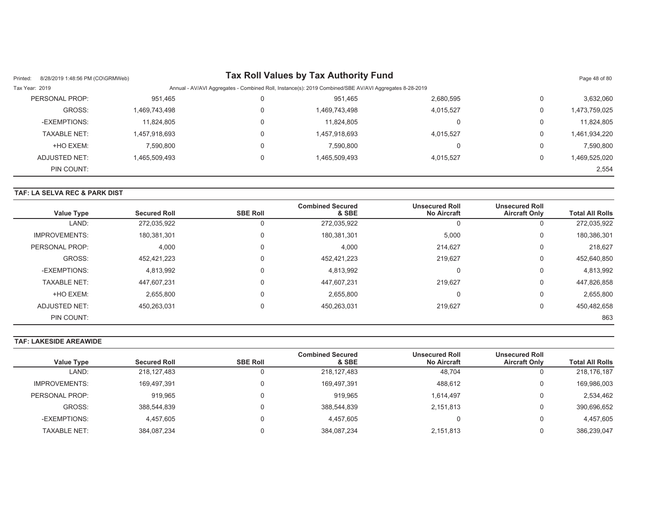| Printed:       | 8/28/2019 1:48:56 PM (CO\GRMWeb) |               |                                                                                                        | Tax Roll Values by Tax Authority Fund |           |   | Page 48 of 80 |
|----------------|----------------------------------|---------------|--------------------------------------------------------------------------------------------------------|---------------------------------------|-----------|---|---------------|
| Tax Year: 2019 |                                  |               | Annual - AV/AVI Aggregates - Combined Roll, Instance(s): 2019 Combined/SBE AV/AVI Aggregates 8-28-2019 |                                       |           |   |               |
|                | PERSONAL PROP:                   | 951,465       | υ                                                                                                      | 951,465                               | 2,680,595 | 0 | 3,632,060     |
|                | GROSS:                           | 1,469,743,498 |                                                                                                        | 1,469,743,498                         | 4,015,527 | 0 | 1,473,759,025 |
|                | -EXEMPTIONS:                     | 11,824,805    |                                                                                                        | 11.824.805                            |           | 0 | 11,824,805    |
|                | <b>TAXABLE NET:</b>              | 1,457,918,693 | 0                                                                                                      | 1,457,918,693                         | 4,015,527 | 0 | 1,461,934,220 |
|                | +HO EXEM:                        | 7,590,800     |                                                                                                        | 7,590,800                             |           | 0 | 7,590,800     |
|                | ADJUSTED NET:                    | 1.465.509.493 |                                                                                                        | 1.465.509.493                         | 4.015.527 | 0 | 1,469,525,020 |
|                | PIN COUNT:                       |               |                                                                                                        |                                       |           |   | 2,554         |

## **TAF: LA SELVA REC & PARK DIST**

| <b>Value Type</b>    | <b>Secured Roll</b> | <b>SBE Roll</b> | <b>Combined Secured</b><br>& SBE | <b>Unsecured Roll</b><br><b>No Aircraft</b> | <b>Unsecured Roll</b><br><b>Aircraft Only</b> | <b>Total All Rolls</b> |
|----------------------|---------------------|-----------------|----------------------------------|---------------------------------------------|-----------------------------------------------|------------------------|
| LAND:                | 272,035,922         |                 | 272,035,922                      | -                                           | U                                             | 272,035,922            |
| <b>IMPROVEMENTS:</b> | 180,381,301         |                 | 180,381,301                      | 5,000                                       | υ                                             | 180,386,301            |
| PERSONAL PROP:       | 4,000               |                 | 4,000                            | 214.627                                     | U                                             | 218.627                |
| GROSS:               | 452,421,223         |                 | 452,421,223                      | 219.627                                     | υ                                             | 452,640,850            |
| -EXEMPTIONS:         | 4,813,992           |                 | 4,813,992                        | $\Omega$                                    | U                                             | 4,813,992              |
| <b>TAXABLE NET:</b>  | 447,607,231         |                 | 447,607,231                      | 219.627                                     | 0                                             | 447,826,858            |
| +HO EXEM:            | 2,655,800           |                 | 2.655.800                        | $\Omega$                                    | υ                                             | 2,655,800              |
| ADJUSTED NET:        | 450,263,031         |                 | 450,263,031                      | 219.627                                     | U                                             | 450,482,658            |
| PIN COUNT:           |                     |                 |                                  |                                             |                                               | 863                    |

## **TAF: LAKESIDE AREAWIDE**

|                      |                     |                 | <b>Combined Secured</b> | <b>Unsecured Roll</b> | <b>Unsecured Roll</b> |                        |
|----------------------|---------------------|-----------------|-------------------------|-----------------------|-----------------------|------------------------|
| <b>Value Type</b>    | <b>Secured Roll</b> | <b>SBE Roll</b> | & SBE                   | <b>No Aircraft</b>    | <b>Aircraft Only</b>  | <b>Total All Rolls</b> |
| LAND:                | 218,127,483         |                 | 218, 127, 483           | 48,704                |                       | 218,176,187            |
| <b>IMPROVEMENTS:</b> | 169,497,391         |                 | 169.497.391             | 488.612               | U                     | 169,986,003            |
| PERSONAL PROP:       | 919,965             |                 | 919.965                 | 1,614,497             |                       | 2,534,462              |
| GROSS:               | 388,544,839         |                 | 388,544,839             | 2,151,813             | U                     | 390,696,652            |
| -EXEMPTIONS:         | 4,457,605           |                 | 4,457,605               |                       |                       | 4,457,605              |
| <b>TAXABLE NET:</b>  | 384,087,234         |                 | 384,087,234             | 2,151,813             |                       | 386,239,047            |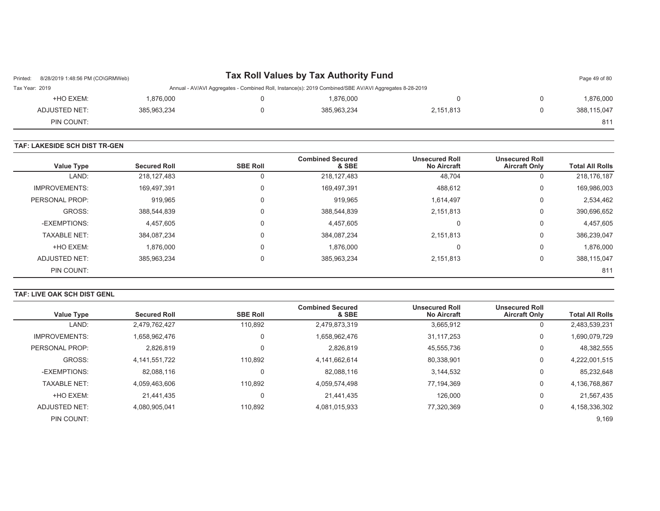| Printed:       | Tax Roll Values by Tax Authority Fund<br>8/28/2019 1:48:56 PM (CO\GRMWeb) |                                                                                                        |             |           |   |             |  |
|----------------|---------------------------------------------------------------------------|--------------------------------------------------------------------------------------------------------|-------------|-----------|---|-------------|--|
| Tax Year: 2019 |                                                                           | Annual - AV/AVI Aggregates - Combined Roll, Instance(s): 2019 Combined/SBE AV/AVI Aggregates 8-28-2019 |             |           |   |             |  |
| +HO EXEM:      | 1,876,000                                                                 |                                                                                                        | 1,876,000   |           | 0 | 1,876,000   |  |
| ADJUSTED NET:  | 385,963,234                                                               |                                                                                                        | 385.963.234 | 2.151.813 |   | 388,115,047 |  |
| PIN COUNT:     |                                                                           |                                                                                                        |             |           |   | 811         |  |

#### **TAF: LAKESIDE SCH DIST TR-GEN**

| <b>Value Type</b>    | <b>Secured Roll</b> | <b>SBE Roll</b> | <b>Combined Secured</b><br>& SBE | <b>Unsecured Roll</b><br><b>No Aircraft</b> | <b>Unsecured Roll</b><br><b>Aircraft Only</b> | <b>Total All Rolls</b> |
|----------------------|---------------------|-----------------|----------------------------------|---------------------------------------------|-----------------------------------------------|------------------------|
| LAND:                | 218,127,483         | 0               | 218, 127, 483                    | 48,704                                      | 0                                             | 218,176,187            |
| <b>IMPROVEMENTS:</b> | 169,497,391         | $\mathbf 0$     | 169,497,391                      | 488,612                                     | 0                                             | 169,986,003            |
| PERSONAL PROP:       | 919.965             | 0               | 919,965                          | 1,614,497                                   | 0                                             | 2,534,462              |
| GROSS:               | 388,544,839         | 0               | 388,544,839                      | 2,151,813                                   | 0                                             | 390,696,652            |
| -EXEMPTIONS:         | 4,457,605           | 0               | 4,457,605                        | υ                                           | 0                                             | 4,457,605              |
| <b>TAXABLE NET:</b>  | 384,087,234         | 0               | 384,087,234                      | 2,151,813                                   | 0                                             | 386,239,047            |
| +HO EXEM:            | 1,876,000           | $\Omega$        | 1,876,000                        | $\Omega$                                    | 0                                             | 1,876,000              |
| ADJUSTED NET:        | 385,963,234         | 0               | 385,963,234                      | 2,151,813                                   | 0                                             | 388,115,047            |
| PIN COUNT:           |                     |                 |                                  |                                             |                                               | 811                    |

#### **TAF: LIVE OAK SCH DIST GENL**

| <b>Value Type</b>    | <b>Secured Roll</b> | <b>SBE Roll</b> | <b>Combined Secured</b><br>& SBE | <b>Unsecured Roll</b><br><b>No Aircraft</b> | <b>Unsecured Roll</b><br><b>Aircraft Only</b> | <b>Total All Rolls</b> |
|----------------------|---------------------|-----------------|----------------------------------|---------------------------------------------|-----------------------------------------------|------------------------|
| LAND:                | 2,479,762,427       | 110.892         | 2,479,873,319                    | 3,665,912                                   | 0                                             | 2,483,539,231          |
| <b>IMPROVEMENTS:</b> | 1,658,962,476       | $\Omega$        | 1,658,962,476                    | 31,117,253                                  | 0                                             | 1,690,079,729          |
| PERSONAL PROP:       | 2,826,819           | $\Omega$        | 2.826.819                        | 45.555.736                                  | 0                                             | 48,382,555             |
| GROSS:               | 4,141,551,722       | 110,892         | 4,141,662,614                    | 80,338,901                                  | 0                                             | 4,222,001,515          |
| -EXEMPTIONS:         | 82,088,116          | $\Omega$        | 82,088,116                       | 3,144,532                                   | 0                                             | 85,232,648             |
| <b>TAXABLE NET:</b>  | 4.059.463.606       | 110.892         | 4,059,574,498                    | 77.194.369                                  | 0                                             | 4,136,768,867          |
| +HO EXEM:            | 21,441,435          | $\Omega$        | 21,441,435                       | 126,000                                     | 0                                             | 21,567,435             |
| ADJUSTED NET:        | 4.080.905.041       | 110,892         | 4,081,015,933                    | 77.320.369                                  | 0                                             | 4,158,336,302          |
| PIN COUNT:           |                     |                 |                                  |                                             |                                               | 9,169                  |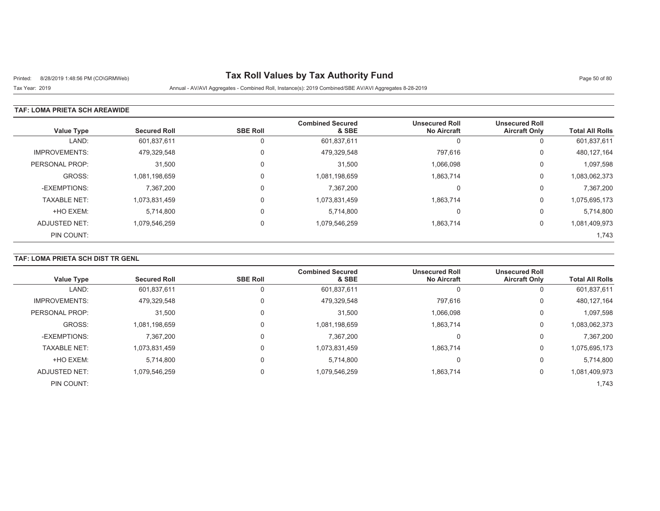# Printed: 8/28/2019 1:48:56 PM (CO\GRMWeb) **Tax Roll Values by Tax Authority Fund** Page 50 of 80

Tax Year: 2019 Annual - AV/AVI Aggregates - Combined Roll, Instance(s): 2019 Combined/SBE AV/AVI Aggregates 8-28-2019

### **TAF: LOMA PRIETA SCH AREAWIDE**

| <b>Value Type</b>    | <b>Secured Roll</b> | <b>SBE Roll</b> | <b>Combined Secured</b><br>& SBE | <b>Unsecured Roll</b><br><b>No Aircraft</b> | <b>Unsecured Roll</b><br><b>Aircraft Only</b> | <b>Total All Rolls</b> |
|----------------------|---------------------|-----------------|----------------------------------|---------------------------------------------|-----------------------------------------------|------------------------|
| LAND:                | 601,837,611         | 0               | 601,837,611                      | 0                                           | U                                             | 601,837,611            |
| <b>IMPROVEMENTS:</b> | 479.329.548         | 0               | 479,329,548                      | 797.616                                     | 0                                             | 480, 127, 164          |
| PERSONAL PROP:       | 31,500              | 0               | 31,500                           | 1,066,098                                   | 0                                             | 1,097,598              |
| GROSS:               | 1.081.198.659       | 0               | 1,081,198,659                    | 1,863,714                                   | 0                                             | 1,083,062,373          |
| -EXEMPTIONS:         | 7,367,200           | 0               | 7,367,200                        | 0                                           | 0                                             | 7,367,200              |
| <b>TAXABLE NET:</b>  | 1,073,831,459       | $\Omega$        | 1,073,831,459                    | 1,863,714                                   | 0                                             | 1,075,695,173          |
| +HO EXEM:            | 5,714,800           | $\Omega$        | 5,714,800                        | 0                                           | 0                                             | 5,714,800              |
| ADJUSTED NET:        | 1,079,546,259       | $\Omega$        | 1,079,546,259                    | 1,863,714                                   | 0                                             | 1,081,409,973          |
| PIN COUNT:           |                     |                 |                                  |                                             |                                               | 1,743                  |

### **TAF: LOMA PRIETA SCH DIST TR GENL**

| <b>Value Type</b>    | <b>Secured Roll</b> | <b>SBE Roll</b> | <b>Combined Secured</b><br>& SBE | <b>Unsecured Roll</b><br><b>No Aircraft</b> | <b>Unsecured Roll</b><br><b>Aircraft Only</b> | <b>Total All Rolls</b> |
|----------------------|---------------------|-----------------|----------------------------------|---------------------------------------------|-----------------------------------------------|------------------------|
| LAND:                | 601,837,611         |                 | 601,837,611                      |                                             | 0                                             | 601,837,611            |
| <b>IMPROVEMENTS:</b> | 479,329,548         |                 | 479,329,548                      | 797,616                                     | 0                                             | 480,127,164            |
| PERSONAL PROP:       | 31,500              |                 | 31,500                           | 1,066,098                                   | 0                                             | 1,097,598              |
| GROSS:               | 1,081,198,659       |                 | 1,081,198,659                    | 1,863,714                                   | 0                                             | 1,083,062,373          |
| -EXEMPTIONS:         | 7,367,200           |                 | 7,367,200                        | υ                                           | 0                                             | 7,367,200              |
| <b>TAXABLE NET:</b>  | 1,073,831,459       |                 | 1,073,831,459                    | 1,863,714                                   | 0                                             | 1,075,695,173          |
| +HO EXEM:            | 5,714,800           |                 | 5,714,800                        | 0                                           | 0                                             | 5,714,800              |
| ADJUSTED NET:        | 1,079,546,259       |                 | 1,079,546,259                    | 1,863,714                                   | 0                                             | 1,081,409,973          |
| PIN COUNT:           |                     |                 |                                  |                                             |                                               | 1.743                  |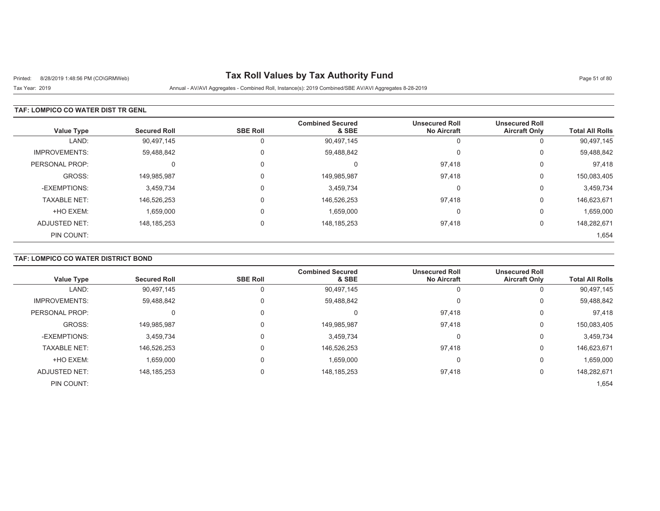# Printed: 8/28/2019 1:48:56 PM (CO\GRMWeb) **Tax Roll Values by Tax Authority Fund** Page 51 of 80

Tax Year: 2019 Annual - AV/AVI Aggregates - Combined Roll, Instance(s): 2019 Combined/SBE AV/AVI Aggregates 8-28-2019

### **TAF: LOMPICO CO WATER DIST TR GENL**

| <b>Value Type</b>    | <b>Secured Roll</b> | <b>SBE Roll</b> | <b>Combined Secured</b><br>& SBE | <b>Unsecured Roll</b><br><b>No Aircraft</b> | <b>Unsecured Roll</b><br><b>Aircraft Only</b> | <b>Total All Rolls</b> |
|----------------------|---------------------|-----------------|----------------------------------|---------------------------------------------|-----------------------------------------------|------------------------|
| LAND:                | 90,497,145          | U               | 90,497,145                       | U                                           | υ                                             | 90,497,145             |
| <b>IMPROVEMENTS:</b> | 59,488,842          | $\Omega$        | 59,488,842                       | C                                           | υ                                             | 59,488,842             |
| PERSONAL PROP:       | $\Omega$            |                 | C                                | 97.418                                      | U                                             | 97,418                 |
| GROSS:               | 149,985,987         | $\Omega$        | 149,985,987                      | 97,418                                      | 0                                             | 150,083,405            |
| -EXEMPTIONS:         | 3,459,734           |                 | 3,459,734                        | C                                           | U                                             | 3,459,734              |
| <b>TAXABLE NET:</b>  | 146,526,253         |                 | 146,526,253                      | 97,418                                      | 0                                             | 146,623,671            |
| +HO EXEM:            | 1,659,000           | $\Omega$        | 1,659,000                        | C                                           | υ                                             | 1,659,000              |
| ADJUSTED NET:        | 148, 185, 253       | $\Omega$        | 148, 185, 253                    | 97,418                                      | 0                                             | 148,282,671            |
| PIN COUNT:           |                     |                 |                                  |                                             |                                               | 1,654                  |

## **TAF: LOMPICO CO WATER DISTRICT BOND**

| <b>Value Type</b>    | <b>Secured Roll</b> | <b>SBE Roll</b> | <b>Combined Secured</b><br>& SBE | <b>Unsecured Roll</b><br><b>No Aircraft</b> | <b>Unsecured Roll</b><br><b>Aircraft Only</b> | <b>Total All Rolls</b> |
|----------------------|---------------------|-----------------|----------------------------------|---------------------------------------------|-----------------------------------------------|------------------------|
|                      |                     |                 |                                  |                                             |                                               |                        |
| LAND:                | 90,497,145          |                 | 90,497,145                       |                                             | 0                                             | 90,497,145             |
| <b>IMPROVEMENTS:</b> | 59,488,842          |                 | 59,488,842                       |                                             | 0                                             | 59,488,842             |
| PERSONAL PROP:       |                     |                 | U                                | 97,418                                      | $\Omega$                                      | 97,418                 |
| GROSS:               | 149,985,987         |                 | 149,985,987                      | 97,418                                      | 0                                             | 150,083,405            |
| -EXEMPTIONS:         | 3,459,734           |                 | 3,459,734                        |                                             | 0                                             | 3,459,734              |
| <b>TAXABLE NET:</b>  | 146.526.253         |                 | 146,526,253                      | 97.418                                      | 0                                             | 146,623,671            |
| +HO EXEM:            | 1,659,000           |                 | 1,659,000                        |                                             | $\Omega$                                      | 1,659,000              |
| <b>ADJUSTED NET:</b> | 148, 185, 253       | 0               | 148, 185, 253                    | 97,418                                      | 0                                             | 148,282,671            |
| PIN COUNT:           |                     |                 |                                  |                                             |                                               | 1,654                  |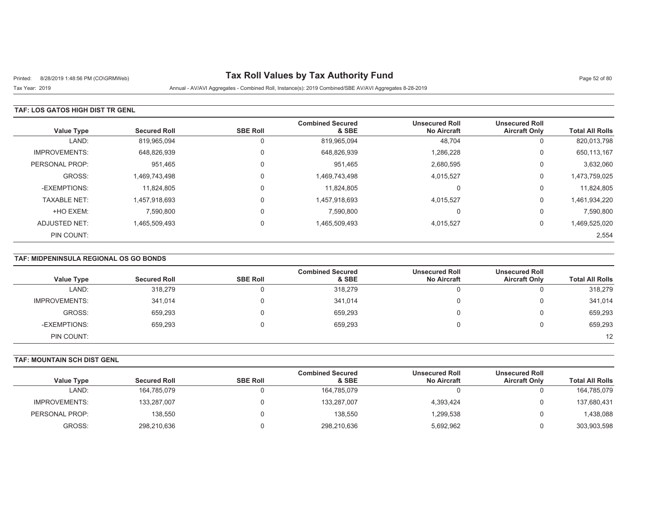# Printed: 8/28/2019 1:48:56 PM (CO\GRMWeb) **Tax Roll Values by Tax Authority Fund** Page 52 of 80

Tax Year: 2019 Annual - AV/AVI Aggregates - Combined Roll, Instance(s): 2019 Combined/SBE AV/AVI Aggregates 8-28-2019

### **TAF: LOS GATOS HIGH DIST TR GENL**

| <b>Value Type</b>    | <b>Secured Roll</b> | <b>SBE Roll</b> | <b>Combined Secured</b><br>& SBE | <b>Unsecured Roll</b><br><b>No Aircraft</b> | <b>Unsecured Roll</b><br><b>Aircraft Only</b> | <b>Total All Rolls</b> |
|----------------------|---------------------|-----------------|----------------------------------|---------------------------------------------|-----------------------------------------------|------------------------|
| LAND:                | 819,965,094         | 0               | 819,965,094                      | 48,704                                      | 0                                             | 820,013,798            |
| <b>IMPROVEMENTS:</b> | 648,826,939         | 0               | 648,826,939                      | 1,286,228                                   | 0                                             | 650,113,167            |
| PERSONAL PROP:       | 951,465             | 0               | 951,465                          | 2,680,595                                   | 0                                             | 3,632,060              |
| GROSS:               | 1.469.743.498       | 0               | 1,469,743,498                    | 4,015,527                                   | 0                                             | 1,473,759,025          |
| -EXEMPTIONS:         | 11,824,805          | 0               | 11,824,805                       |                                             | 0                                             | 11,824,805             |
| <b>TAXABLE NET:</b>  | 1,457,918,693       | 0               | 1,457,918,693                    | 4,015,527                                   | 0                                             | 1,461,934,220          |
| +HO EXEM:            | 7,590,800           | 0               | 7,590,800                        |                                             | 0                                             | 7,590,800              |
| ADJUSTED NET:        | 1,465,509,493       | 0               | 1,465,509,493                    | 4,015,527                                   | 0                                             | 1,469,525,020          |
| PIN COUNT:           |                     |                 |                                  |                                             |                                               | 2,554                  |

### **TAF: MIDPENINSULA REGIONAL OS GO BONDS**

| <b>Value Type</b>    | <b>Secured Roll</b> | <b>SBE Roll</b> | <b>Combined Secured</b><br>& SBE | <b>Unsecured Roll</b><br><b>No Aircraft</b> | <b>Unsecured Roll</b><br><b>Aircraft Only</b> | <b>Total All Rolls</b> |
|----------------------|---------------------|-----------------|----------------------------------|---------------------------------------------|-----------------------------------------------|------------------------|
| LAND:                | 318,279             |                 | 318,279                          | U                                           |                                               | 318,279                |
| <b>IMPROVEMENTS:</b> | 341,014             |                 | 341,014                          | 0                                           |                                               | 341,014                |
| GROSS:               | 659.293             |                 | 659.293                          | 0                                           |                                               | 659,293                |
| -EXEMPTIONS:         | 659,293             |                 | 659.293                          |                                             |                                               | 659,293                |
| PIN COUNT:           |                     |                 |                                  |                                             |                                               | 12                     |

## **TAF: MOUNTAIN SCH DIST GENL**

|                | <b>Secured Roll</b> | <b>SBE Roll</b> | <b>Combined Secured</b><br>& SBE | <b>Unsecured Roll</b><br><b>No Aircraft</b> | <b>Unsecured Roll</b><br><b>Aircraft Only</b> | <b>Total All Rolls</b> |
|----------------|---------------------|-----------------|----------------------------------|---------------------------------------------|-----------------------------------------------|------------------------|
| Value Type     |                     |                 |                                  |                                             |                                               |                        |
| LAND:          | 164,785,079         |                 | 164.785.079                      |                                             |                                               | 164,785,079            |
| IMPROVEMENTS:  | 133,287,007         |                 | 133,287,007                      | 4.393.424                                   |                                               | 137,680,431            |
| PERSONAL PROP: | 138.550             |                 | 138.550                          | 1,299,538                                   |                                               | 1,438,088              |
| GROSS:         | 298,210,636         |                 | 298,210,636                      | 5,692,962                                   |                                               | 303,903,598            |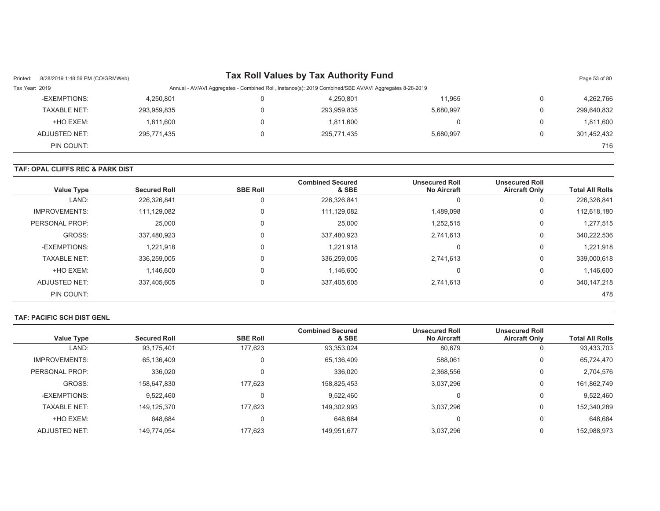| Printed:       | 8/28/2019 1:48:56 PM (CO\GRMWeb) |             |   | <b>Tax Roll Values by Tax Authority Fund</b>                                                           |           | Page 53 of 80 |
|----------------|----------------------------------|-------------|---|--------------------------------------------------------------------------------------------------------|-----------|---------------|
| Tax Year: 2019 |                                  |             |   | Annual - AV/AVI Aggregates - Combined Roll, Instance(s): 2019 Combined/SBE AV/AVI Aggregates 8-28-2019 |           |               |
|                | -EXEMPTIONS:                     | 4,250,801   |   | 4.250.801                                                                                              | 11,965    | 4,262,766     |
|                | <b>TAXABLE NET:</b>              | 293,959,835 | 0 | 293,959,835                                                                                            | 5,680,997 | 299,640,832   |
|                | +HO EXEM:                        | 1,811,600   |   | 1,811,600                                                                                              |           | 1,811,600     |
|                | ADJUSTED NET:                    | 295,771,435 |   | 295.771.435                                                                                            | 5.680.997 | 301,452,432   |
|                | PIN COUNT:                       |             |   |                                                                                                        |           | 716           |

#### **TAF: OPAL CLIFFS REC & PARK DIST**

| <b>Total All Rolls</b> | <b>Unsecured Roll</b><br><b>Aircraft Only</b> | <b>Unsecured Roll</b><br><b>No Aircraft</b> | <b>Combined Secured</b><br>& SBE | <b>SBE Roll</b> | <b>Secured Roll</b> | <b>Value Type</b>    |
|------------------------|-----------------------------------------------|---------------------------------------------|----------------------------------|-----------------|---------------------|----------------------|
| 226,326,841            |                                               |                                             | 226,326,841                      |                 | 226,326,841         | LAND:                |
| 112,618,180            | 0                                             | 1,489,098                                   | 111,129,082                      | Ü               | 111,129,082         | <b>IMPROVEMENTS:</b> |
| 1,277,515              | 0                                             | 1,252,515                                   | 25,000                           | 0               | 25,000              | PERSONAL PROP:       |
| 340,222,536            | $\Omega$                                      | 2,741,613                                   | 337,480,923                      |                 | 337,480,923         | GROSS:               |
| 1,221,918              | $\Omega$                                      | $\Omega$                                    | 1,221,918                        | 0               | 1,221,918           | -EXEMPTIONS:         |
| 339,000,618            | $\Omega$                                      | 2,741,613                                   | 336,259,005                      |                 | 336,259,005         | <b>TAXABLE NET:</b>  |
| 1,146,600              | 0                                             | 0                                           | 1.146.600                        |                 | 1,146,600           | +HO EXEM:            |
| 340, 147, 218          | 0                                             | 2,741,613                                   | 337,405,605                      | 0               | 337,405,605         | ADJUSTED NET:        |
| 478                    |                                               |                                             |                                  |                 |                     | PIN COUNT:           |

#### **TAF: PACIFIC SCH DIST GENL**

| <b>Value Type</b>    | <b>Secured Roll</b> | <b>SBE Roll</b> | <b>Combined Secured</b><br>& SBE | <b>Unsecured Roll</b><br><b>No Aircraft</b> | <b>Unsecured Roll</b><br><b>Aircraft Only</b> | <b>Total All Rolls</b> |
|----------------------|---------------------|-----------------|----------------------------------|---------------------------------------------|-----------------------------------------------|------------------------|
| LAND:                | 93,175,401          | 177,623         | 93,353,024                       | 80,679                                      | v                                             | 93,433,703             |
| <b>IMPROVEMENTS:</b> | 65,136,409          | 0               | 65,136,409                       | 588,061                                     | 0                                             | 65,724,470             |
| PERSONAL PROP:       | 336.020             | 0               | 336,020                          | 2,368,556                                   | 0                                             | 2,704,576              |
| GROSS:               | 158,647,830         | 177.623         | 158,825,453                      | 3,037,296                                   | 0                                             | 161,862,749            |
| -EXEMPTIONS:         | 9,522,460           |                 | 9,522,460                        |                                             | 0                                             | 9,522,460              |
| <b>TAXABLE NET:</b>  | 149,125,370         | 177.623         | 149,302,993                      | 3,037,296                                   | 0                                             | 152,340,289            |
| +HO EXEM:            | 648.684             | 0               | 648,684                          |                                             | 0                                             | 648,684                |
| ADJUSTED NET:        | 149.774.054         | 177.623         | 149,951,677                      | 3.037.296                                   | υ                                             | 152,988,973            |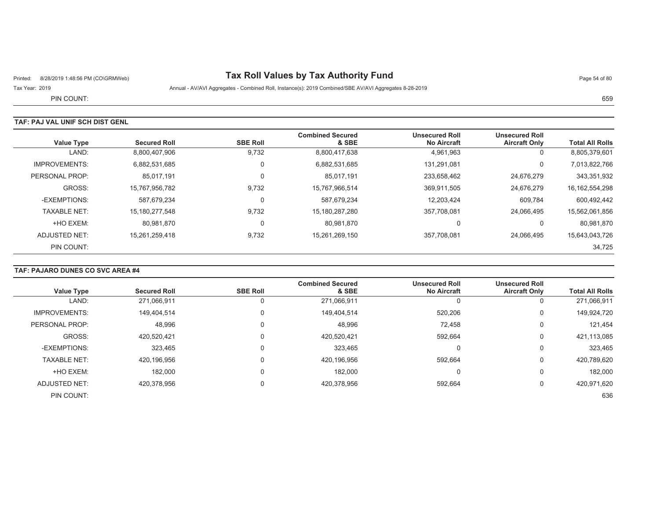# Printed: 8/28/2019 1:48:56 PM (CO\GRMWeb) **Tax Roll Values by Tax Authority Fund** Page 54 of 80

Tax Year: 2019 Annual - AV/AVI Aggregates - Combined Roll, Instance(s): 2019 Combined/SBE AV/AVI Aggregates 8-28-2019

PIN COUNT:е произведения произведения в соответствующего составить на произведения с произведения в соответствуют на нео

## **TAF: PAJ VAL UNIF SCH DIST GENL**

| <b>Value Type</b>    | <b>Secured Roll</b> | <b>SBE Roll</b> | <b>Combined Secured</b><br>& SBE | <b>Unsecured Roll</b><br><b>No Aircraft</b> | <b>Unsecured Roll</b><br><b>Aircraft Only</b> | <b>Total All Rolls</b> |
|----------------------|---------------------|-----------------|----------------------------------|---------------------------------------------|-----------------------------------------------|------------------------|
| LAND:                | 8,800,407,906       | 9,732           | 8,800,417,638                    | 4,961,963                                   | 0                                             | 8,805,379,601          |
| <b>IMPROVEMENTS:</b> | 6,882,531,685       | 0               | 6,882,531,685                    | 131,291,081                                 | 0                                             | 7,013,822,766          |
| PERSONAL PROP:       | 85,017,191          | 0               | 85,017,191                       | 233,658,462                                 | 24,676,279                                    | 343,351,932            |
| GROSS:               | 15,767,956,782      | 9,732           | 15,767,966,514                   | 369.911.505                                 | 24.676.279                                    | 16, 162, 554, 298      |
| -EXEMPTIONS:         | 587.679.234         | 0               | 587,679,234                      | 12,203,424                                  | 609,784                                       | 600,492,442            |
| <b>TAXABLE NET:</b>  | 15.180.277.548      | 9.732           | 15,180,287,280                   | 357.708.081                                 | 24.066.495                                    | 15,562,061,856         |
| +HO EXEM:            | 80,981,870          | 0               | 80,981,870                       | 0                                           | 0                                             | 80,981,870             |
| ADJUSTED NET:        | 15,261,259,418      | 9,732           | 15,261,269,150                   | 357,708,081                                 | 24,066,495                                    | 15,643,043,726         |
| PIN COUNT:           |                     |                 |                                  |                                             |                                               | 34,725                 |

### **TAF: PAJARO DUNES CO SVC AREA #4**

|                      |                     |                 | <b>Combined Secured</b> | <b>Unsecured Roll</b> | <b>Unsecured Roll</b> |                        |
|----------------------|---------------------|-----------------|-------------------------|-----------------------|-----------------------|------------------------|
| <b>Value Type</b>    | <b>Secured Roll</b> | <b>SBE Roll</b> | & SBE                   | <b>No Aircraft</b>    | <b>Aircraft Only</b>  | <b>Total All Rolls</b> |
| LAND:                | 271,066,911         | 0               | 271,066,911             | 0                     | 0                     | 271,066,911            |
| <b>IMPROVEMENTS:</b> | 149,404,514         | $\Omega$        | 149,404,514             | 520,206               | 0                     | 149,924,720            |
| PERSONAL PROP:       | 48,996              | 0               | 48,996                  | 72,458                | 0                     | 121,454                |
| GROSS:               | 420,520,421         | 0               | 420,520,421             | 592,664               | 0                     | 421,113,085            |
| -EXEMPTIONS:         | 323,465             | $\mathbf 0$     | 323,465                 | 0                     | 0                     | 323,465                |
| <b>TAXABLE NET:</b>  | 420,196,956         | 0               | 420,196,956             | 592,664               | 0                     | 420,789,620            |
| +HO EXEM:            | 182,000             | 0               | 182,000                 | 0                     | 0                     | 182,000                |
| <b>ADJUSTED NET:</b> | 420.378.956         | 0               | 420.378.956             | 592,664               | 0                     | 420,971,620            |
| PIN COUNT:           |                     |                 |                         |                       |                       | 636                    |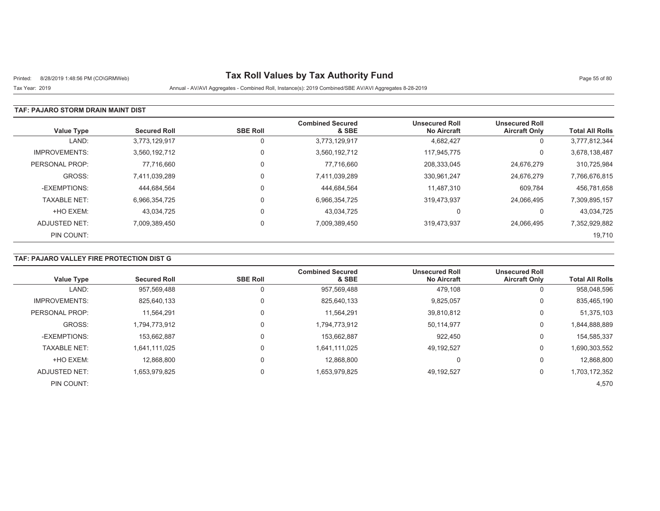# Printed: 8/28/2019 1:48:56 PM (CO\GRMWeb) **Tax Roll Values by Tax Authority Fund** Page 55 of 80

Tax Year: 2019 Annual - AV/AVI Aggregates - Combined Roll, Instance(s): 2019 Combined/SBE AV/AVI Aggregates 8-28-2019

### **TAF: PAJARO STORM DRAIN MAINT DIST**

| <b>Value Type</b>    | <b>Secured Roll</b> | <b>SBE Roll</b> | <b>Combined Secured</b><br>& SBE | <b>Unsecured Roll</b><br><b>No Aircraft</b> | <b>Unsecured Roll</b><br><b>Aircraft Only</b> | <b>Total All Rolls</b> |
|----------------------|---------------------|-----------------|----------------------------------|---------------------------------------------|-----------------------------------------------|------------------------|
| LAND:                | 3.773.129.917       |                 | 3,773,129,917                    | 4,682,427                                   | 0                                             | 3,777,812,344          |
| <b>IMPROVEMENTS:</b> | 3.560.192.712       | $\Omega$        | 3,560,192,712                    | 117.945.775                                 | 0                                             | 3,678,138,487          |
| PERSONAL PROP:       | 77,716,660          |                 | 77,716,660                       | 208,333,045                                 | 24,676,279                                    | 310,725,984            |
| GROSS:               | 7.411.039.289       | $\Omega$        | 7,411,039,289                    | 330,961,247                                 | 24,676,279                                    | 7,766,676,815          |
| -EXEMPTIONS:         | 444.684.564         | $\Omega$        | 444,684,564                      | 11.487.310                                  | 609,784                                       | 456,781,658            |
| <b>TAXABLE NET:</b>  | 6,966,354,725       | $\Omega$        | 6,966,354,725                    | 319,473,937                                 | 24,066,495                                    | 7,309,895,157          |
| +HO EXEM:            | 43.034.725          | $\Omega$        | 43,034,725                       | 0                                           | 0                                             | 43,034,725             |
| ADJUSTED NET:        | 7,009,389,450       | $\Omega$        | 7,009,389,450                    | 319.473.937                                 | 24.066.495                                    | 7,352,929,882          |
| PIN COUNT:           |                     |                 |                                  |                                             |                                               | 19,710                 |

## **TAF: PAJARO VALLEY FIRE PROTECTION DIST G**

| <b>Value Type</b>    | <b>Secured Roll</b> | <b>SBE Roll</b> | <b>Combined Secured</b><br>& SBE | <b>Unsecured Roll</b><br><b>No Aircraft</b> | <b>Unsecured Roll</b><br><b>Aircraft Only</b> | <b>Total All Rolls</b> |
|----------------------|---------------------|-----------------|----------------------------------|---------------------------------------------|-----------------------------------------------|------------------------|
|                      |                     |                 |                                  |                                             |                                               |                        |
| LAND:                | 957.569.488         |                 | 957,569,488                      | 479,108                                     | 0                                             | 958,048,596            |
| <b>IMPROVEMENTS:</b> | 825,640,133         |                 | 825,640,133                      | 9,825,057                                   | 0                                             | 835,465,190            |
| PERSONAL PROP:       | 11.564.291          |                 | 11,564,291                       | 39,810,812                                  | 0                                             | 51,375,103             |
| GROSS:               | 1.794.773.912       |                 | 1,794,773,912                    | 50,114,977                                  | 0                                             | 1,844,888,889          |
| -EXEMPTIONS:         | 153.662.887         |                 | 153,662,887                      | 922,450                                     | 0                                             | 154,585,337            |
| <b>TAXABLE NET:</b>  | 1.641.111.025       |                 | 1.641.111.025                    | 49.192.527                                  | 0                                             | 1,690,303,552          |
| +HO EXEM:            | 12.868.800          |                 | 12.868.800                       | 0                                           | 0                                             | 12,868,800             |
| ADJUSTED NET:        | 1,653,979,825       |                 | 1,653,979,825                    | 49,192,527                                  | 0                                             | 1,703,172,352          |
| PIN COUNT:           |                     |                 |                                  |                                             |                                               | 4,570                  |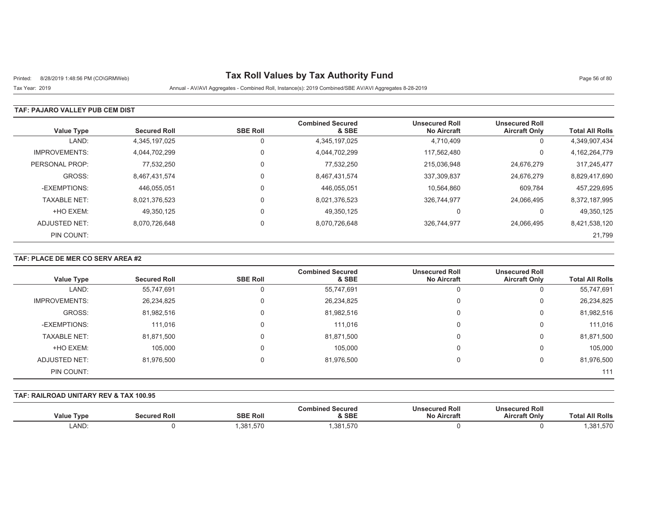# Printed: 8/28/2019 1:48:56 PM (CO\GRMWeb) **Tax Roll Values by Tax Authority Fund** Page 56 of 80

Tax Year: 2019 Annual - AV/AVI Aggregates - Combined Roll, Instance(s): 2019 Combined/SBE AV/AVI Aggregates 8-28-2019

### **TAF: PAJARO VALLEY PUB CEM DIST**

| <b>Value Type</b>    | <b>Secured Roll</b> | <b>SBE Roll</b> | <b>Combined Secured</b><br>& SBE | <b>Unsecured Roll</b><br><b>No Aircraft</b> | <b>Unsecured Roll</b><br><b>Aircraft Only</b> | <b>Total All Rolls</b> |
|----------------------|---------------------|-----------------|----------------------------------|---------------------------------------------|-----------------------------------------------|------------------------|
| LAND:                | 4.345.197.025       | 0               | 4,345,197,025                    | 4.710.409                                   | 0                                             | 4,349,907,434          |
| <b>IMPROVEMENTS:</b> | 4,044,702,299       | 0               | 4,044,702,299                    | 117.562.480                                 | 0                                             | 4,162,264,779          |
| PERSONAL PROP:       | 77,532,250          | 0               | 77,532,250                       | 215,036,948                                 | 24,676,279                                    | 317,245,477            |
| GROSS:               | 8.467.431.574       | 0               | 8,467,431,574                    | 337,309,837                                 | 24,676,279                                    | 8,829,417,690          |
| -EXEMPTIONS:         | 446.055.051         |                 | 446,055,051                      | 10,564,860                                  | 609,784                                       | 457,229,695            |
| <b>TAXABLE NET:</b>  | 8,021,376,523       | 0               | 8,021,376,523                    | 326,744,977                                 | 24,066,495                                    | 8,372,187,995          |
| +HO EXEM:            | 49.350.125          |                 | 49.350.125                       | 0                                           |                                               | 49,350,125             |
| ADJUSTED NET:        | 8.070.726.648       | $\Omega$        | 8,070,726,648                    | 326.744.977                                 | 24.066.495                                    | 8,421,538,120          |
| PIN COUNT:           |                     |                 |                                  |                                             |                                               | 21,799                 |

### **TAF: PLACE DE MER CO SERV AREA #2**

| <b>Value Type</b>    | <b>Secured Roll</b> | <b>SBE Roll</b> | <b>Combined Secured</b><br>& SBE | <b>Unsecured Roll</b><br><b>No Aircraft</b> | <b>Unsecured Roll</b><br><b>Aircraft Only</b> | <b>Total All Rolls</b> |
|----------------------|---------------------|-----------------|----------------------------------|---------------------------------------------|-----------------------------------------------|------------------------|
| LAND:                | 55,747,691          |                 | 55,747,691                       | υ                                           | 0                                             | 55,747,691             |
| <b>IMPROVEMENTS:</b> | 26,234,825          | 0               | 26,234,825                       | 0                                           | 0                                             | 26,234,825             |
| GROSS:               | 81,982,516          | 0               | 81,982,516                       | 0                                           | 0                                             | 81,982,516             |
| -EXEMPTIONS:         | 111.016             | ი               | 111.016                          | 0                                           | 0                                             | 111,016                |
| <b>TAXABLE NET:</b>  | 81,871,500          |                 | 81,871,500                       | 0                                           | 0                                             | 81,871,500             |
| +HO EXEM:            | 105,000             |                 | 105,000                          | 0                                           | 0                                             | 105,000                |
| ADJUSTED NET:        | 81,976,500          | 0               | 81,976,500                       | 0                                           | 0                                             | 81,976,500             |
| PIN COUNT:           |                     |                 |                                  |                                             |                                               | 111                    |

#### **TAF: RAILROAD UNITARY REV & TAX 100.95**

| <b>Value Type</b> | <b>Secured Roll</b> | <b>SBE Roll</b> | <b>Combined Secured</b><br>& SBE | <b>Unsecured Roll</b><br><b>No Aircraft</b> | <b>Unsecured Roll</b><br><b>Aircraft Only</b> | <b>Total All Rolls</b> |
|-------------------|---------------------|-----------------|----------------------------------|---------------------------------------------|-----------------------------------------------|------------------------|
| LAND:             |                     | ,381,570        | ,381,570                         |                                             |                                               | ,381,570               |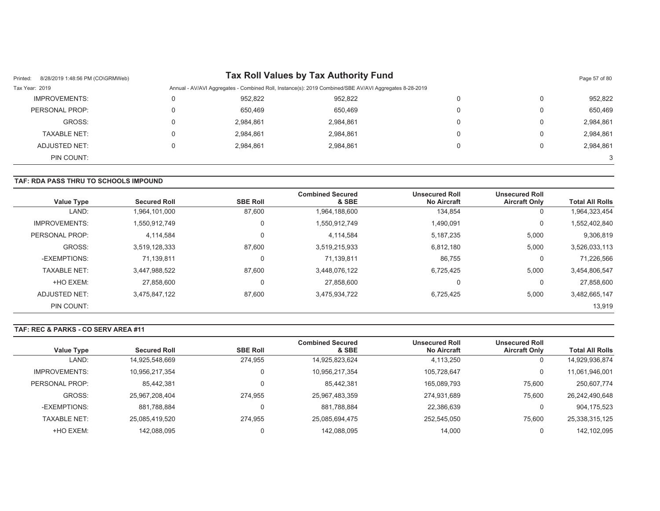| 8/28/2019 1:48:56 PM (CO\GRMWeb)<br>Printed: |   |           | Tax Roll Values by Tax Authority Fund                                                                  |          |   | Page 57 of 80 |
|----------------------------------------------|---|-----------|--------------------------------------------------------------------------------------------------------|----------|---|---------------|
| Tax Year: 2019                               |   |           | Annual - AV/AVI Aggregates - Combined Roll, Instance(s): 2019 Combined/SBE AV/AVI Aggregates 8-28-2019 |          |   |               |
| IMPROVEMENTS:                                | 0 | 952,822   | 952.822                                                                                                | 0        |   | 952,822       |
| PERSONAL PROP:                               | 0 | 650.469   | 650.469                                                                                                | 0        | 0 | 650,469       |
| GROSS:                                       | 0 | 2,984,861 | 2,984,861                                                                                              | 0        | 0 | 2,984,861     |
| TAXABLE NET:                                 | 0 | 2,984,861 | 2,984,861                                                                                              | 0        |   | 2,984,861     |
| ADJUSTED NET:                                | 0 | 2,984,861 | 2,984,861                                                                                              | $\Omega$ | 0 | 2,984,861     |
| PIN COUNT:                                   |   |           |                                                                                                        |          |   | 3             |

#### **TAF: RDA PASS THRU TO SCHOOLS IMPOUND**

| <b>Value Type</b>    | <b>Secured Roll</b> | <b>SBE Roll</b> | <b>Combined Secured</b><br>& SBE | <b>Unsecured Roll</b><br><b>No Aircraft</b> | <b>Unsecured Roll</b><br><b>Aircraft Only</b> | <b>Total All Rolls</b> |
|----------------------|---------------------|-----------------|----------------------------------|---------------------------------------------|-----------------------------------------------|------------------------|
| LAND:                | 1,964,101,000       | 87,600          | 1,964,188,600                    | 134,854                                     | 0                                             | 1,964,323,454          |
| <b>IMPROVEMENTS:</b> | 1,550,912,749       | 0               | 1,550,912,749                    | 1,490,091                                   | 0                                             | 1,552,402,840          |
| PERSONAL PROP:       | 4.114.584           | 0               | 4.114.584                        | 5,187,235                                   | 5,000                                         | 9,306,819              |
| GROSS:               | 3,519,128,333       | 87,600          | 3,519,215,933                    | 6,812,180                                   | 5,000                                         | 3,526,033,113          |
| -EXEMPTIONS:         | 71,139,811          | 0               | 71.139.811                       | 86.755                                      | $\Omega$                                      | 71.226.566             |
| <b>TAXABLE NET:</b>  | 3,447,988,522       | 87,600          | 3,448,076,122                    | 6,725,425                                   | 5,000                                         | 3,454,806,547          |
| +HO EXEM:            | 27,858,600          | 0               | 27.858.600                       | 0                                           | 0                                             | 27,858,600             |
| ADJUSTED NET:        | 3.475.847.122       | 87,600          | 3,475,934,722                    | 6,725,425                                   | 5,000                                         | 3,482,665,147          |
| PIN COUNT:           |                     |                 |                                  |                                             |                                               | 13,919                 |

#### **TAF: REC & PARKS - CO SERV AREA #11**

|                      |                     |                 | <b>Combined Secured</b> | <b>Unsecured Roll</b> | <b>Unsecured Roll</b> |                        |
|----------------------|---------------------|-----------------|-------------------------|-----------------------|-----------------------|------------------------|
| Value Type           | <b>Secured Roll</b> | <b>SBE Roll</b> | & SBE                   | <b>No Aircraft</b>    | <b>Aircraft Only</b>  | <b>Total All Rolls</b> |
| LAND:                | 14,925,548,669      | 274,955         | 14,925,823,624          | 4,113,250             |                       | 14,929,936,874         |
| <b>IMPROVEMENTS:</b> | 10.956.217.354      | $\Omega$        | 10,956,217,354          | 105.728.647           |                       | 11,061,946,001         |
| PERSONAL PROP:       | 85,442,381          | $\Omega$        | 85.442.381              | 165,089,793           | 75.600                | 250,607,774            |
| GROSS:               | 25.967.208.404      | 274.955         | 25,967,483,359          | 274.931.689           | 75.600                | 26,242,490,648         |
| -EXEMPTIONS:         | 881.788.884         | $\Omega$        | 881.788.884             | 22,386,639            |                       | 904,175,523            |
| <b>TAXABLE NET:</b>  | 25,085,419,520      | 274.955         | 25,085,694,475          | 252,545,050           | 75.600                | 25,338,315,125         |
| +HO EXEM:            | 142,088,095         |                 | 142.088.095             | 14.000                |                       | 142,102,095            |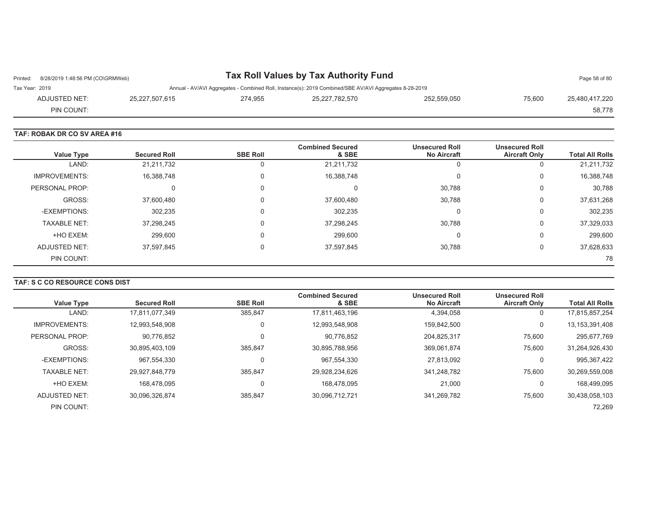| Printed: 8/28/2019 1:48:56 PM (CO\GRMWeb) |                |         | Tax Roll Values by Tax Authority Fund                                                                  |             |        | Page 58 of 80  |
|-------------------------------------------|----------------|---------|--------------------------------------------------------------------------------------------------------|-------------|--------|----------------|
| Tax Year: 2019                            |                |         | Annual - AV/AVI Aggregates - Combined Roll, Instance(s): 2019 Combined/SBE AV/AVI Aggregates 8-28-2019 |             |        |                |
| ADJUSTED NET:                             | 25.227.507.615 | 274.955 | 25,227,782,570                                                                                         | 252,559,050 | 75.600 | 25.480.417.220 |
| PIN COUNT:                                |                |         |                                                                                                        |             |        | 58.778         |

#### **TAF: ROBAK DR CO SV AREA #16**

| Value Type           | <b>Secured Roll</b> | <b>SBE Roll</b> | <b>Combined Secured</b><br>& SBE | <b>Unsecured Roll</b><br><b>No Aircraft</b> | <b>Unsecured Roll</b><br><b>Aircraft Only</b> | <b>Total All Rolls</b> |
|----------------------|---------------------|-----------------|----------------------------------|---------------------------------------------|-----------------------------------------------|------------------------|
| LAND:                | 21,211,732          | 0               | 21,211,732                       |                                             | 0                                             | 21,211,732             |
| <b>IMPROVEMENTS:</b> | 16,388,748          | 0               | 16,388,748                       |                                             | 0                                             | 16,388,748             |
| PERSONAL PROP:       | 0                   | 0               |                                  | 30,788                                      | 0                                             | 30,788                 |
| GROSS:               | 37,600,480          | 0               | 37,600,480                       | 30,788                                      | 0                                             | 37,631,268             |
| -EXEMPTIONS:         | 302,235             | 0               | 302,235                          |                                             | 0                                             | 302,235                |
| <b>TAXABLE NET:</b>  | 37,298,245          | $\Omega$        | 37,298,245                       | 30,788                                      | 0                                             | 37,329,033             |
| +HO EXEM:            | 299,600             | 0               | 299,600                          |                                             | 0                                             | 299,600                |
| ADJUSTED NET:        | 37,597,845          | 0               | 37,597,845                       | 30,788                                      | 0                                             | 37,628,633             |
| PIN COUNT:           |                     |                 |                                  |                                             |                                               | 78                     |

## **TAF: S C CO RESOURCE CONS DIST**

| Value Type           | <b>Secured Roll</b> | <b>SBE Roll</b> | <b>Combined Secured</b><br>& SBE | <b>Unsecured Roll</b><br><b>No Aircraft</b> | <b>Unsecured Roll</b><br><b>Aircraft Only</b> | <b>Total All Rolls</b> |
|----------------------|---------------------|-----------------|----------------------------------|---------------------------------------------|-----------------------------------------------|------------------------|
| LAND:                |                     |                 |                                  |                                             |                                               |                        |
|                      | 17.811.077.349      | 385.847         | 17,811,463,196                   | 4,394,058                                   | 0                                             | 17,815,857,254         |
| <b>IMPROVEMENTS:</b> | 12,993,548,908      | 0               | 12,993,548,908                   | 159.842.500                                 | 0                                             | 13, 153, 391, 408      |
| PERSONAL PROP:       | 90,776,852          | 0               | 90.776.852                       | 204.825.317                                 | 75.600                                        | 295,677,769            |
| GROSS:               | 30.895.403.109      | 385.847         | 30.895.788.956                   | 369.061.874                                 | 75,600                                        | 31,264,926,430         |
| -EXEMPTIONS:         | 967,554,330         | 0               | 967,554,330                      | 27.813.092                                  | 0                                             | 995,367,422            |
| <b>TAXABLE NET:</b>  | 29,927,848,779      | 385.847         | 29,928,234,626                   | 341.248.782                                 | 75.600                                        | 30,269,559,008         |
| +HO EXEM:            | 168.478.095         | 0               | 168.478.095                      | 21,000                                      | 0                                             | 168,499,095            |
| ADJUSTED NET:        | 30.096.326.874      | 385.847         | 30,096,712,721                   | 341.269.782                                 | 75.600                                        | 30,438,058,103         |
| PIN COUNT:           |                     |                 |                                  |                                             |                                               | 72,269                 |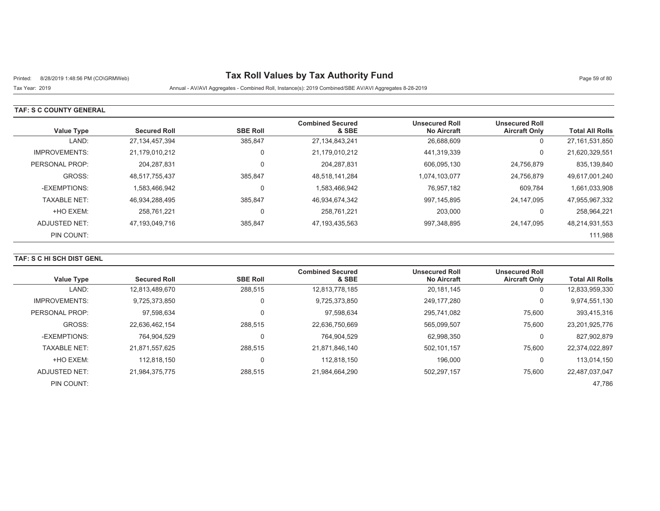# Printed: 8/28/2019 1:48:56 PM (CO\GRMWeb) **Tax Roll Values by Tax Authority Fund** Page 59 of 80

## Tax Year: 2019 Annual - AV/AVI Aggregates - Combined Roll, Instance(s): 2019 Combined/SBE AV/AVI Aggregates 8-28-2019

#### **TAF: S C COUNTY GENERAL**

| Value Type           | <b>Secured Roll</b> | <b>SBE Roll</b> | <b>Combined Secured</b><br>& SBE | <b>Unsecured Roll</b><br><b>No Aircraft</b> | <b>Unsecured Roll</b><br><b>Aircraft Only</b> | <b>Total All Rolls</b> |
|----------------------|---------------------|-----------------|----------------------------------|---------------------------------------------|-----------------------------------------------|------------------------|
| LAND:                | 27, 134, 457, 394   | 385,847         | 27, 134, 843, 241                | 26,688,609                                  | 0                                             | 27, 161, 531, 850      |
| <b>IMPROVEMENTS:</b> | 21,179,010,212      | 0               | 21,179,010,212                   | 441,319,339                                 | 0                                             | 21,620,329,551         |
| PERSONAL PROP:       | 204.287.831         | $\Omega$        | 204,287,831                      | 606.095.130                                 | 24,756,879                                    | 835,139,840            |
| GROSS:               | 48,517,755,437      | 385,847         | 48,518,141,284                   | 1,074,103,077                               | 24,756,879                                    | 49,617,001,240         |
| -EXEMPTIONS:         | 1.583.466.942       | 0               | 1,583,466,942                    | 76.957.182                                  | 609,784                                       | 1,661,033,908          |
| <b>TAXABLE NET:</b>  | 46.934.288.495      | 385.847         | 46,934,674,342                   | 997,145,895                                 | 24.147.095                                    | 47,955,967,332         |
| +HO EXEM:            | 258.761.221         | 0               | 258,761,221                      | 203,000                                     | 0                                             | 258,964,221            |
| ADJUSTED NET:        | 47.193.049.716      | 385.847         | 47,193,435,563                   | 997,348,895                                 | 24.147.095                                    | 48,214,931,553         |
| PIN COUNT:           |                     |                 |                                  |                                             |                                               | 111,988                |

### **TAF: S C HI SCH DIST GENL**

| <b>Value Type</b>    | <b>Secured Roll</b> | <b>SBE Roll</b> | <b>Combined Secured</b><br>& SBE | <b>Unsecured Roll</b><br><b>No Aircraft</b> | <b>Unsecured Roll</b><br><b>Aircraft Only</b> | <b>Total All Rolls</b> |
|----------------------|---------------------|-----------------|----------------------------------|---------------------------------------------|-----------------------------------------------|------------------------|
|                      |                     |                 |                                  |                                             |                                               |                        |
| LAND:                | 12,813,489,670      | 288.515         | 12,813,778,185                   | 20,181,145                                  | U                                             | 12,833,959,330         |
| <b>IMPROVEMENTS:</b> | 9,725,373,850       | 0               | 9,725,373,850                    | 249.177.280                                 | 0                                             | 9,974,551,130          |
| PERSONAL PROP:       | 97.598.634          |                 | 97,598,634                       | 295.741.082                                 | 75,600                                        | 393,415,316            |
| GROSS:               | 22,636,462,154      | 288.515         | 22,636,750,669                   | 565.099.507                                 | 75,600                                        | 23,201,925,776         |
| -EXEMPTIONS:         | 764,904,529         | 0               | 764,904,529                      | 62,998,350                                  | 0                                             | 827,902,879            |
| <b>TAXABLE NET:</b>  | 21.871.557.625      | 288.515         | 21.871.846.140                   | 502.101.157                                 | 75,600                                        | 22.374.022.897         |
| +HO EXEM:            | 112.818.150         | 0               | 112.818.150                      | 196,000                                     | 0                                             | 113.014.150            |
| ADJUSTED NET:        | 21,984,375,775      | 288,515         | 21,984,664,290                   | 502,297,157                                 | 75,600                                        | 22,487,037,047         |
| PIN COUNT:           |                     |                 |                                  |                                             |                                               | 47,786                 |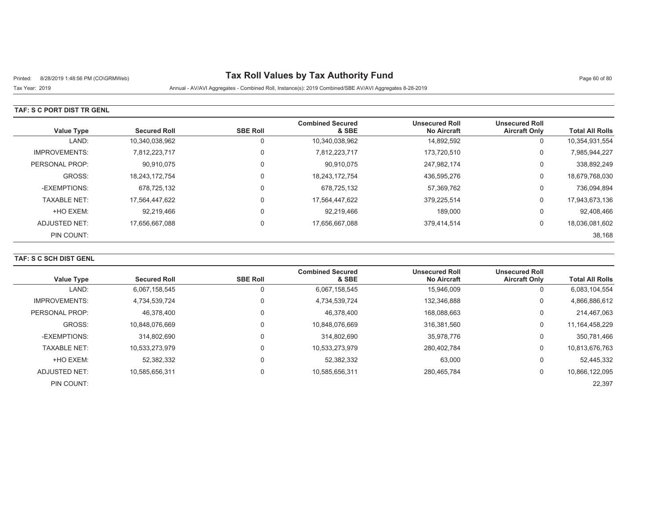# Printed: 8/28/2019 1:48:56 PM (CO\GRMWeb) **Tax Roll Values by Tax Authority Fund** Page 60 of 80

Tax Year: 2019 Annual - AV/AVI Aggregates - Combined Roll, Instance(s): 2019 Combined/SBE AV/AVI Aggregates 8-28-2019

### **TAF: S C PORT DIST TR GENL**

| <b>Value Type</b>    | <b>Secured Roll</b> | <b>SBE Roll</b> | <b>Combined Secured</b><br>& SBE | <b>Unsecured Roll</b><br><b>No Aircraft</b> | <b>Unsecured Roll</b><br><b>Aircraft Only</b> | <b>Total All Rolls</b> |
|----------------------|---------------------|-----------------|----------------------------------|---------------------------------------------|-----------------------------------------------|------------------------|
| LAND:                | 10,340,038,962      |                 | 10,340,038,962                   | 14,892,592                                  | U                                             | 10,354,931,554         |
| <b>IMPROVEMENTS:</b> | 7.812.223.717       | 0               | 7,812,223,717                    | 173,720,510                                 | 0                                             | 7,985,944,227          |
| PERSONAL PROP:       | 90,910,075          | $\Omega$        | 90,910,075                       | 247,982,174                                 | 0                                             | 338,892,249            |
| GROSS:               | 18.243.172.754      |                 | 18,243,172,754                   | 436,595,276                                 | 0                                             | 18,679,768,030         |
| -EXEMPTIONS:         | 678,725,132         | $\Omega$        | 678,725,132                      | 57,369,762                                  | 0                                             | 736,094,894            |
| <b>TAXABLE NET:</b>  | 17.564.447.622      | $\Omega$        | 17,564,447,622                   | 379,225,514                                 | 0                                             | 17,943,673,136         |
| +HO EXEM:            | 92,219,466          |                 | 92,219,466                       | 189,000                                     | 0                                             | 92,408,466             |
| ADJUSTED NET:        | 17,656,667,088      | $\Omega$        | 17,656,667,088                   | 379,414,514                                 | 0                                             | 18,036,081,602         |
| PIN COUNT:           |                     |                 |                                  |                                             |                                               | 38,168                 |

### **TAF: S C SCH DIST GENL**

| <b>Value Type</b>    | <b>Secured Roll</b> | <b>SBE Roll</b> | <b>Combined Secured</b><br>& SBE | <b>Unsecured Roll</b><br><b>No Aircraft</b> | <b>Unsecured Roll</b><br><b>Aircraft Only</b> | <b>Total All Rolls</b> |
|----------------------|---------------------|-----------------|----------------------------------|---------------------------------------------|-----------------------------------------------|------------------------|
| LAND:                | 6,067,158,545       |                 | 6,067,158,545                    | 15.946.009                                  | 0                                             | 6,083,104,554          |
| <b>IMPROVEMENTS:</b> | 4,734,539,724       | 0               | 4,734,539,724                    | 132.346.888                                 | 0                                             | 4,866,886,612          |
| PERSONAL PROP:       | 46.378.400          |                 | 46,378,400                       | 168.088.663                                 | 0                                             | 214,467,063            |
| GROSS:               | 10.848.076.669      |                 | 10,848,076,669                   | 316.381.560                                 | 0                                             | 11, 164, 458, 229      |
| -EXEMPTIONS:         | 314.802.690         |                 | 314.802.690                      | 35,978,776                                  | 0                                             | 350,781,466            |
| <b>TAXABLE NET:</b>  | 10,533,273,979      | 0               | 10,533,273,979                   | 280,402,784                                 | 0                                             | 10,813,676,763         |
| +HO EXEM:            | 52,382,332          |                 | 52,382,332                       | 63,000                                      | 0                                             | 52,445,332             |
| ADJUSTED NET:        | 10,585,656,311      |                 | 10,585,656,311                   | 280,465,784                                 | 0                                             | 10,866,122,095         |
| PIN COUNT:           |                     |                 |                                  |                                             |                                               | 22,397                 |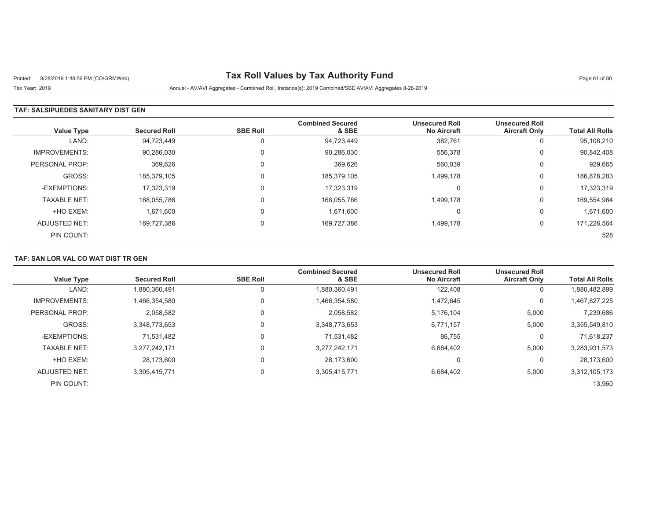# Printed: 8/28/2019 1:48:56 PM (CO\GRMWeb) **Tax Roll Values by Tax Authority Fund** Page 61 of 80

Tax Year: 2019 Annual - AV/AVI Aggregates - Combined Roll, Instance(s): 2019 Combined/SBE AV/AVI Aggregates 8-28-2019

### **TAF: SALSIPUEDES SANITARY DIST GEN**

| <b>Value Type</b>    | <b>Secured Roll</b> | <b>SBE Roll</b> | <b>Combined Secured</b><br>& SBE | <b>Unsecured Roll</b><br><b>No Aircraft</b> | <b>Unsecured Roll</b><br><b>Aircraft Only</b> | <b>Total All Rolls</b> |
|----------------------|---------------------|-----------------|----------------------------------|---------------------------------------------|-----------------------------------------------|------------------------|
| LAND:                | 94,723,449          | U               | 94,723,449                       | 382,761                                     | O                                             | 95,106,210             |
| <b>IMPROVEMENTS:</b> | 90,286,030          | 0               | 90,286,030                       | 556,378                                     | 0                                             | 90,842,408             |
| PERSONAL PROP:       | 369,626             | 0               | 369,626                          | 560,039                                     | 0                                             | 929,665                |
| GROSS:               | 185.379.105         |                 | 185,379,105                      | 1,499,178                                   | 0                                             | 186,878,283            |
| -EXEMPTIONS:         | 17.323.319          | $\Omega$        | 17.323.319                       | $\Omega$                                    | $\Omega$                                      | 17,323,319             |
| <b>TAXABLE NET:</b>  | 168,055,786         | $\Omega$        | 168,055,786                      | 1,499,178                                   | 0                                             | 169,554,964            |
| +HO EXEM:            | 1,671,600           | 0               | 1,671,600                        | $\Omega$                                    | 0                                             | 1,671,600              |
| ADJUSTED NET:        | 169,727,386         | $\Omega$        | 169,727,386                      | 1,499,178                                   | 0                                             | 171,226,564            |
| PIN COUNT:           |                     |                 |                                  |                                             |                                               | 528                    |

### **TAF: SAN LOR VAL CO WAT DIST TR GEN**

| <b>Value Type</b>    | <b>Secured Roll</b> | <b>SBE Roll</b> | <b>Combined Secured</b><br>& SBE | <b>Unsecured Roll</b><br><b>No Aircraft</b> | <b>Unsecured Roll</b><br><b>Aircraft Only</b> | <b>Total All Rolls</b> |
|----------------------|---------------------|-----------------|----------------------------------|---------------------------------------------|-----------------------------------------------|------------------------|
|                      |                     |                 |                                  |                                             |                                               |                        |
| LAND:                | 1,880,360,491       | 0               | 1,880,360,491                    | 122,408                                     | υ                                             | 1,880,482,899          |
| <b>IMPROVEMENTS:</b> | 1,466,354,580       | 0               | 1,466,354,580                    | 1,472,645                                   | 0                                             | 1,467,827,225          |
| PERSONAL PROP:       | 2,058,582           | 0               | 2,058,582                        | 5,176,104                                   | 5,000                                         | 7,239,686              |
| GROSS:               | 3.348.773.653       | 0               | 3,348,773,653                    | 6,771,157                                   | 5,000                                         | 3,355,549,810          |
| -EXEMPTIONS:         | 71,531,482          | 0               | 71.531.482                       | 86,755                                      | 0                                             | 71,618,237             |
| <b>TAXABLE NET:</b>  | 3,277,242,171       | $\mathbf 0$     | 3,277,242,171                    | 6,684,402                                   | 5,000                                         | 3,283,931,573          |
| +HO EXEM:            | 28,173,600          | 0               | 28.173.600                       | 0                                           | 0                                             | 28,173,600             |
| ADJUSTED NET:        | 3,305,415,771       | $\mathbf 0$     | 3,305,415,771                    | 6,684,402                                   | 5,000                                         | 3,312,105,173          |
| PIN COUNT:           |                     |                 |                                  |                                             |                                               | 13,960                 |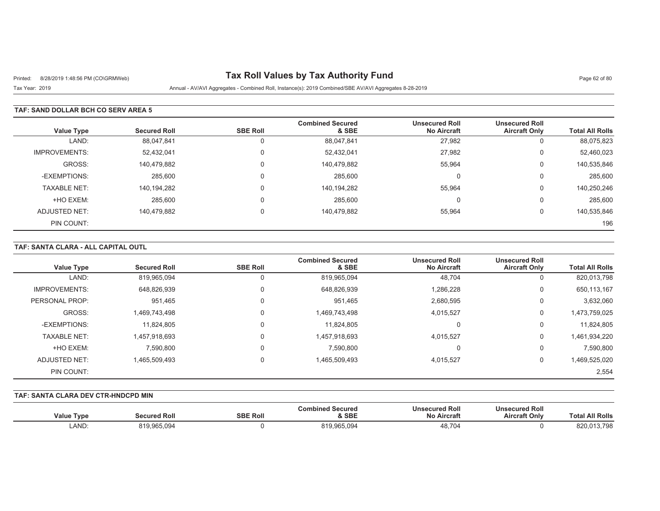# Printed: 8/28/2019 1:48:56 PM (CO\GRMWeb) **Tax Roll Values by Tax Authority Fund** Page 62 of 80

Tax Year: 2019 Annual - AV/AVI Aggregates - Combined Roll, Instance(s): 2019 Combined/SBE AV/AVI Aggregates 8-28-2019

### **TAF: SAND DOLLAR BCH CO SERV AREA 5**

| <b>Value Type</b>    | <b>Secured Roll</b> | <b>SBE Roll</b> | <b>Combined Secured</b><br>& SBE | <b>Unsecured Roll</b><br><b>No Aircraft</b> | <b>Unsecured Roll</b><br><b>Aircraft Only</b> | <b>Total All Rolls</b> |
|----------------------|---------------------|-----------------|----------------------------------|---------------------------------------------|-----------------------------------------------|------------------------|
| LAND:                | 88,047,841          |                 | 88,047,841                       | 27,982                                      |                                               | 88,075,823             |
| <b>IMPROVEMENTS:</b> | 52,432,041          |                 | 52,432,041                       | 27,982                                      | 0                                             | 52,460,023             |
| GROSS:               | 140,479,882         |                 | 140,479,882                      | 55,964                                      | 0                                             | 140,535,846            |
| -EXEMPTIONS:         | 285,600             |                 | 285,600                          | $\Omega$                                    | 0                                             | 285,600                |
| <b>TAXABLE NET:</b>  | 140,194,282         |                 | 140,194,282                      | 55.964                                      | 0                                             | 140,250,246            |
| +HO EXEM:            | 285,600             |                 | 285,600                          | $\Omega$                                    | 0                                             | 285,600                |
| ADJUSTED NET:        | 140,479,882         |                 | 140,479,882                      | 55,964                                      | 0                                             | 140,535,846            |
| PIN COUNT:           |                     |                 |                                  |                                             |                                               | 196                    |

#### **TAF: SANTA CLARA - ALL CAPITAL OUTL**

| <b>Value Type</b>    | <b>Secured Roll</b> | <b>SBE Roll</b> | <b>Combined Secured</b><br>& SBE | <b>Unsecured Roll</b><br><b>No Aircraft</b> | <b>Unsecured Roll</b><br><b>Aircraft Only</b> | <b>Total All Rolls</b> |
|----------------------|---------------------|-----------------|----------------------------------|---------------------------------------------|-----------------------------------------------|------------------------|
| LAND:                | 819,965,094         | 0               | 819,965,094                      | 48,704                                      | 0                                             | 820,013,798            |
| <b>IMPROVEMENTS:</b> | 648,826,939         | 0               | 648,826,939                      | 1,286,228                                   | 0                                             | 650,113,167            |
| PERSONAL PROP:       | 951.465             | 0               | 951.465                          | 2,680,595                                   | 0                                             | 3,632,060              |
| GROSS:               | 1,469,743,498       | 0               | 1,469,743,498                    | 4,015,527                                   | 0                                             | 1,473,759,025          |
| -EXEMPTIONS:         | 11,824,805          | 0               | 11.824.805                       | 0                                           | 0                                             | 11,824,805             |
| <b>TAXABLE NET:</b>  | 1,457,918,693       | 0               | 1,457,918,693                    | 4,015,527                                   | 0                                             | 1,461,934,220          |
| +HO EXEM:            | 7,590,800           | 0               | 7.590.800                        | $\Omega$                                    | 0                                             | 7.590.800              |
| ADJUSTED NET:        | 1,465,509,493       | 0               | 1,465,509,493                    | 4,015,527                                   | 0                                             | 1,469,525,020          |
| PIN COUNT:           |                     |                 |                                  |                                             |                                               | 2,554                  |

#### **TAF: SANTA CLARA DEV CTR-HNDCPD MIN**

| <b>Value Type</b> | <b>Secured Roll</b> | <b>SBE Roll</b> | <b>Combined Secured</b><br>& SBE | <b>Unsecured Roll</b><br><b>No Aircraft</b> | <b>Unsecured Roll</b><br><b>Aircraft Only</b> | I All Rolls<br>⊺otal |
|-------------------|---------------------|-----------------|----------------------------------|---------------------------------------------|-----------------------------------------------|----------------------|
| LAND:             | 919,965,094         |                 | °19.965.094                      | 48.704                                      |                                               | 820.013.798          |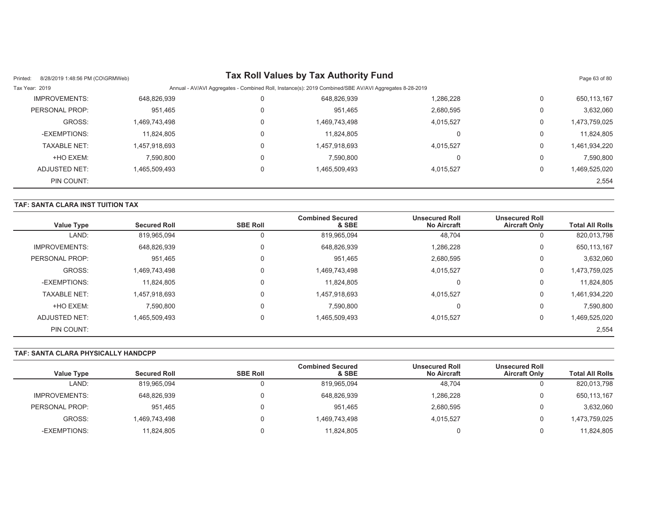| 8/28/2019 1:48:56 PM (CO\GRMWeb)<br>Printed: |               |   | Tax Roll Values by Tax Authority Fund                                                                  |           |          | Page 63 of 80 |
|----------------------------------------------|---------------|---|--------------------------------------------------------------------------------------------------------|-----------|----------|---------------|
| Tax Year: 2019                               |               |   | Annual - AV/AVI Aggregates - Combined Roll, Instance(s): 2019 Combined/SBE AV/AVI Aggregates 8-28-2019 |           |          |               |
| IMPROVEMENTS:                                | 648,826,939   |   | 648,826,939                                                                                            | 1,286,228 | 0        | 650,113,167   |
| PERSONAL PROP:                               | 951,465       |   | 951.465                                                                                                | 2,680,595 | 0        | 3,632,060     |
| GROSS:                                       | 1,469,743,498 | 0 | 1,469,743,498                                                                                          | 4,015,527 | 0        | 1,473,759,025 |
| -EXEMPTIONS:                                 | 11,824,805    | 0 | 11.824.805                                                                                             |           | 0        | 11,824,805    |
| <b>TAXABLE NET:</b>                          | 1,457,918,693 | 0 | 1,457,918,693                                                                                          | 4,015,527 | 0        | 1,461,934,220 |
| +HO EXEM:                                    | 7,590,800     | 0 | 7.590.800                                                                                              |           | 0        | 7,590,800     |
| ADJUSTED NET:                                | 1.465.509.493 |   | 1.465.509.493                                                                                          | 4.015.527 | $\Omega$ | 1,469,525,020 |
| PIN COUNT:                                   |               |   |                                                                                                        |           |          | 2,554         |

## **TAF: SANTA CLARA INST TUITION TAX**

| <b>Value Type</b>    | <b>Secured Roll</b> | <b>SBE Roll</b> | <b>Combined Secured</b><br>& SBE | <b>Unsecured Roll</b><br><b>No Aircraft</b> | <b>Unsecured Roll</b><br><b>Aircraft Only</b> | <b>Total All Rolls</b> |
|----------------------|---------------------|-----------------|----------------------------------|---------------------------------------------|-----------------------------------------------|------------------------|
| LAND:                | 819,965,094         |                 | 819,965,094                      | 48,704                                      | U                                             | 820,013,798            |
| <b>IMPROVEMENTS:</b> | 648,826,939         |                 | 648,826,939                      | 1,286,228                                   | U                                             | 650,113,167            |
| PERSONAL PROP:       | 951,465             |                 | 951,465                          | 2,680,595                                   | U                                             | 3,632,060              |
| GROSS:               | 1,469,743,498       |                 | 1,469,743,498                    | 4,015,527                                   | 0                                             | 1,473,759,025          |
| -EXEMPTIONS:         | 11,824,805          |                 | 11.824.805                       | $\left($                                    | U                                             | 11,824,805             |
| <b>TAXABLE NET:</b>  | 1,457,918,693       |                 | 1,457,918,693                    | 4,015,527                                   | 0                                             | 1,461,934,220          |
| +HO EXEM:            | 7.590.800           |                 | 7,590,800                        | 0                                           | 0                                             | 7,590,800              |
| ADJUSTED NET:        | 1,465,509,493       |                 | 1,465,509,493                    | 4,015,527                                   | 0                                             | 1,469,525,020          |
| PIN COUNT:           |                     |                 |                                  |                                             |                                               | 2,554                  |

## **TAF: SANTA CLARA PHYSICALLY HANDCPP**

| <b>Value Type</b>      | <b>Secured Roll</b>        | <b>SBE Roll</b> | <b>Combined Secured</b><br>& SBE | <b>Unsecured Roll</b><br><b>No Aircraft</b> | <b>Unsecured Roll</b><br><b>Aircraft Only</b> | <b>Total All Rolls</b> |
|------------------------|----------------------------|-----------------|----------------------------------|---------------------------------------------|-----------------------------------------------|------------------------|
|                        |                            |                 |                                  |                                             |                                               |                        |
| LAND:                  | 819,965,094                |                 | 819,965,094                      | 48,704                                      |                                               | 820,013,798            |
| <b>IMPROVEMENTS:</b>   | 648,826,939                |                 | 648.826.939                      | ,286,228                                    |                                               | 650,113,167            |
|                        |                            |                 |                                  |                                             |                                               |                        |
| PERSONAL PROP:         | 951,465                    |                 | 951.465                          | 2,680,595                                   |                                               | 3,632,060              |
|                        |                            |                 |                                  |                                             |                                               |                        |
|                        |                            |                 |                                  |                                             |                                               |                        |
|                        |                            |                 |                                  |                                             |                                               | 11,824,805             |
| GROSS:<br>-EXEMPTIONS: | .469,743,498<br>11,824,805 |                 | 1,469,743,498<br>11.824.805      | 4.015.527                                   |                                               | 1,473,759,025          |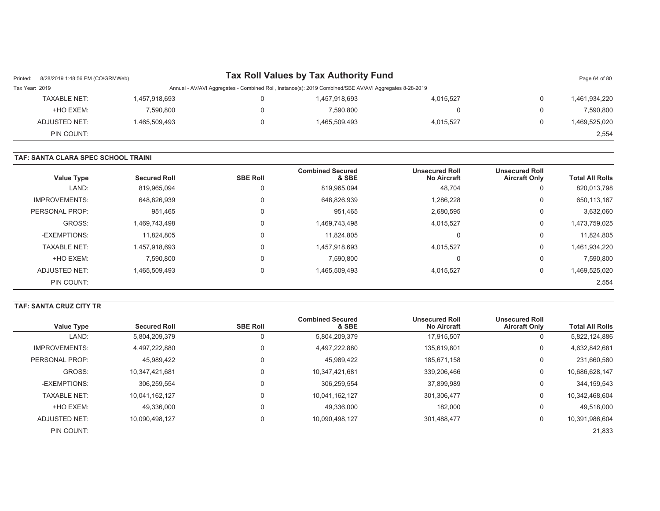| Printed:       | 8/28/2019 1:48:56 PM (CO\GRMWeb) |               | Tax Roll Values by Tax Authority Fund                                                                  |           |   | Page 64 of 80 |
|----------------|----------------------------------|---------------|--------------------------------------------------------------------------------------------------------|-----------|---|---------------|
| Tax Year: 2019 |                                  |               | Annual - AV/AVI Aggregates - Combined Roll, Instance(s): 2019 Combined/SBE AV/AVI Aggregates 8-28-2019 |           |   |               |
|                | TAXABLE NET:                     | 1,457,918,693 | 1,457,918,693                                                                                          | 4.015.527 |   | 1,461,934,220 |
|                | +HO EXEM:                        | 7,590,800     | 7,590,800                                                                                              |           |   | 7,590,800     |
|                | ADJUSTED NET:                    | 1,465,509,493 | 1,465,509,493                                                                                          | 4.015.527 | 0 | 1,469,525,020 |
|                | PIN COUNT:                       |               |                                                                                                        |           |   | 2,554         |

#### **TAF: SANTA CLARA SPEC SCHOOL TRAINI**

| <b>Total All Rolls</b> | <b>Unsecured Roll</b><br><b>Aircraft Only</b> | <b>Unsecured Roll</b><br><b>No Aircraft</b> | <b>Combined Secured</b><br>& SBE | <b>SBE Roll</b> | <b>Secured Roll</b> | <b>Value Type</b>    |
|------------------------|-----------------------------------------------|---------------------------------------------|----------------------------------|-----------------|---------------------|----------------------|
| 820,013,798            | 0                                             | 48,704                                      | 819,965,094                      | U               | 819,965,094         | LAND:                |
| 650,113,167            | 0                                             | 1,286,228                                   | 648,826,939                      | 0               | 648,826,939         | <b>IMPROVEMENTS:</b> |
| 3,632,060              | 0                                             | 2,680,595                                   | 951.465                          |                 | 951.465             | PERSONAL PROP:       |
| 1,473,759,025          | 0                                             | 4,015,527                                   | 1,469,743,498                    |                 | 1.469.743.498       | GROSS:               |
| 11,824,805             | 0                                             |                                             | 11,824,805                       |                 | 11,824,805          | -EXEMPTIONS:         |
| 1,461,934,220          | 0                                             | 4.015.527                                   | 1,457,918,693                    |                 | 1,457,918,693       | <b>TAXABLE NET:</b>  |
| 7,590,800              | 0                                             |                                             | 7,590,800                        | $\Omega$        | 7,590,800           | +HO EXEM:            |
| 1,469,525,020          | 0                                             | 4,015,527                                   | 1,465,509,493                    | $\Omega$        | 1.465.509.493       | ADJUSTED NET:        |
| 2,554                  |                                               |                                             |                                  |                 |                     | PIN COUNT:           |

#### **TAF: SANTA CRUZ CITY TR**

| Value Type           | <b>Secured Roll</b> | <b>SBE Roll</b> | <b>Combined Secured</b><br>& SBE | <b>Unsecured Roll</b><br><b>No Aircraft</b> | <b>Unsecured Roll</b><br><b>Aircraft Only</b> | <b>Total All Rolls</b> |
|----------------------|---------------------|-----------------|----------------------------------|---------------------------------------------|-----------------------------------------------|------------------------|
| LAND:                | 5,804,209,379       | U               | 5,804,209,379                    | 17,915,507                                  | 0                                             | 5,822,124,886          |
| <b>IMPROVEMENTS:</b> | 4,497,222,880       | 0               | 4,497,222,880                    | 135.619.801                                 | 0                                             | 4,632,842,681          |
| PERSONAL PROP:       | 45,989,422          | 0               | 45,989,422                       | 185,671,158                                 | 0                                             | 231,660,580            |
| GROSS:               | 10.347.421.681      | 0               | 10,347,421,681                   | 339,206,466                                 | 0                                             | 10,686,628,147         |
| -EXEMPTIONS:         | 306,259,554         | 0               | 306,259,554                      | 37,899,989                                  | 0                                             | 344,159,543            |
| <b>TAXABLE NET:</b>  | 10.041.162.127      | 0               | 10,041,162,127                   | 301,306,477                                 | 0                                             | 10,342,468,604         |
| +HO EXEM:            | 49.336.000          | 0               | 49.336.000                       | 182,000                                     | 0                                             | 49,518,000             |
| ADJUSTED NET:        | 10.090.498.127      | 0               | 10,090,498,127                   | 301,488,477                                 | 0                                             | 10,391,986,604         |
| PIN COUNT:           |                     |                 |                                  |                                             |                                               | 21,833                 |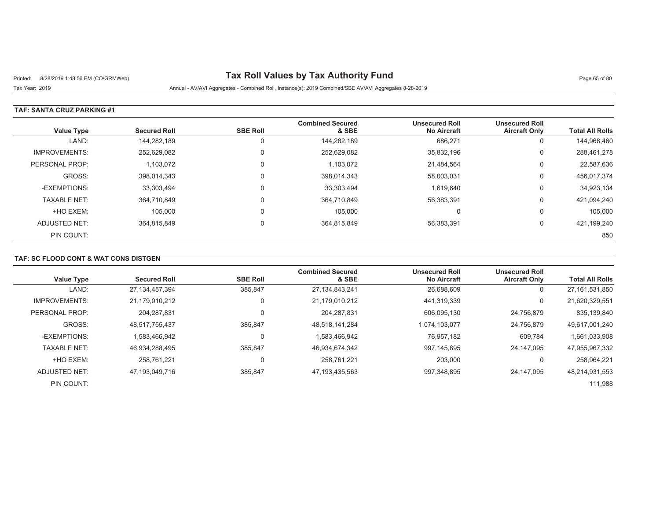# Printed: 8/28/2019 1:48:56 PM (CO\GRMWeb) **Tax Roll Values by Tax Authority Fund** Page 65 of 80

Tax Year: 2019 Annual - AV/AVI Aggregates - Combined Roll, Instance(s): 2019 Combined/SBE AV/AVI Aggregates 8-28-2019

### **TAF: SANTA CRUZ PARKING #1**

| <b>Value Type</b>    | <b>Secured Roll</b> | <b>SBE Roll</b> | <b>Combined Secured</b><br>& SBE | <b>Unsecured Roll</b><br><b>No Aircraft</b> | <b>Unsecured Roll</b><br><b>Aircraft Only</b> | <b>Total All Rolls</b> |
|----------------------|---------------------|-----------------|----------------------------------|---------------------------------------------|-----------------------------------------------|------------------------|
| LAND:                | 144,282,189         |                 | 144,282,189                      | 686,271                                     | υ                                             | 144,968,460            |
| <b>IMPROVEMENTS:</b> | 252,629,082         |                 | 252,629,082                      | 35.832.196                                  | U                                             | 288.461.278            |
| PERSONAL PROP:       | 1,103,072           |                 | 1,103,072                        | 21,484,564                                  | υ                                             | 22,587,636             |
| GROSS:               | 398.014.343         |                 | 398,014,343                      | 58,003,031                                  | 0                                             | 456,017,374            |
| -EXEMPTIONS:         | 33,303,494          |                 | 33,303,494                       | 1.619.640                                   | U                                             | 34,923,134             |
| <b>TAXABLE NET:</b>  | 364,710,849         |                 | 364,710,849                      | 56,383,391                                  | 0                                             | 421,094,240            |
| +HO EXEM:            | 105.000             |                 | 105,000                          | $\Omega$                                    | 0                                             | 105,000                |
| ADJUSTED NET:        | 364.815.849         |                 | 364,815,849                      | 56,383,391                                  | υ                                             | 421,199,240            |
| PIN COUNT:           |                     |                 |                                  |                                             |                                               | 850                    |

## **TAF: SC FLOOD CONT & WAT CONS DISTGEN**

|                      |                     |                 | <b>Combined Secured</b> | <b>Unsecured Roll</b> | <b>Unsecured Roll</b> |                        |
|----------------------|---------------------|-----------------|-------------------------|-----------------------|-----------------------|------------------------|
| <b>Value Type</b>    | <b>Secured Roll</b> | <b>SBE Roll</b> | & SBE                   | <b>No Aircraft</b>    | <b>Aircraft Only</b>  | <b>Total All Rolls</b> |
| LAND:                | 27, 134, 457, 394   | 385.847         | 27, 134, 843, 241       | 26,688,609            | 0                     | 27, 161, 531, 850      |
| <b>IMPROVEMENTS:</b> | 21,179,010,212      | 0               | 21,179,010,212          | 441,319,339           | 0                     | 21,620,329,551         |
| PERSONAL PROP:       | 204.287.831         | 0               | 204, 287, 831           | 606,095,130           | 24.756.879            | 835,139,840            |
| GROSS:               | 48.517.755.437      | 385.847         | 48,518,141,284          | 1.074.103.077         | 24,756,879            | 49,617,001,240         |
| -EXEMPTIONS:         | 1,583,466,942       | 0               | 1,583,466,942           | 76,957,182            | 609,784               | 1,661,033,908          |
| <b>TAXABLE NET:</b>  | 46.934.288.495      | 385.847         | 46.934.674.342          | 997.145.895           | 24.147.095            | 47,955,967,332         |
| +HO EXEM:            | 258.761.221         | 0               | 258.761.221             | 203.000               |                       | 258,964,221            |
| ADJUSTED NET:        | 47.193.049.716      | 385,847         | 47,193,435,563          | 997.348.895           | 24.147.095            | 48,214,931,553         |
| PIN COUNT:           |                     |                 |                         |                       |                       | 111,988                |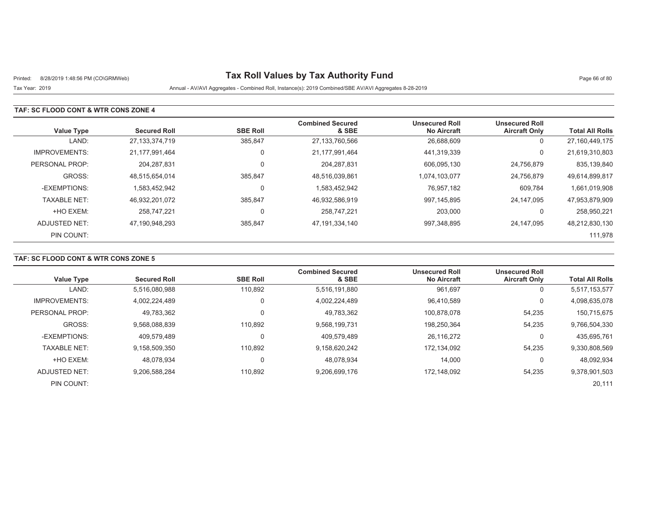# Printed: 8/28/2019 1:48:56 PM (CO\GRMWeb) **Tax Roll Values by Tax Authority Fund** Page 66 of 80

Tax Year: 2019 Annual - AV/AVI Aggregates - Combined Roll, Instance(s): 2019 Combined/SBE AV/AVI Aggregates 8-28-2019

### **TAF: SC FLOOD CONT & WTR CONS ZONE 4**

| <b>Value Type</b>    | <b>Secured Roll</b> | <b>SBE Roll</b> | <b>Combined Secured</b><br>& SBE | <b>Unsecured Roll</b><br><b>No Aircraft</b> | <b>Unsecured Roll</b><br><b>Aircraft Only</b> | <b>Total All Rolls</b> |
|----------------------|---------------------|-----------------|----------------------------------|---------------------------------------------|-----------------------------------------------|------------------------|
| LAND:                | 27,133,374,719      | 385,847         | 27,133,760,566                   | 26,688,609                                  | 0                                             | 27,160,449,175         |
| <b>IMPROVEMENTS:</b> | 21,177,991,464      | $\Omega$        | 21,177,991,464                   | 441,319,339                                 | 0                                             | 21,619,310,803         |
| PERSONAL PROP:       | 204.287.831         |                 | 204,287,831                      | 606,095,130                                 | 24,756,879                                    | 835,139,840            |
| GROSS:               | 48,515,654,014      | 385,847         | 48,516,039,861                   | 1,074,103,077                               | 24,756,879                                    | 49,614,899,817         |
| -EXEMPTIONS:         | 1.583.452.942       |                 | 1,583,452,942                    | 76.957.182                                  | 609,784                                       | 1,661,019,908          |
| <b>TAXABLE NET:</b>  | 46,932,201,072      | 385,847         | 46,932,586,919                   | 997,145,895                                 | 24.147.095                                    | 47,953,879,909         |
| +HO EXEM:            | 258.747.221         |                 | 258,747,221                      | 203,000                                     | 0                                             | 258,950,221            |
| ADJUSTED NET:        | 47,190,948,293      | 385,847         | 47,191,334,140                   | 997,348,895                                 | 24.147.095                                    | 48,212,830,130         |
| PIN COUNT:           |                     |                 |                                  |                                             |                                               | 111,978                |

### **TAF: SC FLOOD CONT & WTR CONS ZONE 5**

| <b>Value Type</b>    | <b>Secured Roll</b> | <b>SBE Roll</b> | <b>Combined Secured</b><br>& SBE | <b>Unsecured Roll</b><br><b>No Aircraft</b> | <b>Unsecured Roll</b><br><b>Aircraft Only</b> | <b>Total All Rolls</b> |
|----------------------|---------------------|-----------------|----------------------------------|---------------------------------------------|-----------------------------------------------|------------------------|
| LAND:                | 5,516,080,988       | 110.892         | 5,516,191,880                    | 961,697                                     | υ                                             | 5,517,153,577          |
| <b>IMPROVEMENTS:</b> | 4.002.224.489       | $\Omega$        | 4,002,224,489                    | 96,410,589                                  | $\Omega$                                      | 4,098,635,078          |
| PERSONAL PROP:       | 49,783,362          |                 | 49,783,362                       | 100,878,078                                 | 54,235                                        | 150,715,675            |
| GROSS:               | 9,568,088,839       | 110.892         | 9,568,199,731                    | 198,250,364                                 | 54,235                                        | 9,766,504,330          |
| -EXEMPTIONS:         | 409.579.489         |                 | 409,579,489                      | 26,116,272                                  | 0                                             | 435,695,761            |
| <b>TAXABLE NET:</b>  | 9.158.509.350       | 110.892         | 9,158,620,242                    | 172.134.092                                 | 54,235                                        | 9,330,808,569          |
| +HO EXEM:            | 48.078.934          |                 | 48.078.934                       | 14,000                                      |                                               | 48,092,934             |
| ADJUSTED NET:        | 9,206,588,284       | 110,892         | 9,206,699,176                    | 172,148,092                                 | 54,235                                        | 9,378,901,503          |
| PIN COUNT:           |                     |                 |                                  |                                             |                                               | 20,111                 |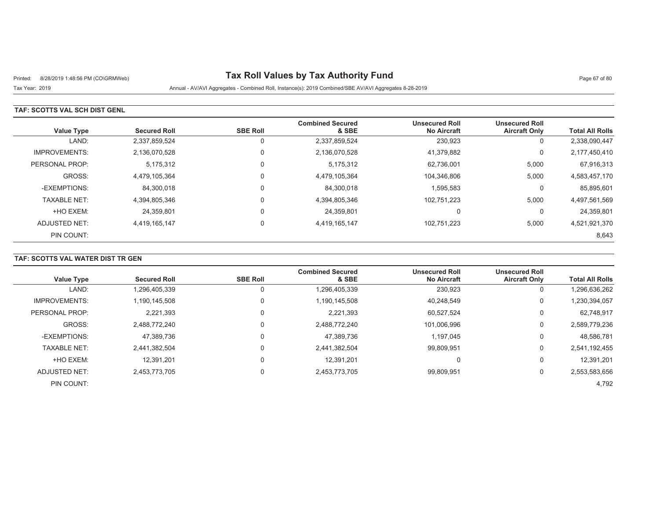# Printed: 8/28/2019 1:48:56 PM (CO\GRMWeb) **Tax Roll Values by Tax Authority Fund** Page 67 of 80

## Tax Year: 2019 Annual - AV/AVI Aggregates - Combined Roll, Instance(s): 2019 Combined/SBE AV/AVI Aggregates 8-28-2019

### **TAF: SCOTTS VAL SCH DIST GENL**

| <b>Value Type</b>    | <b>Secured Roll</b> | <b>SBE Roll</b> | <b>Combined Secured</b><br>& SBE | <b>Unsecured Roll</b><br><b>No Aircraft</b> | <b>Unsecured Roll</b><br><b>Aircraft Only</b> | <b>Total All Rolls</b> |
|----------------------|---------------------|-----------------|----------------------------------|---------------------------------------------|-----------------------------------------------|------------------------|
| LAND:                | 2,337,859,524       | 0               | 2,337,859,524                    | 230,923                                     | 0                                             | 2,338,090,447          |
| <b>IMPROVEMENTS:</b> | 2,136,070,528       | $\mathbf 0$     | 2,136,070,528                    | 41.379.882                                  | 0                                             | 2,177,450,410          |
| PERSONAL PROP:       | 5,175,312           | $\mathbf 0$     | 5,175,312                        | 62,736,001                                  | 5,000                                         | 67,916,313             |
| GROSS:               | 4,479,105,364       | 0               | 4,479,105,364                    | 104,346,806                                 | 5,000                                         | 4,583,457,170          |
| -EXEMPTIONS:         | 84,300,018          | $\mathbf 0$     | 84,300,018                       | 1,595,583                                   | 0                                             | 85,895,601             |
| <b>TAXABLE NET:</b>  | 4,394,805,346       | $\mathbf 0$     | 4,394,805,346                    | 102,751,223                                 | 5,000                                         | 4,497,561,569          |
| +HO EXEM:            | 24,359,801          | 0               | 24,359,801                       | $\Omega$                                    | U                                             | 24,359,801             |
| ADJUSTED NET:        | 4,419,165,147       | $\mathbf 0$     | 4,419,165,147                    | 102,751,223                                 | 5,000                                         | 4,521,921,370          |
| PIN COUNT:           |                     |                 |                                  |                                             |                                               | 8,643                  |

## **TAF: SCOTTS VAL WATER DIST TR GEN**

|                      |                     |                 | <b>Combined Secured</b> | <b>Unsecured Roll</b> | <b>Unsecured Roll</b> |                        |
|----------------------|---------------------|-----------------|-------------------------|-----------------------|-----------------------|------------------------|
| <b>Value Type</b>    | <b>Secured Roll</b> | <b>SBE Roll</b> | & SBE                   | <b>No Aircraft</b>    | <b>Aircraft Only</b>  | <b>Total All Rolls</b> |
| LAND:                | 1,296,405,339       |                 | 1,296,405,339           | 230,923               | 0                     | 1,296,636,262          |
| <b>IMPROVEMENTS:</b> | 1.190.145.508       |                 | 1,190,145,508           | 40.248.549            | 0                     | 1,230,394,057          |
| PERSONAL PROP:       | 2,221,393           |                 | 2,221,393               | 60,527,524            | 0                     | 62,748,917             |
| GROSS:               | 2.488.772.240       |                 | 2,488,772,240           | 101.006.996           | 0                     | 2,589,779,236          |
| -EXEMPTIONS:         | 47,389,736          |                 | 47,389,736              | 1,197,045             | $\Omega$              | 48,586,781             |
| <b>TAXABLE NET:</b>  | 2.441.382.504       |                 | 2,441,382,504           | 99,809,951            | $\Omega$              | 2,541,192,455          |
| +HO EXEM:            | 12.391.201          |                 | 12,391,201              | 0                     | 0                     | 12,391,201             |
| ADJUSTED NET:        | 2,453,773,705       |                 | 2,453,773,705           | 99,809,951            | $\Omega$              | 2,553,583,656          |
| PIN COUNT:           |                     |                 |                         |                       |                       | 4,792                  |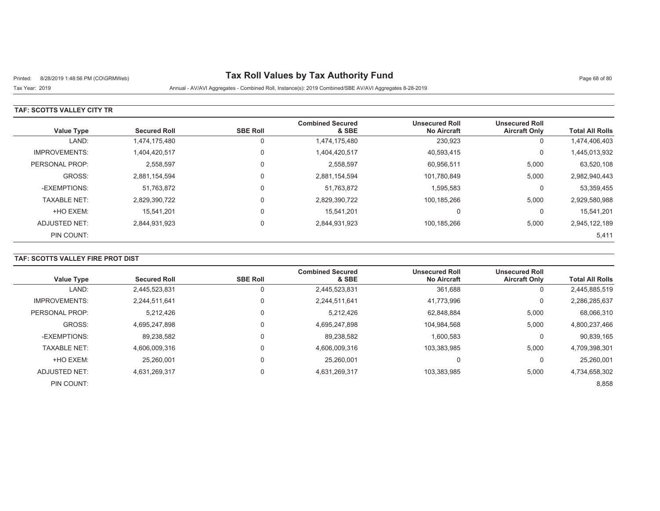# Printed: 8/28/2019 1:48:56 PM (CO\GRMWeb) **Tax Roll Values by Tax Authority Fund** Page 68 of 80

## Tax Year: 2019 Annual - AV/AVI Aggregates - Combined Roll, Instance(s): 2019 Combined/SBE AV/AVI Aggregates 8-28-2019

### **TAF: SCOTTS VALLEY CITY TR**

| <b>Value Type</b>    | <b>Secured Roll</b> | <b>SBE Roll</b> | <b>Combined Secured</b><br>& SBE | <b>Unsecured Roll</b><br><b>No Aircraft</b> | <b>Unsecured Roll</b><br><b>Aircraft Only</b> | <b>Total All Rolls</b> |
|----------------------|---------------------|-----------------|----------------------------------|---------------------------------------------|-----------------------------------------------|------------------------|
| LAND:                | 1,474,175,480       | 0               | 1,474,175,480                    | 230,923                                     | 0                                             | 1,474,406,403          |
| <b>IMPROVEMENTS:</b> | 1,404,420,517       | 0               | 1,404,420,517                    | 40,593,415                                  | 0                                             | 1,445,013,932          |
| PERSONAL PROP:       | 2,558,597           |                 | 2,558,597                        | 60,956,511                                  | 5,000                                         | 63,520,108             |
| GROSS:               | 2,881,154,594       | $\Omega$        | 2,881,154,594                    | 101,780,849                                 | 5,000                                         | 2,982,940,443          |
| -EXEMPTIONS:         | 51,763,872          |                 | 51,763,872                       | 1,595,583                                   | 0                                             | 53,359,455             |
| <b>TAXABLE NET:</b>  | 2,829,390,722       | $\Omega$        | 2,829,390,722                    | 100,185,266                                 | 5,000                                         | 2,929,580,988          |
| +HO EXEM:            | 15.541.201          |                 | 15,541,201                       | $\Omega$                                    | 0                                             | 15,541,201             |
| ADJUSTED NET:        | 2,844,931,923       | $\Omega$        | 2,844,931,923                    | 100,185,266                                 | 5,000                                         | 2,945,122,189          |
| PIN COUNT:           |                     |                 |                                  |                                             |                                               | 5,411                  |

## **TAF: SCOTTS VALLEY FIRE PROT DIST**

| <b>Value Type</b>    | <b>Secured Roll</b> | <b>SBE Roll</b> | <b>Combined Secured</b><br>& SBE | <b>Unsecured Roll</b><br><b>No Aircraft</b> | <b>Unsecured Roll</b><br><b>Aircraft Only</b> | <b>Total All Rolls</b> |
|----------------------|---------------------|-----------------|----------------------------------|---------------------------------------------|-----------------------------------------------|------------------------|
| LAND:                | 2,445,523,831       |                 | 2,445,523,831                    | 361,688                                     | υ                                             | 2,445,885,519          |
| <b>IMPROVEMENTS:</b> | 2.244.511.641       |                 | 2,244,511,641                    | 41,773,996                                  | 0                                             | 2,286,285,637          |
| PERSONAL PROP:       | 5.212.426           |                 | 5.212.426                        | 62.848.884                                  | 5,000                                         | 68,066,310             |
| GROSS:               | 4.695.247.898       |                 | 4,695,247,898                    | 104.984.568                                 | 5,000                                         | 4,800,237,466          |
| -EXEMPTIONS:         | 89,238,582          |                 | 89.238.582                       | 1,600,583                                   | 0                                             | 90,839,165             |
| <b>TAXABLE NET:</b>  | 4,606,009,316       |                 | 4,606,009,316                    | 103,383,985                                 | 5,000                                         | 4,709,398,301          |
| +HO EXEM:            | 25.260.001          |                 | 25.260.001                       | $\Omega$                                    |                                               | 25,260,001             |
| ADJUSTED NET:        | 4,631,269,317       | $\Omega$        | 4,631,269,317                    | 103,383,985                                 | 5,000                                         | 4,734,658,302          |
| PIN COUNT:           |                     |                 |                                  |                                             |                                               | 8,858                  |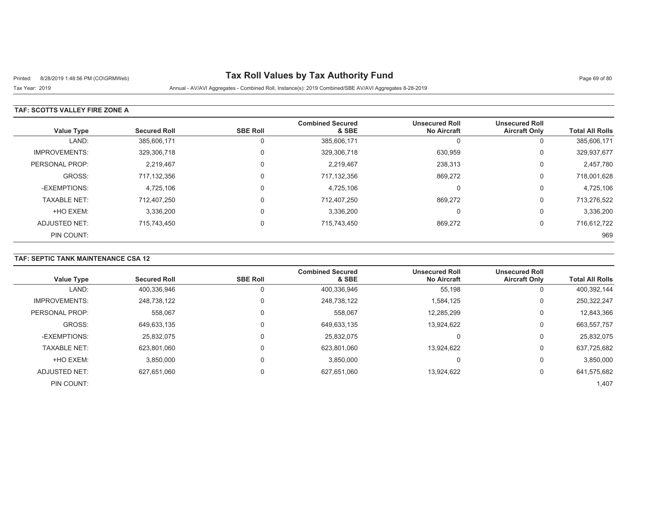# Printed: 8/28/2019 1:48:56 PM (CO\GRMWeb) **Tax Roll Values by Tax Authority Fund** Page 69 of 80

Tax Year: 2019 Annual - AV/AVI Aggregates - Combined Roll, Instance(s): 2019 Combined/SBE AV/AVI Aggregates 8-28-2019

### **TAF: SCOTTS VALLEY FIRE ZONE A**

| <b>Value Type</b>    | <b>Secured Roll</b> | <b>SBE Roll</b> | <b>Combined Secured</b><br>& SBE | <b>Unsecured Roll</b><br><b>No Aircraft</b> | <b>Unsecured Roll</b><br><b>Aircraft Only</b> | <b>Total All Rolls</b> |
|----------------------|---------------------|-----------------|----------------------------------|---------------------------------------------|-----------------------------------------------|------------------------|
| LAND:                | 385,606,171         | 0               | 385,606,171                      | C                                           | U                                             | 385,606,171            |
| <b>IMPROVEMENTS:</b> | 329,306,718         | $\Omega$        | 329,306,718                      | 630,959                                     | 0                                             | 329,937,677            |
| PERSONAL PROP:       | 2,219,467           |                 | 2,219,467                        | 238,313                                     | 0                                             | 2,457,780              |
| GROSS:               | 717.132.356         | $\Omega$        | 717,132,356                      | 869,272                                     | 0                                             | 718,001,628            |
| -EXEMPTIONS:         | 4,725,106           | $\Omega$        | 4,725,106                        | C                                           | υ                                             | 4,725,106              |
| <b>TAXABLE NET:</b>  | 712,407,250         | $\Omega$        | 712,407,250                      | 869,272                                     | 0                                             | 713,276,522            |
| +HO EXEM:            | 3,336,200           | $\Omega$        | 3,336,200                        | 0                                           | U                                             | 3,336,200              |
| ADJUSTED NET:        | 715,743,450         | $\Omega$        | 715,743,450                      | 869,272                                     | 0                                             | 716,612,722            |
| PIN COUNT:           |                     |                 |                                  |                                             |                                               | 969                    |

### **TAF: SEPTIC TANK MAINTENANCE CSA 12**

| <b>Value Type</b>    | <b>Secured Roll</b> | <b>SBE Roll</b> | <b>Combined Secured</b><br>& SBE | <b>Unsecured Roll</b><br><b>No Aircraft</b> | <b>Unsecured Roll</b><br><b>Aircraft Only</b> | <b>Total All Rolls</b> |
|----------------------|---------------------|-----------------|----------------------------------|---------------------------------------------|-----------------------------------------------|------------------------|
|                      |                     |                 |                                  |                                             |                                               |                        |
| LAND:                | 400,336,946         | $\Omega$        | 400,336,946                      | 55,198                                      | O                                             | 400,392,144            |
| <b>IMPROVEMENTS:</b> | 248,738,122         | 0               | 248,738,122                      | 1,584,125                                   | 0                                             | 250,322,247            |
| PERSONAL PROP:       | 558,067             | 0               | 558,067                          | 12,285,299                                  | 0                                             | 12,843,366             |
| GROSS:               | 649,633,135         | 0               | 649,633,135                      | 13.924.622                                  | 0                                             | 663,557,757            |
| -EXEMPTIONS:         | 25.832.075          | 0               | 25,832,075                       | 0                                           | 0                                             | 25,832,075             |
| <b>TAXABLE NET:</b>  | 623.801.060         | 0               | 623,801,060                      | 13.924.622                                  | 0                                             | 637,725,682            |
| +HO EXEM:            | 3,850,000           | 0               | 3,850,000                        | 0                                           | 0                                             | 3,850,000              |
| <b>ADJUSTED NET:</b> | 627,651,060         | 0               | 627,651,060                      | 13,924,622                                  | 0                                             | 641,575,682            |
| PIN COUNT:           |                     |                 |                                  |                                             |                                               | 1,407                  |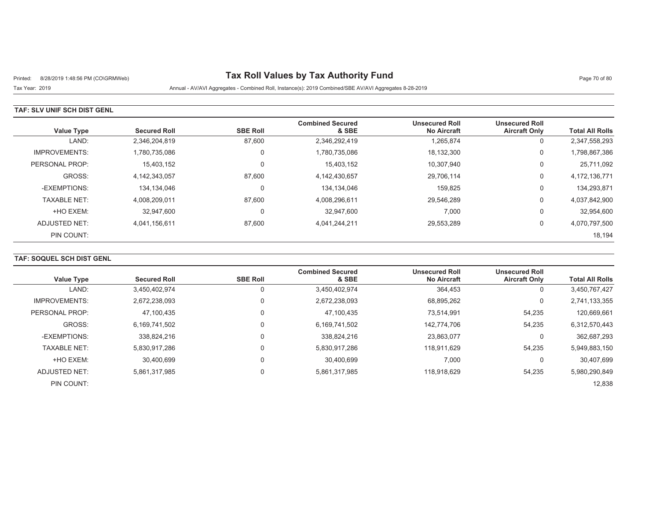# Printed: 8/28/2019 1:48:56 PM (CO\GRMWeb) **Tax Roll Values by Tax Authority Fund** Page 70 of 80

Tax Year: 2019 Annual - AV/AVI Aggregates - Combined Roll, Instance(s): 2019 Combined/SBE AV/AVI Aggregates 8-28-2019

### **TAF: SLV UNIF SCH DIST GENL**

| <b>Value Type</b>    | <b>Secured Roll</b> | <b>SBE Roll</b> | <b>Combined Secured</b><br>& SBE | <b>Unsecured Roll</b><br><b>No Aircraft</b> | <b>Unsecured Roll</b><br><b>Aircraft Only</b> | <b>Total All Rolls</b> |
|----------------------|---------------------|-----------------|----------------------------------|---------------------------------------------|-----------------------------------------------|------------------------|
| LAND:                | 2,346,204,819       | 87,600          | 2,346,292,419                    | 1,265,874                                   | 0                                             | 2,347,558,293          |
| <b>IMPROVEMENTS:</b> | 1.780.735.086       | 0               | 1,780,735,086                    | 18,132,300                                  | 0                                             | 1,798,867,386          |
| PERSONAL PROP:       | 15,403,152          | $\Omega$        | 15,403,152                       | 10,307,940                                  | 0                                             | 25,711,092             |
| GROSS:               | 4.142.343.057       | 87,600          | 4,142,430,657                    | 29,706,114                                  | 0                                             | 4,172,136,771          |
| -EXEMPTIONS:         | 134,134,046         | 0               | 134,134,046                      | 159.825                                     | 0                                             | 134,293,871            |
| <b>TAXABLE NET:</b>  | 4,008,209,011       | 87,600          | 4,008,296,611                    | 29,546,289                                  | 0                                             | 4,037,842,900          |
| +HO EXEM:            | 32,947,600          | 0               | 32.947.600                       | 7,000                                       | 0                                             | 32,954,600             |
| ADJUSTED NET:        | 4,041,156,611       | 87,600          | 4,041,244,211                    | 29,553,289                                  | 0                                             | 4,070,797,500          |
| PIN COUNT:           |                     |                 |                                  |                                             |                                               | 18,194                 |

## **TAF: SOQUEL SCH DIST GENL**

|                      |                     |                 | <b>Combined Secured</b> | <b>Unsecured Roll</b> | <b>Unsecured Roll</b> |                        |
|----------------------|---------------------|-----------------|-------------------------|-----------------------|-----------------------|------------------------|
| <b>Value Type</b>    | <b>Secured Roll</b> | <b>SBE Roll</b> | & SBE                   | <b>No Aircraft</b>    | <b>Aircraft Only</b>  | <b>Total All Rolls</b> |
| LAND:                | 3,450,402,974       | 0               | 3,450,402,974           | 364,453               | U                     | 3,450,767,427          |
| <b>IMPROVEMENTS:</b> | 2,672,238,093       | 0               | 2,672,238,093           | 68,895,262            | 0                     | 2,741,133,355          |
| PERSONAL PROP:       | 47,100,435          | 0               | 47.100.435              | 73,514,991            | 54,235                | 120,669,661            |
| GROSS:               | 6,169,741,502       | $\Omega$        | 6,169,741,502           | 142.774.706           | 54,235                | 6,312,570,443          |
| -EXEMPTIONS:         | 338.824.216         | 0               | 338.824.216             | 23,863,077            | 0                     | 362,687,293            |
| <b>TAXABLE NET:</b>  | 5,830,917,286       | 0               | 5,830,917,286           | 118.911.629           | 54,235                | 5,949,883,150          |
| +HO EXEM:            | 30,400,699          | $\Omega$        | 30.400.699              | 7,000                 |                       | 30,407,699             |
| ADJUSTED NET:        | 5,861,317,985       | $\mathbf 0$     | 5,861,317,985           | 118,918,629           | 54,235                | 5,980,290,849          |
| PIN COUNT:           |                     |                 |                         |                       |                       | 12,838                 |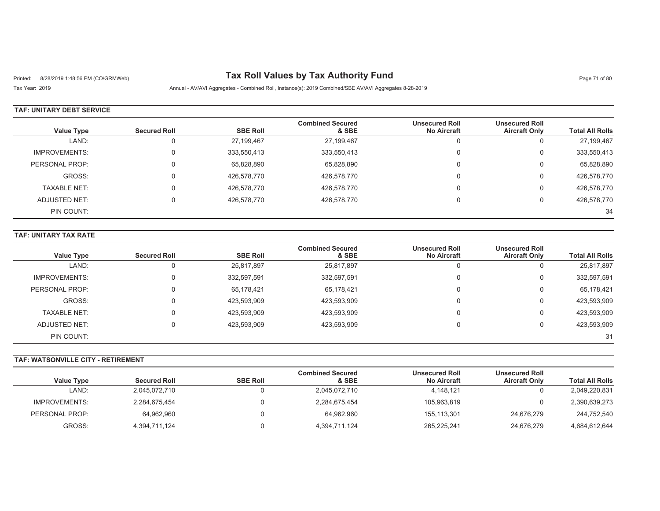# Printed: 8/28/2019 1:48:56 PM (CO\GRMWeb) **Tax Roll Values by Tax Authority Fund** Page 71 of 80

Tax Year: 2019 Annual - AV/AVI Aggregates - Combined Roll, Instance(s): 2019 Combined/SBE AV/AVI Aggregates 8-28-2019

### **TAF: UNITARY DEBT SERVICE**

|                      |                     |                 | <b>Combined Secured</b> | <b>Unsecured Roll</b> | <b>Unsecured Roll</b> |                        |
|----------------------|---------------------|-----------------|-------------------------|-----------------------|-----------------------|------------------------|
| Value Type           | <b>Secured Roll</b> | <b>SBE Roll</b> | & SBE                   | <b>No Aircraft</b>    | <b>Aircraft Only</b>  | <b>Total All Rolls</b> |
| LAND:                | $\overline{0}$      | 27,199,467      | 27,199,467              | u                     | u                     | 27,199,467             |
| <b>IMPROVEMENTS:</b> | 0                   | 333,550,413     | 333,550,413             | 0                     | U                     | 333,550,413            |
| PERSONAL PROP:       | $\Omega$            | 65,828,890      | 65,828,890              | 0                     | U                     | 65,828,890             |
| GROSS:               | $\Omega$            | 426,578,770     | 426,578,770             | 0                     | υ                     | 426,578,770            |
| <b>TAXABLE NET:</b>  | $\Omega$            | 426,578,770     | 426,578,770             | 0                     | Ü                     | 426,578,770            |
| ADJUSTED NET:        | $\Omega$            | 426,578,770     | 426,578,770             |                       |                       | 426,578,770            |
| PIN COUNT:           |                     |                 |                         |                       |                       | 34                     |

#### **TAF: UNITARY TAX RATE**

|                      |                     |                 | <b>Combined Secured</b> | <b>Unsecured Roll</b> | <b>Unsecured Roll</b> |                        |
|----------------------|---------------------|-----------------|-------------------------|-----------------------|-----------------------|------------------------|
| <b>Value Type</b>    | <b>Secured Roll</b> | <b>SBE Roll</b> | & SBE                   | <b>No Aircraft</b>    | <b>Aircraft Only</b>  | <b>Total All Rolls</b> |
| LAND:                |                     | 25,817,897      | 25,817,897              | $\Omega$              |                       | 25,817,897             |
| <b>IMPROVEMENTS:</b> |                     | 332,597,591     | 332,597,591             | $\Omega$              | U                     | 332,597,591            |
| PERSONAL PROP:       |                     | 65,178,421      | 65,178,421              | $\Omega$              |                       | 65,178,421             |
| GROSS:               |                     | 423,593,909     | 423,593,909             | $\Omega$              | 0                     | 423,593,909            |
| <b>TAXABLE NET:</b>  |                     | 423,593,909     | 423,593,909             | $\Omega$              |                       | 423,593,909            |
| ADJUSTED NET:        |                     | 423,593,909     | 423,593,909             |                       |                       | 423,593,909            |
| PIN COUNT:           |                     |                 |                         |                       |                       | 31                     |

#### **TAF: WATSONVILLE CITY - RETIREMENT**

| <b>Value Type</b> | <b>Secured Roll</b> | <b>SBE Roll</b> | <b>Combined Secured</b><br>& SBE | <b>Unsecured Roll</b><br><b>No Aircraft</b> | <b>Unsecured Roll</b><br><b>Aircraft Only</b> | <b>Total All Rolls</b> |
|-------------------|---------------------|-----------------|----------------------------------|---------------------------------------------|-----------------------------------------------|------------------------|
| LAND:             | 2,045,072,710       |                 | 2,045,072,710                    | 4.148.121                                   |                                               | 2,049,220,831          |
| IMPROVEMENTS:     | 2,284,675,454       |                 | 2,284,675,454                    | 105,963,819                                 |                                               | 2,390,639,273          |
| PERSONAL PROP:    | 64,962,960          |                 | 64.962.960                       | 155,113,301                                 | 24.676.279                                    | 244,752,540            |
| GROSS:            | 4,394,711,124       |                 | 4,394,711,124                    | 265,225,241                                 | 24.676.279                                    | 4,684,612,644          |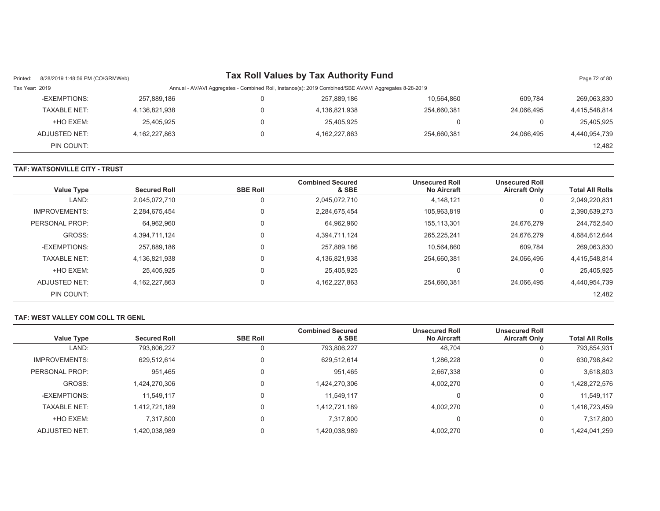| Printed:       | 8/28/2019 1:48:56 PM (CO\GRMWeb) |                  | <b>Tax Roll Values by Tax Authority Fund</b>                                                           |             |            | Page 72 of 80 |
|----------------|----------------------------------|------------------|--------------------------------------------------------------------------------------------------------|-------------|------------|---------------|
| Tax Year: 2019 |                                  |                  | Annual - AV/AVI Aggregates - Combined Roll, Instance(s): 2019 Combined/SBE AV/AVI Aggregates 8-28-2019 |             |            |               |
|                | -EXEMPTIONS:                     | 257,889,186      | 257.889.186                                                                                            | 10,564,860  | 609.784    | 269,063,830   |
|                | <b>TAXABLE NET:</b>              | 4,136,821,938    | 4,136,821,938                                                                                          | 254.660.381 | 24.066.495 | 4,415,548,814 |
|                | +HO EXEM:                        | 25,405,925       | 25.405.925                                                                                             |             |            | 25,405,925    |
|                | ADJUSTED NET:                    | 4, 162, 227, 863 | 4,162,227,863                                                                                          | 254.660.381 | 24.066.495 | 4,440,954,739 |
|                | PIN COUNT:                       |                  |                                                                                                        |             |            | 12.482        |

#### **TAF: WATSONVILLE CITY - TRUST**

| <b>Value Type</b>    | <b>Secured Roll</b> | <b>SBE Roll</b> | <b>Combined Secured</b><br>& SBE | <b>Unsecured Roll</b><br><b>No Aircraft</b> | <b>Unsecured Roll</b><br><b>Aircraft Only</b> | <b>Total All Rolls</b> |
|----------------------|---------------------|-----------------|----------------------------------|---------------------------------------------|-----------------------------------------------|------------------------|
| LAND:                | 2,045,072,710       |                 | 2,045,072,710                    | 4,148,121                                   | 0                                             | 2,049,220,831          |
| <b>IMPROVEMENTS:</b> | 2.284.675.454       | 0               | 2,284,675,454                    | 105.963.819                                 | 0                                             | 2,390,639,273          |
| PERSONAL PROP:       | 64,962,960          | 0               | 64.962.960                       | 155,113,301                                 | 24,676,279                                    | 244,752,540            |
| GROSS:               | 4,394,711,124       |                 | 4,394,711,124                    | 265.225.241                                 | 24.676.279                                    | 4,684,612,644          |
| -EXEMPTIONS:         | 257.889.186         |                 | 257,889,186                      | 10.564.860                                  | 609,784                                       | 269,063,830            |
| <b>TAXABLE NET:</b>  | 4.136.821.938       |                 | 4,136,821,938                    | 254.660.381                                 | 24.066.495                                    | 4,415,548,814          |
| +HO EXEM:            | 25.405.925          |                 | 25.405.925                       | 0                                           | 0                                             | 25,405,925             |
| ADJUSTED NET:        | 4.162.227.863       |                 | 4, 162, 227, 863                 | 254.660.381                                 | 24.066.495                                    | 4,440,954,739          |
| PIN COUNT:           |                     |                 |                                  |                                             |                                               | 12,482                 |

#### **TAF: WEST VALLEY COM COLL TR GENL**

|                      |                     |                 | <b>Combined Secured</b> | <b>Unsecured Roll</b> | <b>Unsecured Roll</b> |                        |
|----------------------|---------------------|-----------------|-------------------------|-----------------------|-----------------------|------------------------|
| Value Type           | <b>Secured Roll</b> | <b>SBE Roll</b> | & SBE                   | <b>No Aircraft</b>    | <b>Aircraft Only</b>  | <b>Total All Rolls</b> |
| LAND:                | 793,806,227         | 0               | 793,806,227             | 48,704                | U                     | 793,854,931            |
| <b>IMPROVEMENTS:</b> | 629,512,614         | 0               | 629,512,614             | 1,286,228             | U                     | 630,798,842            |
| PERSONAL PROP:       | 951,465             | 0               | 951.465                 | 2,667,338             | U                     | 3,618,803              |
| GROSS:               | 1.424.270.306       | 0               | 1,424,270,306           | 4,002,270             | U                     | 1,428,272,576          |
| -EXEMPTIONS:         | 11,549,117          | $\Omega$        | 11,549,117              |                       | 0                     | 11,549,117             |
| <b>TAXABLE NET:</b>  | 1,412,721,189       | $\Omega$        | 1,412,721,189           | 4,002,270             | 0                     | 1,416,723,459          |
| +HO EXEM:            | 7,317,800           | $\Omega$        | 7,317,800               |                       | 0                     | 7,317,800              |
| <b>ADJUSTED NET:</b> | 1.420.038.989       |                 | 1,420,038,989           | 4,002,270             | U                     | 1,424,041,259          |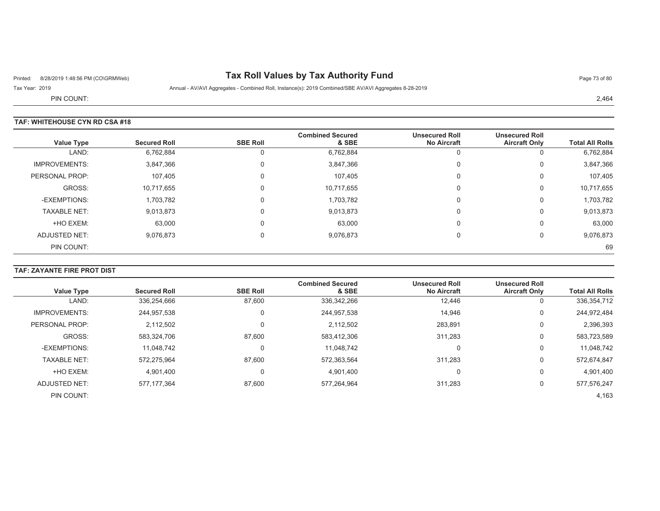# Printed: 8/28/2019 1:48:56 PM (CO\GRMWeb) **Tax Roll Values by Tax Authority Fund** Page 73 of 80

Tax Year: 2019 Annual - AV/AVI Aggregates - Combined Roll, Instance(s): 2019 Combined/SBE AV/AVI Aggregates 8-28-2019

PIN COUNT:

### **TAF: WHITEHOUSE CYN RD CSA #18**

| <b>Value Type</b>    | <b>Secured Roll</b> | <b>SBE Roll</b> | <b>Combined Secured</b><br>& SBE | <b>Unsecured Roll</b><br><b>No Aircraft</b> | <b>Unsecured Roll</b><br><b>Aircraft Only</b> | <b>Total All Rolls</b> |
|----------------------|---------------------|-----------------|----------------------------------|---------------------------------------------|-----------------------------------------------|------------------------|
| LAND:                | 6,762,884           |                 | 6,762,884                        |                                             | U                                             | 6,762,884              |
| <b>IMPROVEMENTS:</b> | 3,847,366           | υ               | 3,847,366                        | $\Omega$                                    | $\mathbf 0$                                   | 3,847,366              |
| PERSONAL PROP:       | 107,405             | 0               | 107,405                          | $\Omega$                                    | 0                                             | 107,405                |
| GROSS:               | 10,717,655          | 0               | 10,717,655                       | $\Omega$                                    | $\mathbf 0$                                   | 10,717,655             |
| -EXEMPTIONS:         | 1,703,782           | 0               | 1,703,782                        | $\Omega$                                    | 0                                             | 1,703,782              |
| <b>TAXABLE NET:</b>  | 9,013,873           |                 | 9,013,873                        | $\Omega$                                    | 0                                             | 9,013,873              |
| +HO EXEM:            | 63,000              | 0               | 63,000                           | $\Omega$                                    | $\mathbf 0$                                   | 63,000                 |
| <b>ADJUSTED NET:</b> | 9,076,873           |                 | 9,076,873                        | $\Omega$                                    | 0                                             | 9,076,873              |
| PIN COUNT:           |                     |                 |                                  |                                             |                                               | 69                     |

# **TAF: ZAYANTE FIRE PROT DIST**

| Value Type           | <b>Secured Roll</b> | <b>SBE Roll</b> | <b>Combined Secured</b><br>& SBE | <b>Unsecured Roll</b><br><b>No Aircraft</b> | <b>Unsecured Roll</b><br><b>Aircraft Only</b> | <b>Total All Rolls</b> |
|----------------------|---------------------|-----------------|----------------------------------|---------------------------------------------|-----------------------------------------------|------------------------|
| LAND:                | 336,254,666         | 87,600          | 336, 342, 266                    | 12,446                                      | 0                                             | 336, 354, 712          |
| <b>IMPROVEMENTS:</b> | 244,957,538         | 0               | 244,957,538                      | 14,946                                      | 0                                             | 244,972,484            |
| PERSONAL PROP:       | 2,112,502           | 0               | 2,112,502                        | 283,891                                     | 0                                             | 2,396,393              |
| GROSS:               | 583,324,706         | 87,600          | 583,412,306                      | 311,283                                     | 0                                             | 583,723,589            |
| -EXEMPTIONS:         | 11,048,742          | 0               | 11,048,742                       | 0                                           | 0                                             | 11,048,742             |
| <b>TAXABLE NET:</b>  | 572,275,964         | 87,600          | 572,363,564                      | 311,283                                     | 0                                             | 572,674,847            |
| +HO EXEM:            | 4,901,400           | 0               | 4,901,400                        | 0                                           | 0                                             | 4,901,400              |
| ADJUSTED NET:        | 577.177.364         | 87,600          | 577,264,964                      | 311,283                                     | 0                                             | 577,576,247            |
| PIN COUNT:           |                     |                 |                                  |                                             |                                               | 4,163                  |

2,464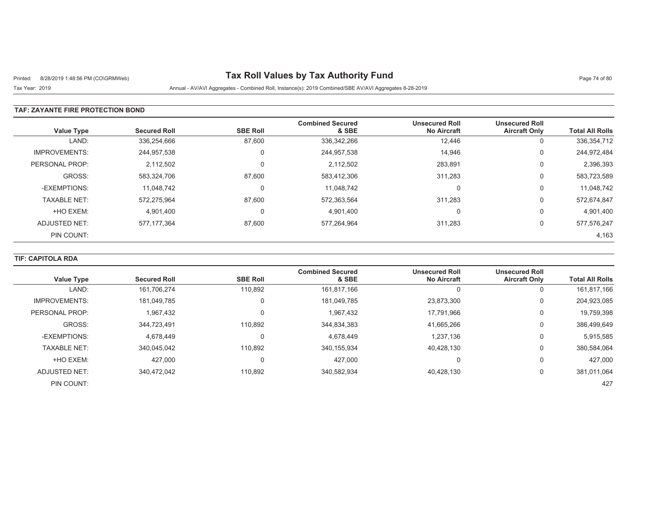# Printed: 8/28/2019 1:48:56 PM (CO\GRMWeb) **Tax Roll Values by Tax Authority Fund** Page 74 of 80

Tax Year: 2019 Annual - AV/AVI Aggregates - Combined Roll, Instance(s): 2019 Combined/SBE AV/AVI Aggregates 8-28-2019

### **TAF: ZAYANTE FIRE PROTECTION BOND**

| <b>Value Type</b>    | <b>Secured Roll</b> | <b>SBE Roll</b> | <b>Combined Secured</b><br>& SBE | <b>Unsecured Roll</b><br><b>No Aircraft</b> | <b>Unsecured Roll</b><br><b>Aircraft Only</b> | <b>Total All Rolls</b> |
|----------------------|---------------------|-----------------|----------------------------------|---------------------------------------------|-----------------------------------------------|------------------------|
| LAND:                | 336,254,666         | 87,600          | 336,342,266                      | 12,446                                      | 0                                             | 336, 354, 712          |
| <b>IMPROVEMENTS:</b> | 244,957,538         | 0               | 244,957,538                      | 14,946                                      | 0                                             | 244,972,484            |
| PERSONAL PROP:       | 2,112,502           |                 | 2,112,502                        | 283,891                                     | 0                                             | 2,396,393              |
| GROSS:               | 583.324.706         | 87.600          | 583,412,306                      | 311,283                                     | 0                                             | 583,723,589            |
| -EXEMPTIONS:         | 11.048.742          |                 | 11.048.742                       | $\Omega$                                    | 0                                             | 11,048,742             |
| <b>TAXABLE NET:</b>  | 572,275,964         | 87,600          | 572,363,564                      | 311,283                                     | 0                                             | 572,674,847            |
| +HO EXEM:            | 4,901,400           |                 | 4,901,400                        | $\Omega$                                    | 0                                             | 4,901,400              |
| ADJUSTED NET:        | 577, 177, 364       | 87,600          | 577,264,964                      | 311,283                                     | 0                                             | 577,576,247            |
| PIN COUNT:           |                     |                 |                                  |                                             |                                               | 4,163                  |

## **TIF: CAPITOLA RDA**

| <b>Value Type</b>    | <b>Secured Roll</b> | <b>SBE Roll</b> | <b>Combined Secured</b><br>& SBE | <b>Unsecured Roll</b><br><b>No Aircraft</b> | <b>Unsecured Roll</b><br><b>Aircraft Only</b> | <b>Total All Rolls</b> |
|----------------------|---------------------|-----------------|----------------------------------|---------------------------------------------|-----------------------------------------------|------------------------|
| LAND:                | 161.706.274         | 110,892         | 161,817,166                      |                                             | 0                                             | 161,817,166            |
| <b>IMPROVEMENTS:</b> | 181.049.785         | $\mathbf 0$     | 181,049,785                      | 23,873,300                                  | 0                                             | 204,923,085            |
| PERSONAL PROP:       | 1,967,432           | $\mathbf 0$     | 1,967,432                        | 17,791,966                                  | 0                                             | 19,759,398             |
| GROSS:               | 344,723,491         | 110.892         | 344,834,383                      | 41,665,266                                  | 0                                             | 386,499,649            |
| -EXEMPTIONS:         | 4.678.449           | $\Omega$        | 4.678.449                        | 1.237.136                                   | 0                                             | 5,915,585              |
| <b>TAXABLE NET:</b>  | 340.045.042         | 110.892         | 340, 155, 934                    | 40.428.130                                  | 0                                             | 380,584,064            |
| +HO EXEM:            | 427.000             | 0               | 427.000                          | $\Omega$                                    | 0                                             | 427,000                |
| <b>ADJUSTED NET:</b> | 340,472,042         | 110,892         | 340,582,934                      | 40,428,130                                  | 0                                             | 381,011,064            |
| PIN COUNT:           |                     |                 |                                  |                                             |                                               | 427                    |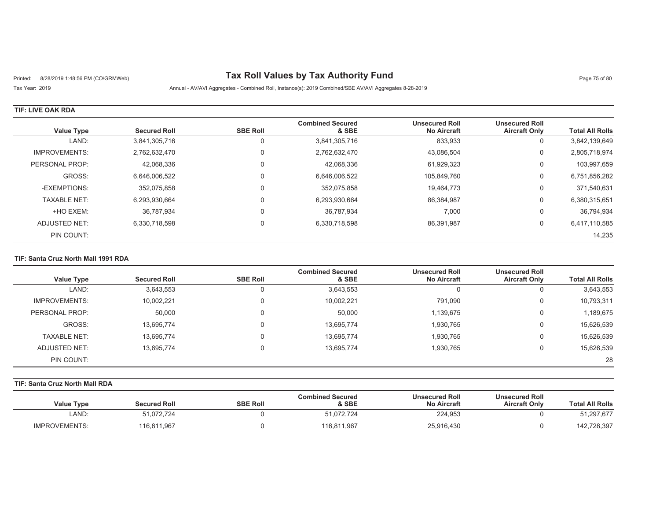# Printed: 8/28/2019 1:48:56 PM (CO\GRMWeb) **Tax Roll Values by Tax Authority Fund** Page 75 of 80

## Tax Year: 2019 Annual - AV/AVI Aggregates - Combined Roll, Instance(s): 2019 Combined/SBE AV/AVI Aggregates 8-28-2019

### **TIF: LIVE OAK RDA**

| Value Type           | <b>Secured Roll</b> | <b>SBE Roll</b> | <b>Combined Secured</b><br>& SBE | <b>Unsecured Roll</b><br><b>No Aircraft</b> | <b>Unsecured Roll</b><br><b>Aircraft Only</b> | <b>Total All Rolls</b> |
|----------------------|---------------------|-----------------|----------------------------------|---------------------------------------------|-----------------------------------------------|------------------------|
| LAND:                | 3,841,305,716       | 0               | 3,841,305,716                    | 833,933                                     | 0                                             | 3,842,139,649          |
| <b>IMPROVEMENTS:</b> | 2,762,632,470       | 0               | 2,762,632,470                    | 43,086,504                                  | 0                                             | 2,805,718,974          |
| PERSONAL PROP:       | 42,068,336          | 0               | 42,068,336                       | 61,929,323                                  | 0                                             | 103,997,659            |
| GROSS:               | 6.646.006.522       | 0               | 6,646,006,522                    | 105,849,760                                 | 0                                             | 6,751,856,282          |
| -EXEMPTIONS:         | 352,075,858         | $\mathbf 0$     | 352,075,858                      | 19,464,773                                  | 0                                             | 371,540,631            |
| <b>TAXABLE NET:</b>  | 6,293,930,664       | $\mathbf 0$     | 6,293,930,664                    | 86,384,987                                  | 0                                             | 6,380,315,651          |
| +HO EXEM:            | 36,787,934          | 0               | 36,787,934                       | 7,000                                       | 0                                             | 36,794,934             |
| ADJUSTED NET:        | 6,330,718,598       | $\mathbf 0$     | 6,330,718,598                    | 86,391,987                                  | 0                                             | 6,417,110,585          |
| PIN COUNT:           |                     |                 |                                  |                                             |                                               | 14,235                 |

## **TIF: Santa Cruz North Mall 1991 RDA**

| <b>Value Type</b>   | <b>Secured Roll</b> | <b>SBE Roll</b> | <b>Combined Secured</b><br>& SBE | <b>Unsecured Roll</b><br><b>No Aircraft</b> | <b>Unsecured Roll</b><br><b>Aircraft Only</b> | <b>Total All Rolls</b> |
|---------------------|---------------------|-----------------|----------------------------------|---------------------------------------------|-----------------------------------------------|------------------------|
| LAND:               | 3,643,553           | υ               | 3,643,553                        |                                             | 0                                             | 3,643,553              |
| IMPROVEMENTS:       | 10,002,221          | 0               | 10,002,221                       | 791,090                                     | 0                                             | 10,793,311             |
| PERSONAL PROP:      | 50,000              | 0               | 50,000                           | 1,139,675                                   | 0                                             | 1,189,675              |
| GROSS:              | 13,695,774          |                 | 13,695,774                       | 1,930,765                                   | 0                                             | 15,626,539             |
| <b>TAXABLE NET:</b> | 13,695,774          |                 | 13,695,774                       | 1,930,765                                   | 0                                             | 15,626,539             |
| ADJUSTED NET:       | 13,695,774          |                 | 13,695,774                       | 1,930,765                                   | 0                                             | 15,626,539             |
| PIN COUNT:          |                     |                 |                                  |                                             |                                               | 28                     |

# **TIF: Santa Cruz North Mall RDA**

|                        | <b>Unsecured Roll</b> | <b>Unsecured Roll</b> | <b>Combined Secured</b> |                 |                     |                      |
|------------------------|-----------------------|-----------------------|-------------------------|-----------------|---------------------|----------------------|
| <b>Total All Rolls</b> | <b>Aircraft Only</b>  | No Aircraft           | & SBE                   | <b>SBE Roll</b> | <b>Secured Roll</b> | <b>Value Type</b>    |
| 51,297,677             |                       | 224,953               | 51.072.724              |                 | 51.072.724          | LAND:                |
| 142,728,397            |                       | 25,916,430            | 116,811,967             |                 | 116,811,967         | <b>IMPROVEMENTS:</b> |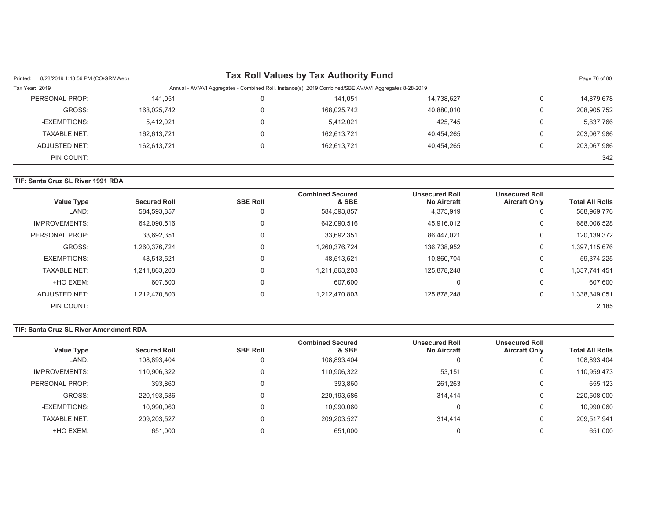| 8/28/2019 1:48:56 PM (CO\GRMWeb)<br>Printed: |                                                                                                        |   | Tax Roll Values by Tax Authority Fund |            |                | Page 76 of 80 |  |
|----------------------------------------------|--------------------------------------------------------------------------------------------------------|---|---------------------------------------|------------|----------------|---------------|--|
| Tax Year: 2019                               | Annual - AV/AVI Aggregates - Combined Roll, Instance(s): 2019 Combined/SBE AV/AVI Aggregates 8-28-2019 |   |                                       |            |                |               |  |
| PERSONAL PROP:                               | 141.051                                                                                                | 0 | 141.051                               | 14,738,627 | 0              | 14,879,678    |  |
| GROSS:                                       | 168,025,742                                                                                            | 0 | 168,025,742                           | 40,880,010 | $\overline{0}$ | 208,905,752   |  |
| -EXEMPTIONS:                                 | 5,412,021                                                                                              | 0 | 5.412.021                             | 425,745    | $\mathbf 0$    | 5,837,766     |  |
| TAXABLE NET:                                 | 162,613,721                                                                                            | 0 | 162,613,721                           | 40,454,265 | 0              | 203,067,986   |  |
| ADJUSTED NET:                                | 162,613,721                                                                                            | 0 | 162,613,721                           | 40,454,265 | $\Omega$       | 203,067,986   |  |
| PIN COUNT:                                   |                                                                                                        |   |                                       |            |                | 342           |  |

### **TIF: Santa Cruz SL River 1991 RDA**

| <b>Value Type</b>    | <b>Secured Roll</b> | <b>SBE Roll</b> | <b>Combined Secured</b><br>& SBE | <b>Unsecured Roll</b><br><b>No Aircraft</b> | <b>Unsecured Roll</b><br><b>Aircraft Only</b> | <b>Total All Rolls</b> |
|----------------------|---------------------|-----------------|----------------------------------|---------------------------------------------|-----------------------------------------------|------------------------|
| LAND:                | 584,593,857         | 0               | 584,593,857                      | 4,375,919                                   | U                                             | 588,969,776            |
| <b>IMPROVEMENTS:</b> | 642,090,516         | 0               | 642,090,516                      | 45,916,012                                  | 0                                             | 688,006,528            |
| PERSONAL PROP:       | 33,692,351          | 0               | 33,692,351                       | 86,447,021                                  | $\Omega$                                      | 120,139,372            |
| GROSS:               | 1,260,376,724       | 0               | 1,260,376,724                    | 136,738,952                                 | 0                                             | 1,397,115,676          |
| -EXEMPTIONS:         | 48,513,521          | 0               | 48,513,521                       | 10.860.704                                  | $\Omega$                                      | 59,374,225             |
| <b>TAXABLE NET:</b>  | 1,211,863,203       | 0               | 1,211,863,203                    | 125,878,248                                 | 0                                             | 1,337,741,451          |
| +HO EXEM:            | 607,600             | 0               | 607,600                          | $\Omega$                                    | $\Omega$                                      | 607,600                |
| ADJUSTED NET:        | 1,212,470,803       | 0               | 1,212,470,803                    | 125.878.248                                 | $\Omega$                                      | 1,338,349,051          |
| PIN COUNT:           |                     |                 |                                  |                                             |                                               | 2,185                  |

### **TIF: Santa Cruz SL River Amendment RDA**

|                      |                     |                 | <b>Combined Secured</b> | <b>Unsecured Roll</b> | <b>Unsecured Roll</b> |                        |
|----------------------|---------------------|-----------------|-------------------------|-----------------------|-----------------------|------------------------|
| <b>Value Type</b>    | <b>Secured Roll</b> | <b>SBE Roll</b> | & SBE                   | <b>No Aircraft</b>    | <b>Aircraft Only</b>  | <b>Total All Rolls</b> |
| LAND:                | 108,893,404         | 0               | 108,893,404             |                       |                       | 108,893,404            |
| <b>IMPROVEMENTS:</b> | 110,906,322         | $\Omega$        | 110,906,322             | 53,151                |                       | 110,959,473            |
| PERSONAL PROP:       | 393,860             | $\Omega$        | 393,860                 | 261,263               |                       | 655.123                |
| GROSS:               | 220,193,586         | $\Omega$        | 220,193,586             | 314.414               |                       | 220,508,000            |
| -EXEMPTIONS:         | 10,990,060          | $\Omega$        | 10.990.060              |                       |                       | 10,990,060             |
| <b>TAXABLE NET:</b>  | 209,203,527         | $\Omega$        | 209,203,527             | 314.414               |                       | 209,517,941            |
| +HO EXEM:            | 651.000             |                 | 651.000                 |                       |                       | 651,000                |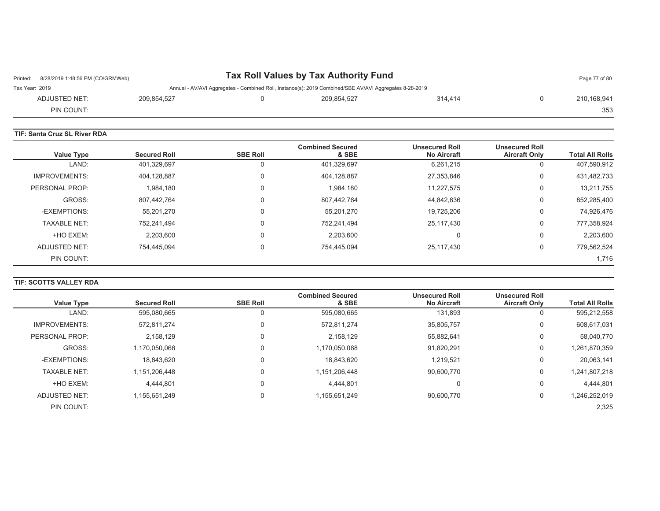| 8/28/2019 1:48:56 PM (CO\GRMWeb)<br>Printed: |             | Tax Roll Values by Tax Authority Fund |                                                                                                        |         |  |             |
|----------------------------------------------|-------------|---------------------------------------|--------------------------------------------------------------------------------------------------------|---------|--|-------------|
| Tax Year: 2019                               |             |                                       | Annual - AV/AVI Aggregates - Combined Roll, Instance(s): 2019 Combined/SBE AV/AVI Aggregates 8-28-2019 |         |  |             |
| ADJUSTED NET:                                | 209.854.527 |                                       | 209.854.527                                                                                            | 314.414 |  | 210,168,941 |
| PIN COUNT:                                   |             |                                       |                                                                                                        |         |  | 353         |

| <b>TIF: Santa Cruz SL River RDA</b> |                     |                 |                                  |                                             |                                               |                        |  |  |  |
|-------------------------------------|---------------------|-----------------|----------------------------------|---------------------------------------------|-----------------------------------------------|------------------------|--|--|--|
| <b>Value Type</b>                   | <b>Secured Roll</b> | <b>SBE Roll</b> | <b>Combined Secured</b><br>& SBE | <b>Unsecured Roll</b><br><b>No Aircraft</b> | <b>Unsecured Roll</b><br><b>Aircraft Only</b> | <b>Total All Rolls</b> |  |  |  |
| LAND:                               | 401,329,697         |                 | 401,329,697                      | 6,261,215                                   | 0                                             | 407,590,912            |  |  |  |
| <b>IMPROVEMENTS:</b>                | 404,128,887         |                 | 404,128,887                      | 27,353,846                                  | 0                                             | 431,482,733            |  |  |  |
| PERSONAL PROP:                      | 1,984,180           |                 | 1,984,180                        | 11,227,575                                  | 0                                             | 13,211,755             |  |  |  |
| GROSS:                              | 807,442,764         | 0               | 807,442,764                      | 44,842,636                                  | 0                                             | 852,285,400            |  |  |  |
| -EXEMPTIONS:                        | 55,201,270          |                 | 55,201,270                       | 19,725,206                                  | 0                                             | 74,926,476             |  |  |  |
| <b>TAXABLE NET:</b>                 | 752,241,494         |                 | 752,241,494                      | 25,117,430                                  | 0                                             | 777,358,924            |  |  |  |
| +HO EXEM:                           | 2,203,600           |                 | 2.203.600                        |                                             | 0                                             | 2,203,600              |  |  |  |
| ADJUSTED NET:                       | 754,445,094         | 0               | 754,445,094                      | 25,117,430                                  | 0                                             | 779,562,524            |  |  |  |
| PIN COUNT:                          |                     |                 |                                  |                                             |                                               | 1,716                  |  |  |  |

## **TIF: SCOTTS VALLEY RDA**

|                      |                     |                 | <b>Combined Secured</b> | <b>Unsecured Roll</b> | <b>Unsecured Roll</b> |                        |
|----------------------|---------------------|-----------------|-------------------------|-----------------------|-----------------------|------------------------|
| <b>Value Type</b>    | <b>Secured Roll</b> | <b>SBE Roll</b> | & SBE                   | <b>No Aircraft</b>    | <b>Aircraft Only</b>  | <b>Total All Rolls</b> |
| LAND:                | 595,080,665         | 0               | 595,080,665             | 131,893               | U                     | 595,212,558            |
| <b>IMPROVEMENTS:</b> | 572,811,274         | 0               | 572,811,274             | 35,805,757            | 0                     | 608,617,031            |
| PERSONAL PROP:       | 2.158.129           | 0               | 2,158,129               | 55,882,641            | 0                     | 58,040,770             |
| GROSS:               | 1.170.050.068       | 0               | 1,170,050,068           | 91,820,291            | 0                     | 1,261,870,359          |
| -EXEMPTIONS:         | 18,843,620          | 0               | 18.843.620              | 1.219.521             | 0                     | 20,063,141             |
| <b>TAXABLE NET:</b>  | 1,151,206,448       | 0               | 1,151,206,448           | 90.600.770            | 0                     | 1,241,807,218          |
| +HO EXEM:            | 4.444.801           | 0               | 4.444.801               |                       | 0                     | 4,444,801              |
| ADJUSTED NET:        | 1,155,651,249       | 0               | 1,155,651,249           | 90,600,770            | 0                     | 1,246,252,019          |
| PIN COUNT:           |                     |                 |                         |                       |                       | 2,325                  |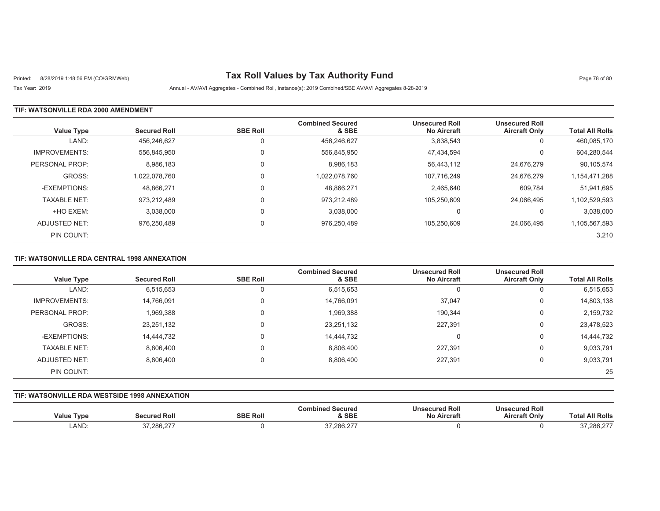# Printed: 8/28/2019 1:48:56 PM (CO\GRMWeb) **Tax Roll Values by Tax Authority Fund** Page 78 of 80

Tax Year: 2019 Annual - AV/AVI Aggregates - Combined Roll, Instance(s): 2019 Combined/SBE AV/AVI Aggregates 8-28-2019

### **TIF: WATSONVILLE RDA 2000 AMENDMENT**

| <b>Value Type</b>    | <b>Secured Roll</b> | <b>SBE Roll</b> | <b>Combined Secured</b><br>& SBE | <b>Unsecured Roll</b><br><b>No Aircraft</b> | <b>Unsecured Roll</b><br><b>Aircraft Only</b> | <b>Total All Rolls</b> |
|----------------------|---------------------|-----------------|----------------------------------|---------------------------------------------|-----------------------------------------------|------------------------|
| LAND:                | 456.246.627         |                 | 456,246,627                      | 3,838,543                                   | υ                                             | 460,085,170            |
| <b>IMPROVEMENTS:</b> | 556.845.950         | $\Omega$        | 556,845,950                      | 47,434,594                                  | U                                             | 604,280,544            |
| PERSONAL PROP:       | 8,986,183           |                 | 8,986,183                        | 56,443,112                                  | 24,676,279                                    | 90,105,574             |
| GROSS:               | 1.022.078.760       |                 | 1,022,078,760                    | 107.716.249                                 | 24,676,279                                    | 1,154,471,288          |
| -EXEMPTIONS:         | 48,866,271          |                 | 48,866,271                       | 2,465,640                                   | 609,784                                       | 51,941,695             |
| <b>TAXABLE NET:</b>  | 973,212,489         |                 | 973,212,489                      | 105,250,609                                 | 24,066,495                                    | 1,102,529,593          |
| +HO EXEM:            | 3,038,000           |                 | 3,038,000                        | C                                           |                                               | 3,038,000              |
| ADJUSTED NET:        | 976.250.489         |                 | 976,250,489                      | 105.250.609                                 | 24.066.495                                    | 1,105,567,593          |
| PIN COUNT:           |                     |                 |                                  |                                             |                                               | 3,210                  |

## **TIF: WATSONVILLE RDA CENTRAL 1998 ANNEXATION**

| Value Type           | <b>Secured Roll</b> | <b>SBE Roll</b> | <b>Combined Secured</b><br>& SBE | <b>Unsecured Roll</b><br><b>No Aircraft</b> | <b>Unsecured Roll</b><br><b>Aircraft Only</b> | <b>Total All Rolls</b> |
|----------------------|---------------------|-----------------|----------------------------------|---------------------------------------------|-----------------------------------------------|------------------------|
| LAND:                | 6,515,653           | O               | 6,515,653                        | U                                           | U                                             | 6,515,653              |
| <b>IMPROVEMENTS:</b> | 14,766,091          | 0               | 14,766,091                       | 37,047                                      | 0                                             | 14,803,138             |
| PERSONAL PROP:       | 1,969,388           | 0               | 1,969,388                        | 190.344                                     | 0                                             | 2,159,732              |
| GROSS:               | 23,251,132          | 0               | 23,251,132                       | 227,391                                     | 0                                             | 23,478,523             |
| -EXEMPTIONS:         | 14,444,732          | 0               | 14,444,732                       | C                                           | 0                                             | 14,444,732             |
| <b>TAXABLE NET:</b>  | 8,806,400           | 0               | 8,806,400                        | 227,391                                     | 0                                             | 9,033,791              |
| ADJUSTED NET:        | 8,806,400           | 0               | 8,806,400                        | 227,391                                     | 0                                             | 9,033,791              |
| PIN COUNT:           |                     |                 |                                  |                                             |                                               | 25                     |

#### **TIF: WATSONVILLE RDA WESTSIDE 1998 ANNEXATION**

| Jalue Type | ed Rol<br>`ecured | <b>SBE Roll</b> | Secured<br>∴or<br>& SBE | <b>Unsecured Roll</b><br>*ircraħ ∶<br>NΟ | secured Roll<br><b>Aircraft Only</b> | <b>All Rolls</b><br>otal |
|------------|-------------------|-----------------|-------------------------|------------------------------------------|--------------------------------------|--------------------------|
| LAND:      | 0.00000<br>.      |                 | 0700027<br>، ∠,00⊘, / ר |                                          |                                      | 7,286,27                 |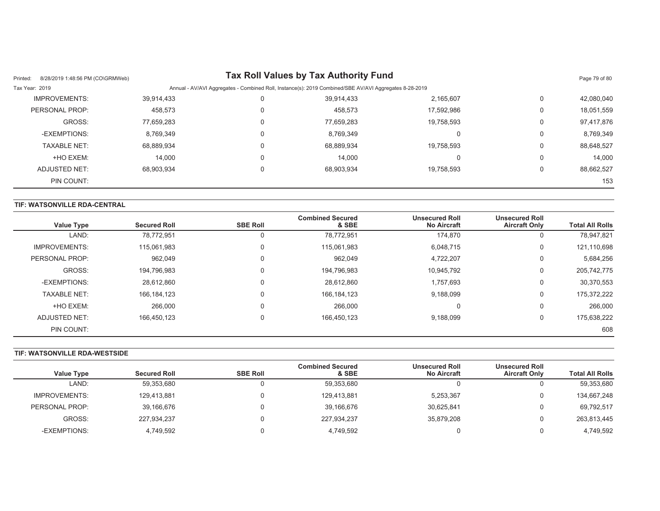| 8/28/2019 1:48:56 PM (CO\GRMWeb)<br>Printed: |            |                                                                                                        | Tax Roll Values by Tax Authority Fund |            |   | Page 79 of 80 |  |
|----------------------------------------------|------------|--------------------------------------------------------------------------------------------------------|---------------------------------------|------------|---|---------------|--|
| Tax Year: 2019                               |            | Annual - AV/AVI Aggregates - Combined Roll, Instance(s): 2019 Combined/SBE AV/AVI Aggregates 8-28-2019 |                                       |            |   |               |  |
| <b>IMPROVEMENTS:</b>                         | 39,914,433 | 0                                                                                                      | 39.914.433                            | 2,165,607  | 0 | 42,080,040    |  |
| PERSONAL PROP:                               | 458.573    | 0                                                                                                      | 458,573                               | 17.592.986 | 0 | 18,051,559    |  |
| GROSS:                                       | 77,659,283 | 0                                                                                                      | 77.659.283                            | 19,758,593 | 0 | 97,417,876    |  |
| -EXEMPTIONS:                                 | 8,769,349  | 0                                                                                                      | 8,769,349                             |            | 0 | 8,769,349     |  |
| <b>TAXABLE NET:</b>                          | 68,889,934 | 0                                                                                                      | 68.889.934                            | 19.758.593 | 0 | 88,648,527    |  |
| +HO EXEM:                                    | 14.000     | 0                                                                                                      | 14.000                                |            | 0 | 14.000        |  |
| ADJUSTED NET:                                | 68.903.934 |                                                                                                        | 68.903.934                            | 19.758.593 |   | 88,662,527    |  |
| PIN COUNT:                                   |            |                                                                                                        |                                       |            |   | 153           |  |

### **TIF: WATSONVILLE RDA-CENTRAL**

| <b>Value Type</b>    | <b>Secured Roll</b> | <b>SBE Roll</b> | <b>Combined Secured</b><br>& SBE | <b>Unsecured Roll</b><br><b>No Aircraft</b> | <b>Unsecured Roll</b><br><b>Aircraft Only</b> | <b>Total All Rolls</b> |
|----------------------|---------------------|-----------------|----------------------------------|---------------------------------------------|-----------------------------------------------|------------------------|
| LAND:                | 78,772,951          |                 | 78,772,951                       | 174.870                                     | υ                                             | 78,947,821             |
| <b>IMPROVEMENTS:</b> | 115.061.983         | $\Omega$        | 115,061,983                      | 6,048,715                                   | 0                                             | 121,110,698            |
| PERSONAL PROP:       | 962.049             | $\Omega$        | 962,049                          | 4,722,207                                   | 0                                             | 5,684,256              |
| GROSS:               | 194,796,983         | $\Omega$        | 194,796,983                      | 10,945,792                                  | 0                                             | 205,742,775            |
| -EXEMPTIONS:         | 28,612,860          | $\Omega$        | 28.612.860                       | 1.757.693                                   | 0                                             | 30,370,553             |
| <b>TAXABLE NET:</b>  | 166, 184, 123       |                 | 166, 184, 123                    | 9,188,099                                   | 0                                             | 175,372,222            |
| +HO EXEM:            | 266,000             |                 | 266,000                          | C                                           | 0                                             | 266,000                |
| ADJUSTED NET:        | 166,450,123         | $\Omega$        | 166,450,123                      | 9,188,099                                   | 0                                             | 175,638,222            |
| PIN COUNT:           |                     |                 |                                  |                                             |                                               | 608                    |

#### **TIF: WATSONVILLE RDA-WESTSIDE**

|                      |                     |                 | <b>Combined Secured</b> | <b>Unsecured Roll</b> | <b>Unsecured Roll</b> |                        |
|----------------------|---------------------|-----------------|-------------------------|-----------------------|-----------------------|------------------------|
| <b>Value Type</b>    | <b>Secured Roll</b> | <b>SBE Roll</b> | & SBE                   | <b>No Aircraft</b>    | <b>Aircraft Only</b>  | <b>Total All Rolls</b> |
| LAND:                | 59,353,680          |                 | 59.353.680              |                       |                       | 59,353,680             |
| <b>IMPROVEMENTS:</b> | 129,413,881         |                 | 129.413.881             | 5,253,367             |                       | 134,667,248            |
| PERSONAL PROP:       | 39,166,676          |                 | 39.166.676              | 30,625,841            |                       | 69,792,517             |
| GROSS:               | 227,934,237         |                 | 227,934,237             | 35,879,208            |                       | 263,813,445            |
| -EXEMPTIONS:         | 4,749,592           |                 | 4,749,592               |                       |                       | 4,749,592              |